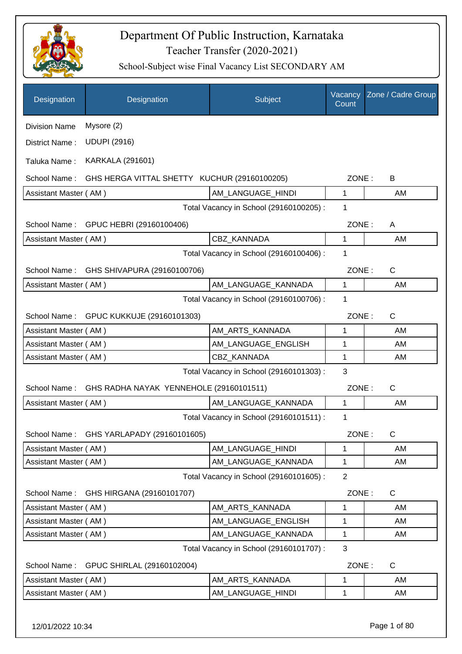

| Designation           | Designation                                  | Subject                                 | Vacancy<br>Count | Zone / Cadre Group |
|-----------------------|----------------------------------------------|-----------------------------------------|------------------|--------------------|
| <b>Division Name</b>  | Mysore (2)                                   |                                         |                  |                    |
| District Name:        | <b>UDUPI (2916)</b>                          |                                         |                  |                    |
| Taluka Name:          | <b>KARKALA (291601)</b>                      |                                         |                  |                    |
| School Name:          | GHS HERGA VITTAL SHETTY KUCHUR (29160100205) |                                         | ZONE:            | B                  |
| Assistant Master (AM) |                                              | AM LANGUAGE HINDI                       | 1                | AM                 |
|                       |                                              | Total Vacancy in School (29160100205) : | 1                |                    |
|                       | School Name: GPUC HEBRI (29160100406)        |                                         | ZONE:            | A                  |
| Assistant Master (AM) |                                              | <b>CBZ KANNADA</b>                      | 1                | AM                 |
|                       |                                              | Total Vacancy in School (29160100406) : | 1                |                    |
| School Name:          | GHS SHIVAPURA (29160100706)                  |                                         | ZONE:            | $\mathsf{C}$       |
| Assistant Master (AM) |                                              | AM_LANGUAGE_KANNADA                     | 1                | AM                 |
|                       |                                              | Total Vacancy in School (29160100706) : | 1                |                    |
|                       | School Name: GPUC KUKKUJE (29160101303)      |                                         | ZONE:            | $\mathsf{C}$       |
| Assistant Master (AM) |                                              | AM_ARTS_KANNADA                         | 1                | AM                 |
| Assistant Master (AM) |                                              | AM_LANGUAGE_ENGLISH                     | 1                | AM                 |
| Assistant Master (AM) |                                              | CBZ_KANNADA                             | 1                | AM                 |
|                       |                                              | Total Vacancy in School (29160101303) : | 3                |                    |
| School Name:          | GHS RADHA NAYAK YENNEHOLE (29160101511)      |                                         | ZONE:            | $\mathsf{C}$       |
| Assistant Master (AM) |                                              | AM_LANGUAGE_KANNADA                     | 1                | AM                 |
|                       |                                              | Total Vacancy in School (29160101511) : | 1                |                    |
| School Name:          | GHS YARLAPADY (29160101605)                  |                                         | ZONE:            | C                  |
| Assistant Master (AM) |                                              | AM LANGUAGE HINDI                       | 1                | AM                 |
| Assistant Master (AM) |                                              | AM_LANGUAGE_KANNADA                     | 1                | AM                 |
|                       |                                              | Total Vacancy in School (29160101605) : | $\overline{2}$   |                    |
| School Name:          | GHS HIRGANA (29160101707)                    |                                         | ZONE:            | C                  |
| Assistant Master (AM) |                                              | AM_ARTS_KANNADA                         | 1                | AM                 |
| Assistant Master (AM) |                                              | AM_LANGUAGE_ENGLISH                     | 1                | AM                 |
| Assistant Master (AM) |                                              | AM_LANGUAGE_KANNADA                     | 1                | AM                 |
|                       |                                              | Total Vacancy in School (29160101707) : | 3                |                    |
| School Name:          | GPUC SHIRLAL (29160102004)                   |                                         | ZONE:            | C                  |
| Assistant Master (AM) |                                              | AM_ARTS_KANNADA                         | 1                | AM                 |
| Assistant Master (AM) |                                              | AM_LANGUAGE_HINDI                       | 1                | AM                 |
|                       |                                              |                                         |                  |                    |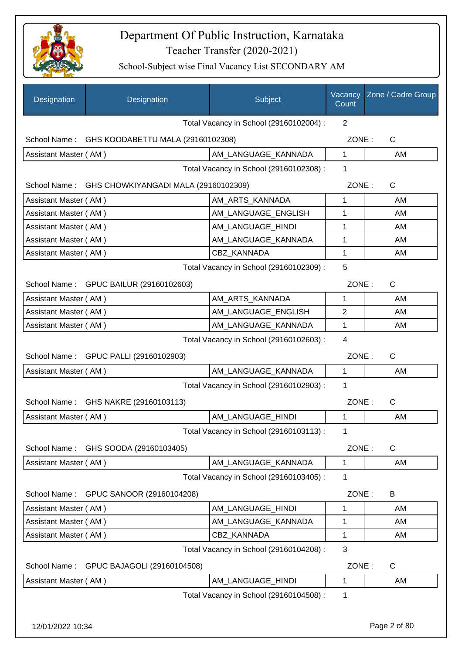

| Designation           | Designation                                       | Subject                                 | Vacancy<br>Count | Zone / Cadre Group |
|-----------------------|---------------------------------------------------|-----------------------------------------|------------------|--------------------|
|                       |                                                   | Total Vacancy in School (29160102004) : | $\overline{2}$   |                    |
|                       | School Name: GHS KOODABETTU MALA (29160102308)    |                                         | ZONE:            | C                  |
| Assistant Master (AM) |                                                   | AM LANGUAGE KANNADA                     | $\mathbf{1}$     | AM                 |
|                       |                                                   | Total Vacancy in School (29160102308) : | 1                |                    |
|                       | School Name: GHS CHOWKIYANGADI MALA (29160102309) |                                         | ZONE:            | $\mathsf{C}$       |
| Assistant Master (AM) |                                                   | AM_ARTS_KANNADA                         | 1                | AM                 |
| Assistant Master (AM) |                                                   | AM_LANGUAGE_ENGLISH                     | 1                | AM                 |
| Assistant Master (AM) |                                                   | AM_LANGUAGE_HINDI                       | 1                | AM                 |
| Assistant Master (AM) |                                                   | AM_LANGUAGE_KANNADA                     | 1                | AM                 |
| Assistant Master (AM) |                                                   | <b>CBZ KANNADA</b>                      | 1                | AM                 |
|                       |                                                   | Total Vacancy in School (29160102309) : | 5                |                    |
|                       | School Name: GPUC BAILUR (29160102603)            |                                         | ZONE:            | $\mathsf{C}$       |
| Assistant Master (AM) |                                                   | AM_ARTS_KANNADA                         | 1                | AM                 |
| Assistant Master (AM) |                                                   | AM_LANGUAGE_ENGLISH                     | $\overline{2}$   | AM                 |
| Assistant Master (AM) |                                                   | AM_LANGUAGE_KANNADA                     | 1                | AM                 |
|                       |                                                   | Total Vacancy in School (29160102603) : | $\overline{4}$   |                    |
|                       | School Name: GPUC PALLI (29160102903)             |                                         | ZONE:            | C                  |
| Assistant Master (AM) |                                                   | AM_LANGUAGE_KANNADA                     | 1                | AM                 |
|                       |                                                   | Total Vacancy in School (29160102903) : | 1                |                    |
|                       | School Name: GHS NAKRE (29160103113)              |                                         | ZONE:            | C                  |
| Assistant Master (AM) |                                                   | AM LANGUAGE HINDI                       | 1                | AM                 |
|                       |                                                   | Total Vacancy in School (29160103113) : | 1                |                    |
| School Name:          | GHS SOODA (29160103405)                           |                                         | ZONE:            | $\mathsf C$        |
| Assistant Master (AM) |                                                   | AM_LANGUAGE_KANNADA                     | 1                | AM                 |
|                       |                                                   | Total Vacancy in School (29160103405) : | 1                |                    |
| School Name:          | GPUC SANOOR (29160104208)                         |                                         | ZONE:            | B                  |
| Assistant Master (AM) |                                                   | AM LANGUAGE HINDI                       | 1                | AM                 |
| Assistant Master (AM) |                                                   | AM_LANGUAGE_KANNADA                     | 1                | AM                 |
| Assistant Master (AM) |                                                   | CBZ_KANNADA                             | 1                | AM                 |
|                       |                                                   | Total Vacancy in School (29160104208) : | 3                |                    |
| School Name:          | GPUC BAJAGOLI (29160104508)                       |                                         | ZONE:            | C                  |
| Assistant Master (AM) |                                                   | AM_LANGUAGE_HINDI                       | 1                | AM                 |
|                       |                                                   | Total Vacancy in School (29160104508) : | 1                |                    |
| 12/01/2022 10:34      |                                                   |                                         |                  | Page 2 of 80       |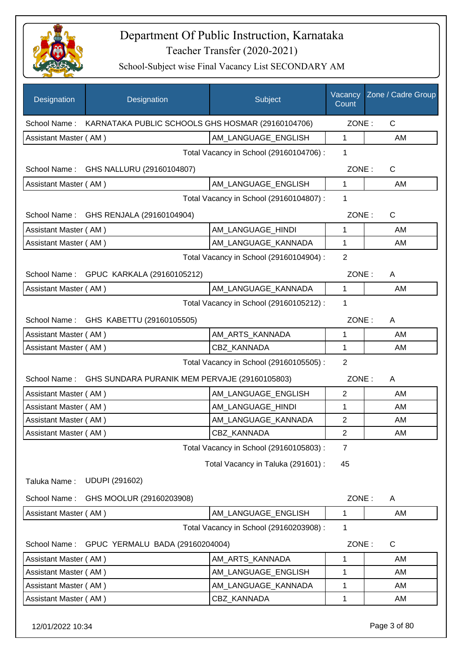

| Designation           | Designation                                                    | Subject                                 | Vacancy<br>Count | Zone / Cadre Group |
|-----------------------|----------------------------------------------------------------|-----------------------------------------|------------------|--------------------|
|                       | School Name: KARNATAKA PUBLIC SCHOOLS GHS HOSMAR (29160104706) |                                         | ZONE:            | $\mathsf{C}$       |
| Assistant Master (AM) |                                                                | AM LANGUAGE ENGLISH                     | $\mathbf{1}$     | AM                 |
|                       |                                                                | Total Vacancy in School (29160104706) : | 1                |                    |
|                       | School Name: GHS NALLURU (29160104807)                         |                                         | ZONE:            | C                  |
| Assistant Master (AM) |                                                                | AM LANGUAGE ENGLISH                     | $\mathbf{1}$     | AM                 |
|                       |                                                                | Total Vacancy in School (29160104807) : | 1                |                    |
|                       | School Name: GHS RENJALA (29160104904)                         |                                         | ZONE:            | $\mathsf{C}$       |
| Assistant Master (AM) |                                                                | AM_LANGUAGE_HINDI                       | 1                | AM                 |
| Assistant Master (AM) |                                                                | AM_LANGUAGE_KANNADA                     | 1                | AM                 |
|                       |                                                                | Total Vacancy in School (29160104904) : | $\overline{2}$   |                    |
|                       | School Name: GPUC KARKALA (29160105212)                        |                                         | ZONE:            | A                  |
| Assistant Master (AM) |                                                                | AM_LANGUAGE_KANNADA                     | 1                | AM                 |
|                       |                                                                | Total Vacancy in School (29160105212) : | $\mathbf 1$      |                    |
|                       | School Name: GHS KABETTU (29160105505)                         |                                         | ZONE:            | A                  |
| Assistant Master (AM) |                                                                | AM_ARTS_KANNADA                         | 1                | AM                 |
| Assistant Master (AM) |                                                                | CBZ_KANNADA                             | 1                | AM                 |
|                       |                                                                | Total Vacancy in School (29160105505) : | $\overline{2}$   |                    |
|                       | School Name: GHS SUNDARA PURANIK MEM PERVAJE (29160105803)     |                                         | ZONE:            | A                  |
| Assistant Master (AM) |                                                                | AM_LANGUAGE_ENGLISH                     | $\overline{2}$   | AM                 |
| Assistant Master (AM) |                                                                | AM_LANGUAGE_HINDI                       | 1                | AM                 |
| Assistant Master (AM) |                                                                | AM_LANGUAGE_KANNADA                     | $\overline{2}$   | AM                 |
| Assistant Master (AM) |                                                                | CBZ_KANNADA                             | 2                | AM                 |
|                       |                                                                | Total Vacancy in School (29160105803) : | $\overline{7}$   |                    |
|                       |                                                                | Total Vacancy in Taluka (291601) :      | 45               |                    |
| Taluka Name:          | <b>UDUPI (291602)</b>                                          |                                         |                  |                    |
| School Name:          | GHS MOOLUR (29160203908)                                       |                                         | ZONE:            | A                  |
| Assistant Master (AM) |                                                                | AM_LANGUAGE_ENGLISH                     | 1                | AM                 |
|                       |                                                                | Total Vacancy in School (29160203908) : | 1                |                    |
| School Name:          | GPUC YERMALU BADA (29160204004)                                |                                         | ZONE:            | C                  |
| Assistant Master (AM) |                                                                | AM ARTS KANNADA                         | 1                | AM                 |
| Assistant Master (AM) |                                                                | AM_LANGUAGE_ENGLISH                     | 1                | AM                 |
| Assistant Master (AM) |                                                                | AM_LANGUAGE_KANNADA                     | 1                | AM                 |
| Assistant Master (AM) |                                                                | CBZ_KANNADA                             | 1                | AM                 |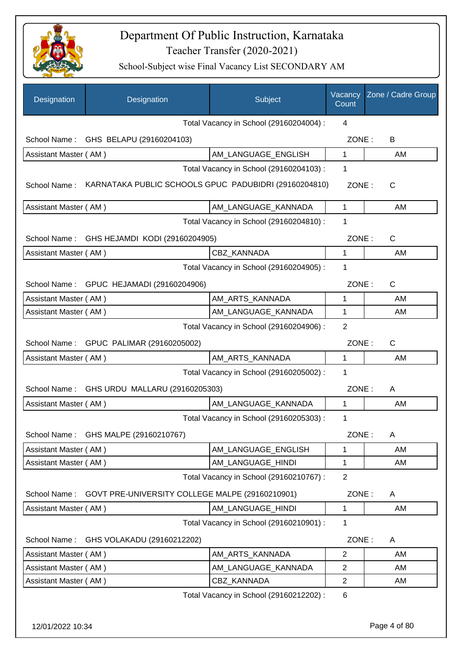

| Designation           | Designation                                           | Subject                                 | Vacancy<br>Count | Zone / Cadre Group |
|-----------------------|-------------------------------------------------------|-----------------------------------------|------------------|--------------------|
|                       |                                                       | Total Vacancy in School (29160204004) : | 4                |                    |
|                       | School Name: GHS BELAPU (29160204103)                 |                                         | ZONE:            | В                  |
| Assistant Master (AM) |                                                       | AM_LANGUAGE_ENGLISH                     | 1                | AM                 |
|                       |                                                       | Total Vacancy in School (29160204103) : | 1                |                    |
| School Name:          | KARNATAKA PUBLIC SCHOOLS GPUC PADUBIDRI (29160204810) |                                         | ZONE:            | C                  |
| Assistant Master (AM) |                                                       | AM_LANGUAGE_KANNADA                     | 1                | AM                 |
|                       |                                                       | Total Vacancy in School (29160204810) : | 1                |                    |
|                       | School Name: GHS HEJAMDI KODI (29160204905)           |                                         | ZONE:            | C                  |
| Assistant Master (AM) |                                                       | CBZ KANNADA                             | $\mathbf{1}$     | AM                 |
|                       |                                                       | Total Vacancy in School (29160204905) : | 1                |                    |
|                       | School Name: GPUC HEJAMADI (29160204906)              |                                         | ZONE:            | $\mathsf{C}$       |
| Assistant Master (AM) |                                                       | AM ARTS KANNADA                         | 1                | AM                 |
| Assistant Master (AM) |                                                       | AM_LANGUAGE_KANNADA                     | 1                | AM                 |
|                       |                                                       | Total Vacancy in School (29160204906) : | 2                |                    |
|                       | School Name: GPUC PALIMAR (29160205002)               |                                         | ZONE:            | $\mathsf{C}$       |
| Assistant Master (AM) |                                                       | AM_ARTS_KANNADA                         | $\mathbf{1}$     | AM                 |
|                       |                                                       | Total Vacancy in School (29160205002) : | 1                |                    |
| School Name:          | GHS URDU MALLARU (29160205303)                        |                                         | ZONE:            | A                  |
| Assistant Master (AM) |                                                       | AM_LANGUAGE_KANNADA                     | 1                | AM                 |
|                       |                                                       | Total Vacancy in School (29160205303) : | 1                |                    |
| School Name:          | GHS MALPE (29160210767)                               |                                         | ZONE:            | Α                  |
| Assistant Master (AM) |                                                       | AM LANGUAGE ENGLISH                     | 1                | AM                 |
| Assistant Master (AM) |                                                       | AM_LANGUAGE_HINDI                       | 1                | AM                 |
|                       |                                                       | Total Vacancy in School (29160210767) : | $\overline{2}$   |                    |
| School Name:          | GOVT PRE-UNIVERSITY COLLEGE MALPE (29160210901)       |                                         | ZONE:            | A                  |
| Assistant Master (AM) |                                                       | AM_LANGUAGE_HINDI                       | 1                | AM                 |
|                       |                                                       | Total Vacancy in School (29160210901) : | 1                |                    |
| School Name:          | GHS VOLAKADU (29160212202)                            |                                         | ZONE:            | Α                  |
| Assistant Master (AM) |                                                       | AM_ARTS_KANNADA                         | $\overline{2}$   | AM                 |
| Assistant Master (AM) |                                                       | AM_LANGUAGE_KANNADA                     | $\overline{2}$   | AM                 |
| Assistant Master (AM) |                                                       | CBZ_KANNADA                             | $\overline{2}$   | AM                 |
|                       |                                                       | Total Vacancy in School (29160212202) : | 6                |                    |
| 12/01/2022 10:34      |                                                       |                                         |                  | Page 4 of 80       |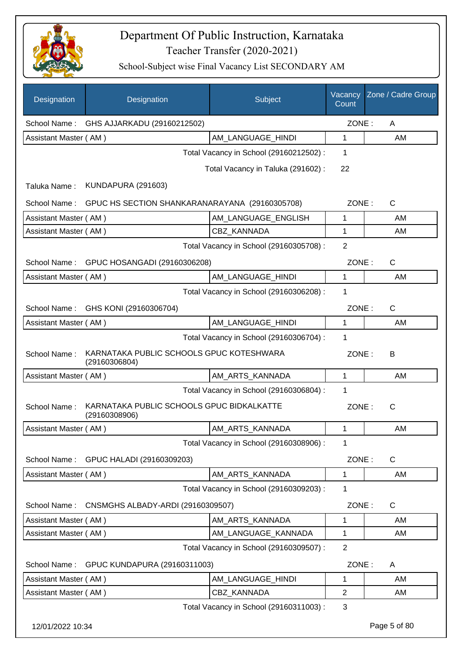

| Designation           | Designation                                                | Subject                                 | Vacancy<br>Count | Zone / Cadre Group |
|-----------------------|------------------------------------------------------------|-----------------------------------------|------------------|--------------------|
| School Name:          | GHS AJJARKADU (29160212502)                                |                                         | ZONE:            | A                  |
| Assistant Master (AM) |                                                            | AM_LANGUAGE_HINDI                       | 1                | AM                 |
|                       |                                                            | Total Vacancy in School (29160212502) : | 1                |                    |
|                       |                                                            | Total Vacancy in Taluka (291602):       | 22               |                    |
| Taluka Name:          | <b>KUNDAPURA (291603)</b>                                  |                                         |                  |                    |
| School Name:          | GPUC HS SECTION SHANKARANARAYANA (29160305708)             |                                         | ZONE:            | $\mathsf{C}$       |
| Assistant Master (AM) |                                                            | AM_LANGUAGE_ENGLISH                     | 1                | AM                 |
| Assistant Master (AM) |                                                            | <b>CBZ KANNADA</b>                      | 1                | AM                 |
|                       |                                                            | Total Vacancy in School (29160305708) : | $\overline{2}$   |                    |
| School Name:          | GPUC HOSANGADI (29160306208)                               |                                         | ZONE:            | $\mathsf{C}$       |
| Assistant Master (AM) |                                                            | AM LANGUAGE HINDI                       | 1                | AM                 |
|                       |                                                            | Total Vacancy in School (29160306208) : | 1                |                    |
| School Name:          | GHS KONI (29160306704)                                     |                                         | ZONE:            | $\mathsf{C}$       |
| Assistant Master (AM) |                                                            | AM_LANGUAGE_HINDI                       | 1                | AM                 |
|                       |                                                            | Total Vacancy in School (29160306704) : | 1                |                    |
| School Name:          | KARNATAKA PUBLIC SCHOOLS GPUC KOTESHWARA<br>(29160306804)  |                                         | ZONE:            | B                  |
| Assistant Master (AM) |                                                            | AM_ARTS_KANNADA                         | 1                | AM                 |
|                       |                                                            | Total Vacancy in School (29160306804) : | 1                |                    |
| School Name:          | KARNATAKA PUBLIC SCHOOLS GPUC BIDKALKATTE<br>(29160308906) |                                         | ZONE:            | $\mathsf{C}$       |
| Assistant Master (AM) |                                                            | AM_ARTS_KANNADA                         | $\mathbf 1$      | AM                 |
|                       |                                                            | Total Vacancy in School (29160308906) : | 1                |                    |
| School Name:          | GPUC HALADI (29160309203)                                  |                                         | ZONE:            | C                  |
| Assistant Master (AM) |                                                            | AM_ARTS_KANNADA                         | 1                | AM                 |
|                       |                                                            | Total Vacancy in School (29160309203) : | 1                |                    |
| School Name:          | CNSMGHS ALBADY-ARDI (29160309507)                          |                                         | ZONE:            | $\mathsf{C}$       |
| Assistant Master (AM) |                                                            | AM_ARTS_KANNADA                         | 1                | AM                 |
| Assistant Master (AM) |                                                            | AM_LANGUAGE_KANNADA                     | 1                | AM                 |
|                       |                                                            | Total Vacancy in School (29160309507) : | $\overline{2}$   |                    |
| School Name:          | GPUC KUNDAPURA (29160311003)                               |                                         | ZONE:            | A                  |
| Assistant Master (AM) |                                                            | AM_LANGUAGE_HINDI                       | 1                | AM                 |
| Assistant Master (AM) |                                                            | CBZ_KANNADA                             | $\overline{2}$   | AM                 |
|                       |                                                            | Total Vacancy in School (29160311003) : | 3                |                    |
| 12/01/2022 10:34      |                                                            |                                         |                  | Page 5 of 80       |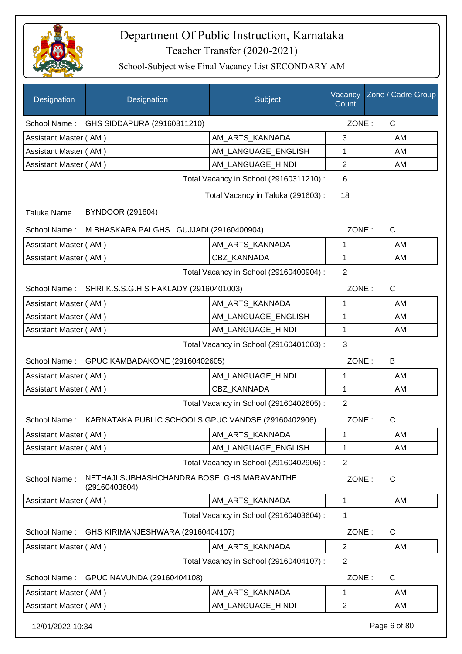

| Designation           | Designation                                                     | Subject                                 | Count          | Vacancy Zone / Cadre Group |
|-----------------------|-----------------------------------------------------------------|-----------------------------------------|----------------|----------------------------|
|                       | School Name: GHS SIDDAPURA (29160311210)                        |                                         | ZONE:          | $\mathsf{C}$               |
| Assistant Master (AM) |                                                                 | AM ARTS KANNADA                         | 3              | AM                         |
| Assistant Master (AM) |                                                                 | AM_LANGUAGE_ENGLISH                     | 1              | AM                         |
| Assistant Master (AM) |                                                                 | AM_LANGUAGE_HINDI                       | $\overline{2}$ | AM                         |
|                       |                                                                 | Total Vacancy in School (29160311210) : | 6              |                            |
|                       |                                                                 | Total Vacancy in Taluka (291603):       | 18             |                            |
| Taluka Name:          | <b>BYNDOOR (291604)</b>                                         |                                         |                |                            |
| School Name:          | M BHASKARA PAI GHS GUJJADI (29160400904)                        |                                         | ZONE:          | $\mathsf{C}$               |
| Assistant Master (AM) |                                                                 | AM_ARTS_KANNADA                         | 1              | AM                         |
| Assistant Master (AM) |                                                                 | CBZ_KANNADA                             | $\mathbf{1}$   | AM                         |
|                       |                                                                 | Total Vacancy in School (29160400904) : | $\overline{2}$ |                            |
|                       | School Name: SHRI K.S.S.G.H.S HAKLADY (29160401003)             |                                         | ZONE:          | $\mathsf{C}$               |
| Assistant Master (AM) |                                                                 | AM ARTS KANNADA                         | 1              | AM                         |
| Assistant Master (AM) |                                                                 | AM_LANGUAGE_ENGLISH                     | 1              | AM                         |
| Assistant Master (AM) |                                                                 | AM_LANGUAGE_HINDI                       | 1              | AM                         |
|                       |                                                                 | Total Vacancy in School (29160401003) : | 3              |                            |
| School Name:          | GPUC KAMBADAKONE (29160402605)                                  |                                         | ZONE:          | B                          |
| Assistant Master (AM) |                                                                 | AM_LANGUAGE_HINDI                       | 1              | AM                         |
| Assistant Master (AM) |                                                                 | <b>CBZ KANNADA</b>                      | $\mathbf{1}$   | AM                         |
|                       |                                                                 | Total Vacancy in School (29160402605) : | $\overline{2}$ |                            |
|                       | School Name: KARNATAKA PUBLIC SCHOOLS GPUC VANDSE (29160402906) |                                         | ZONE:          | $\mathsf{C}$               |
| Assistant Master (AM) |                                                                 | AM_ARTS_KANNADA                         | 1              | AM                         |
| Assistant Master (AM) |                                                                 | AM LANGUAGE ENGLISH                     | 1              | AM                         |
|                       |                                                                 | Total Vacancy in School (29160402906) : | $\overline{2}$ |                            |
| School Name:          | NETHAJI SUBHASHCHANDRA BOSE GHS MARAVANTHE<br>(29160403604)     |                                         | ZONE:          | $\mathsf{C}$               |
| Assistant Master (AM) |                                                                 | AM_ARTS_KANNADA                         | 1              | AM                         |
|                       |                                                                 | Total Vacancy in School (29160403604) : | 1              |                            |
| School Name:          | GHS KIRIMANJESHWARA (29160404107)                               |                                         | ZONE:          | C                          |
| Assistant Master (AM) |                                                                 | AM_ARTS_KANNADA                         | $\overline{2}$ | AM                         |
|                       |                                                                 | Total Vacancy in School (29160404107) : | $\overline{2}$ |                            |
| School Name:          | GPUC NAVUNDA (29160404108)                                      |                                         | ZONE:          | C                          |
| Assistant Master (AM) |                                                                 | AM_ARTS_KANNADA                         | $\mathbf 1$    | AM                         |
| Assistant Master (AM) |                                                                 | AM_LANGUAGE_HINDI                       | $\mathbf{2}$   | AM                         |
| 12/01/2022 10:34      |                                                                 |                                         |                | Page 6 of 80               |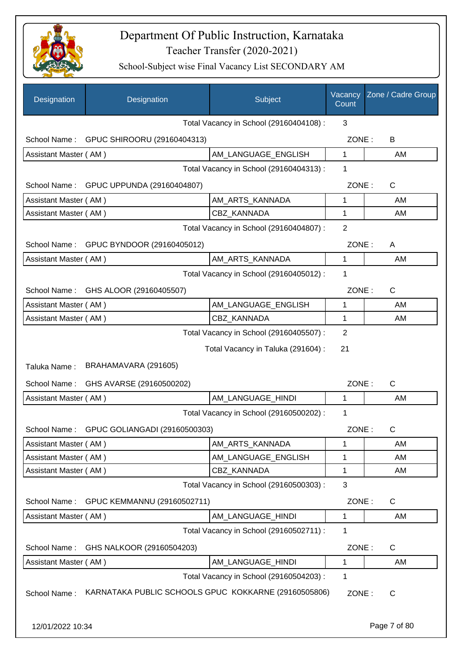

| Designation                                    | Designation                                          | Subject                                 | Vacancy<br>Count | Zone / Cadre Group |
|------------------------------------------------|------------------------------------------------------|-----------------------------------------|------------------|--------------------|
|                                                |                                                      | Total Vacancy in School (29160404108) : | 3                |                    |
|                                                | School Name: GPUC SHIROORU (29160404313)             |                                         | ZONE:            | B                  |
| Assistant Master (AM)                          |                                                      | AM LANGUAGE ENGLISH                     | $\mathbf{1}$     | AM                 |
|                                                |                                                      | Total Vacancy in School (29160404313) : | 1                |                    |
|                                                | School Name: GPUC UPPUNDA (29160404807)              |                                         | ZONE:            | C                  |
| Assistant Master (AM)                          |                                                      | AM_ARTS_KANNADA                         | 1                | AM                 |
| Assistant Master (AM)                          |                                                      | <b>CBZ KANNADA</b>                      | $\mathbf 1$      | AM                 |
|                                                |                                                      | Total Vacancy in School (29160404807) : | $\overline{2}$   |                    |
|                                                | School Name: GPUC BYNDOOR (29160405012)              |                                         | ZONE:            | A                  |
| Assistant Master (AM)                          |                                                      | AM_ARTS_KANNADA                         | $\mathbf{1}$     | <b>AM</b>          |
|                                                |                                                      | Total Vacancy in School (29160405012) : | 1                |                    |
| School Name:                                   | GHS ALOOR (29160405507)                              |                                         | ZONE:            | C                  |
| Assistant Master (AM)                          |                                                      | AM_LANGUAGE_ENGLISH                     | 1                | AM                 |
| Assistant Master (AM)                          |                                                      | CBZ KANNADA                             | 1                | AM                 |
|                                                |                                                      | Total Vacancy in School (29160405507) : | $\overline{2}$   |                    |
|                                                |                                                      | Total Vacancy in Taluka (291604) :      | 21               |                    |
| Taluka Name:                                   | BRAHAMAVARA (291605)                                 |                                         |                  |                    |
|                                                | School Name: GHS AVARSE (29160500202)                |                                         | ZONE:            | C                  |
| Assistant Master (AM)                          |                                                      | AM LANGUAGE HINDI                       | $\mathbf{1}$     | AM                 |
|                                                |                                                      | Total Vacancy in School (29160500202) : | 1                |                    |
| School Name:                                   |                                                      |                                         | ZONE:            | С                  |
|                                                | GPUC GOLIANGADI (29160500303)                        |                                         |                  |                    |
| Assistant Master (AM)<br>Assistant Master (AM) |                                                      | AM_ARTS_KANNADA<br>AM_LANGUAGE_ENGLISH  | 1<br>1           | AM<br>AM           |
| Assistant Master (AM)                          |                                                      | CBZ_KANNADA                             | 1                | AM                 |
|                                                |                                                      | Total Vacancy in School (29160500303) : | 3                |                    |
| School Name:                                   | GPUC KEMMANNU (29160502711)                          |                                         | ZONE:            | $\mathsf{C}$       |
| Assistant Master (AM)                          |                                                      | AM_LANGUAGE_HINDI                       | 1                | AM                 |
|                                                |                                                      | Total Vacancy in School (29160502711) : | 1                |                    |
| School Name:                                   | GHS NALKOOR (29160504203)                            |                                         | ZONE:            | $\mathsf{C}$       |
| Assistant Master (AM)                          |                                                      | AM_LANGUAGE_HINDI                       | 1                | AM                 |
|                                                |                                                      | Total Vacancy in School (29160504203) : | 1                |                    |
| School Name:                                   | KARNATAKA PUBLIC SCHOOLS GPUC KOKKARNE (29160505806) |                                         | ZONE:            | C                  |
| 12/01/2022 10:34                               |                                                      |                                         |                  | Page 7 of 80       |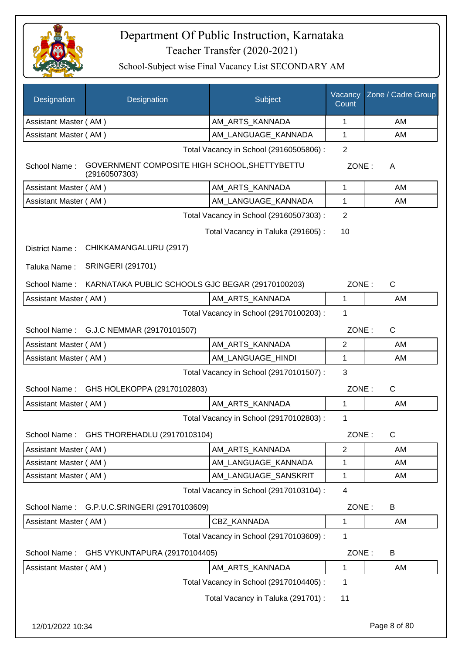

| Designation           | Designation                                                    | Subject                                 | Vacancy<br>Count | Zone / Cadre Group |
|-----------------------|----------------------------------------------------------------|-----------------------------------------|------------------|--------------------|
| Assistant Master (AM) |                                                                | AM_ARTS_KANNADA                         | 1                | AM                 |
| Assistant Master (AM) |                                                                | AM_LANGUAGE_KANNADA                     | 1                | AM                 |
|                       | Total Vacancy in School (29160505806) :                        |                                         |                  |                    |
| School Name:          | GOVERNMENT COMPOSITE HIGH SCHOOL, SHETTYBETTU<br>(29160507303) |                                         | ZONE:            | A                  |
| Assistant Master (AM) |                                                                | AM_ARTS_KANNADA                         | 1                | AM                 |
| Assistant Master (AM) |                                                                | AM_LANGUAGE_KANNADA                     | 1                | AM                 |
|                       |                                                                | Total Vacancy in School (29160507303) : | $\overline{2}$   |                    |
|                       |                                                                | Total Vacancy in Taluka (291605):       | 10               |                    |
| District Name:        | CHIKKAMANGALURU (2917)                                         |                                         |                  |                    |
| Taluka Name:          | <b>SRINGERI (291701)</b>                                       |                                         |                  |                    |
| School Name:          | KARNATAKA PUBLIC SCHOOLS GJC BEGAR (29170100203)               |                                         | ZONE:            | $\mathsf{C}$       |
| Assistant Master (AM) |                                                                | AM_ARTS_KANNADA                         | 1                | AM                 |
|                       |                                                                | Total Vacancy in School (29170100203) : | 1                |                    |
|                       | School Name: G.J.C NEMMAR (29170101507)                        |                                         | ZONE:            | $\mathsf{C}$       |
| Assistant Master (AM) |                                                                | AM_ARTS_KANNADA                         | $\overline{2}$   | AM                 |
| Assistant Master (AM) |                                                                | AM_LANGUAGE_HINDI                       | 1                | AM                 |
|                       |                                                                | Total Vacancy in School (29170101507) : | 3                |                    |
| School Name:          | GHS HOLEKOPPA (29170102803)                                    |                                         | ZONE:            | C                  |
| Assistant Master (AM) |                                                                | AM_ARTS_KANNADA                         | 1                | AM                 |
|                       |                                                                | Total Vacancy in School (29170102803) : | 1                |                    |
| School Name:          | GHS THOREHADLU (29170103104)                                   |                                         | ZONE:            | C                  |
| Assistant Master (AM) |                                                                | AM_ARTS_KANNADA                         | $\overline{2}$   | AM                 |
| Assistant Master (AM) |                                                                | AM LANGUAGE KANNADA                     | 1                | AM                 |
| Assistant Master (AM) |                                                                | AM_LANGUAGE_SANSKRIT                    | 1                | AM                 |
|                       |                                                                | Total Vacancy in School (29170103104) : | 4                |                    |
| School Name:          | G.P.U.C.SRINGERI (29170103609)                                 |                                         | ZONE:            | B                  |
| Assistant Master (AM) |                                                                | CBZ_KANNADA                             | 1                | AM                 |
|                       |                                                                | Total Vacancy in School (29170103609) : | 1                |                    |
| School Name:          | GHS VYKUNTAPURA (29170104405)                                  |                                         | ZONE:            | B                  |
| Assistant Master (AM) |                                                                | AM_ARTS_KANNADA                         | 1                | AM                 |
|                       |                                                                | Total Vacancy in School (29170104405) : | 1                |                    |
|                       |                                                                | Total Vacancy in Taluka (291701) :      | 11               |                    |
|                       |                                                                |                                         |                  |                    |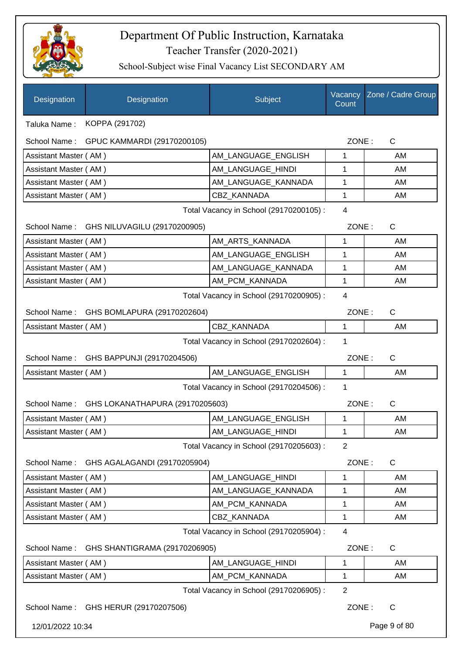

| Designation                             | Designation                               | Subject                                 | Vacancy<br>Count | Zone / Cadre Group |
|-----------------------------------------|-------------------------------------------|-----------------------------------------|------------------|--------------------|
| Taluka Name :                           | KOPPA (291702)                            |                                         |                  |                    |
| School Name:                            | GPUC KAMMARDI (29170200105)               |                                         | ZONE:            | C                  |
| Assistant Master (AM)                   |                                           | AM_LANGUAGE_ENGLISH                     | 1                | AM                 |
| Assistant Master (AM)                   |                                           | AM_LANGUAGE_HINDI                       | 1                | AM                 |
| Assistant Master (AM)                   |                                           | AM_LANGUAGE_KANNADA                     | 1                | AM                 |
| Assistant Master (AM)                   |                                           | <b>CBZ KANNADA</b>                      | 1                | AM                 |
|                                         |                                           | Total Vacancy in School (29170200105) : | $\overline{4}$   |                    |
|                                         | School Name: GHS NILUVAGILU (29170200905) |                                         | ZONE:            | $\mathsf{C}$       |
| Assistant Master (AM)                   |                                           | AM_ARTS_KANNADA                         | 1                | AM                 |
| Assistant Master (AM)                   |                                           | AM_LANGUAGE_ENGLISH                     | 1                | AM                 |
| Assistant Master (AM)                   |                                           | AM_LANGUAGE_KANNADA                     | 1                | AM                 |
| Assistant Master (AM)                   |                                           | AM_PCM_KANNADA                          | 1                | AM                 |
| Total Vacancy in School (29170200905) : |                                           |                                         | $\overline{4}$   |                    |
|                                         | School Name: GHS BOMLAPURA (29170202604)  |                                         | ZONE:            | $\mathsf{C}$       |
| Assistant Master (AM)                   |                                           | CBZ_KANNADA                             | $\mathbf{1}$     | AM                 |
|                                         |                                           | Total Vacancy in School (29170202604) : | 1                |                    |
|                                         | School Name: GHS BAPPUNJI (29170204506)   |                                         | ZONE:            | C                  |
| Assistant Master (AM)                   |                                           | AM_LANGUAGE_ENGLISH                     | $\mathbf{1}$     | AM                 |
|                                         |                                           | Total Vacancy in School (29170204506) : | 1                |                    |
| School Name:                            | GHS LOKANATHAPURA (29170205603)           |                                         | ZONE:            | $\mathsf{C}$       |
| Assistant Master (AM)                   |                                           | AM_LANGUAGE_ENGLISH                     | 1                | AM                 |
| Assistant Master (AM)                   |                                           | AM_LANGUAGE_HINDI                       | 1                | AM                 |
|                                         |                                           | Total Vacancy in School (29170205603) : | $\overline{2}$   |                    |
| School Name:                            | GHS AGALAGANDI (29170205904)              |                                         | ZONE:            | C                  |
| Assistant Master (AM)                   |                                           | AM_LANGUAGE_HINDI                       | 1                | AM                 |
| Assistant Master (AM)                   |                                           | AM_LANGUAGE_KANNADA                     | 1                | AM                 |
| Assistant Master (AM)                   |                                           | AM_PCM_KANNADA                          | 1                | AM                 |
| Assistant Master (AM)                   |                                           | CBZ_KANNADA                             | 1                | AM                 |
|                                         |                                           | Total Vacancy in School (29170205904) : | $\overline{4}$   |                    |
| School Name:                            | GHS SHANTIGRAMA (29170206905)             |                                         | ZONE:            | C                  |
| Assistant Master (AM)                   |                                           | AM_LANGUAGE_HINDI                       | 1                | AM                 |
| Assistant Master (AM)                   |                                           | AM_PCM_KANNADA                          | 1                | AM                 |
|                                         |                                           | Total Vacancy in School (29170206905) : | $\overline{2}$   |                    |
|                                         | School Name: GHS HERUR (29170207506)      |                                         | ZONE:            | C                  |
| 12/01/2022 10:34                        |                                           |                                         |                  | Page 9 of 80       |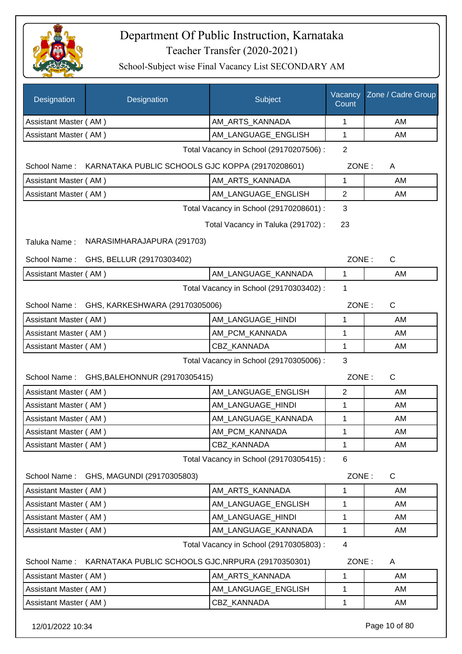

School-Subject wise Final Vacancy List SECONDARY AM

| Designation           | Designation                                        | Subject                                 | Vacancy<br>Count | Zone / Cadre Group |  |
|-----------------------|----------------------------------------------------|-----------------------------------------|------------------|--------------------|--|
| Assistant Master (AM) |                                                    | AM_ARTS_KANNADA                         | 1                | AM                 |  |
| Assistant Master (AM) |                                                    | AM LANGUAGE ENGLISH                     | $\mathbf{1}$     | AM                 |  |
|                       |                                                    | Total Vacancy in School (29170207506) : | $\overline{2}$   |                    |  |
| School Name:          | KARNATAKA PUBLIC SCHOOLS GJC KOPPA (29170208601)   |                                         | ZONE:            | A                  |  |
| Assistant Master (AM) |                                                    | AM_ARTS_KANNADA                         | 1                | AM                 |  |
| Assistant Master (AM) |                                                    | AM_LANGUAGE_ENGLISH                     | $\overline{2}$   | AM                 |  |
|                       |                                                    | Total Vacancy in School (29170208601) : | 3                |                    |  |
|                       |                                                    | Total Vacancy in Taluka (291702):       | 23               |                    |  |
| Taluka Name:          | NARASIMHARAJAPURA (291703)                         |                                         |                  |                    |  |
| School Name:          | GHS, BELLUR (29170303402)                          |                                         | ZONE:            | $\mathsf{C}$       |  |
| Assistant Master (AM) |                                                    | AM_LANGUAGE_KANNADA                     | 1                | AM                 |  |
|                       |                                                    | Total Vacancy in School (29170303402) : | 1                |                    |  |
| School Name:          | GHS, KARKESHWARA (29170305006)                     |                                         | ZONE:            | $\mathsf{C}$       |  |
| Assistant Master (AM) |                                                    | AM_LANGUAGE_HINDI                       | 1                | AM                 |  |
| Assistant Master (AM) |                                                    | AM_PCM_KANNADA                          | 1                | AM                 |  |
| Assistant Master (AM) |                                                    | <b>CBZ KANNADA</b>                      | 1                | AM                 |  |
|                       |                                                    | Total Vacancy in School (29170305006) : | 3                |                    |  |
| School Name:          | GHS, BALEHONNUR (29170305415)                      |                                         | ZONE:            | C                  |  |
| Assistant Master (AM) |                                                    | AM LANGUAGE ENGLISH                     | $\overline{2}$   | AM                 |  |
| Assistant Master (AM) |                                                    | AM_LANGUAGE_HINDI                       | 1                | AM                 |  |
| Assistant Master (AM) |                                                    | AM_LANGUAGE_KANNADA                     | 1                | AM                 |  |
| Assistant Master (AM) |                                                    | AM_PCM_KANNADA                          | 1                | AM                 |  |
| Assistant Master (AM) |                                                    | CBZ KANNADA                             | 1                | AM                 |  |
|                       |                                                    | Total Vacancy in School (29170305415) : | 6                |                    |  |
| School Name:          | GHS, MAGUNDI (29170305803)                         |                                         | ZONE:            | $\mathsf{C}$       |  |
| Assistant Master (AM) |                                                    | AM ARTS KANNADA                         | 1                | AM                 |  |
| Assistant Master (AM) |                                                    | AM LANGUAGE ENGLISH                     | 1                | AM                 |  |
| Assistant Master (AM) |                                                    | AM LANGUAGE HINDI                       | 1                | AM                 |  |
| Assistant Master (AM) |                                                    | AM_LANGUAGE_KANNADA                     | 1                | AM                 |  |
|                       | Total Vacancy in School (29170305803) :<br>4       |                                         |                  |                    |  |
| School Name:          | KARNATAKA PUBLIC SCHOOLS GJC, NRPURA (29170350301) |                                         | ZONE:            | A                  |  |
| Assistant Master (AM) |                                                    | AM_ARTS_KANNADA                         | 1                | AM                 |  |
| Assistant Master (AM) |                                                    | AM_LANGUAGE_ENGLISH                     | 1                | AM                 |  |
| Assistant Master (AM) |                                                    | CBZ_KANNADA                             | 1                | AM                 |  |

12/01/2022 10:34 Page 10 of 80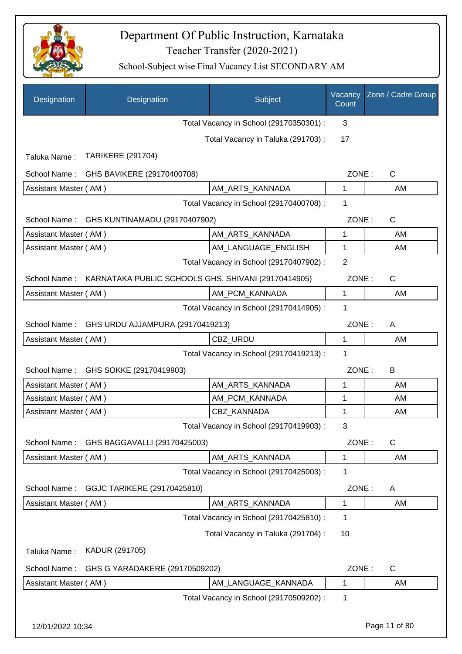

| Designation           | Designation                                         | Subject                                 | Vacancy<br>Count | Zone / Cadre Group |
|-----------------------|-----------------------------------------------------|-----------------------------------------|------------------|--------------------|
|                       |                                                     | Total Vacancy in School (29170350301) : | 3                |                    |
|                       |                                                     | Total Vacancy in Taluka (291703):       | 17               |                    |
| Taluka Name:          | <b>TARIKERE (291704)</b>                            |                                         |                  |                    |
| School Name:          | GHS BAVIKERE (29170400708)                          |                                         | ZONE:            | C                  |
| Assistant Master (AM) |                                                     | AM_ARTS_KANNADA                         | 1                | AM                 |
|                       |                                                     | Total Vacancy in School (29170400708) : | 1                |                    |
|                       | School Name: GHS KUNTINAMADU (29170407902)          |                                         | ZONE:            | $\mathsf{C}$       |
| Assistant Master (AM) |                                                     | AM ARTS KANNADA                         | 1                | AM                 |
| Assistant Master (AM) |                                                     | AM_LANGUAGE_ENGLISH                     | 1                | AM                 |
|                       |                                                     | Total Vacancy in School (29170407902) : | $\overline{2}$   |                    |
| School Name:          | KARNATAKA PUBLIC SCHOOLS GHS. SHIVANI (29170414905) |                                         | ZONE:            | C                  |
| Assistant Master (AM) |                                                     | AM_PCM_KANNADA                          | $\mathbf{1}$     | AM                 |
|                       |                                                     | Total Vacancy in School (29170414905) : | 1                |                    |
| School Name:          | GHS URDU AJJAMPURA (29170419213)                    |                                         | ZONE:            | A                  |
| Assistant Master (AM) |                                                     | CBZ_URDU                                | 1                | AM                 |
|                       |                                                     | Total Vacancy in School (29170419213) : | 1                |                    |
| School Name:          | GHS SOKKE (29170419903)                             |                                         | ZONE:            | B                  |
| Assistant Master (AM) |                                                     | AM_ARTS_KANNADA                         | 1                | AM                 |
| Assistant Master (AM) |                                                     | AM_PCM_KANNADA                          | 1                | AM                 |
| Assistant Master (AM) |                                                     | CBZ_KANNADA                             | 1                | AM                 |
|                       |                                                     | Total Vacancy in School (29170419903) : | 3                |                    |
| School Name:          | GHS BAGGAVALLI (29170425003)                        |                                         | ZONE:            | $\mathsf C$        |
| Assistant Master (AM) |                                                     | AM_ARTS_KANNADA                         | 1                | AM                 |
|                       |                                                     | Total Vacancy in School (29170425003) : | 1                |                    |
| School Name:          | GGJC TARIKERE (29170425810)                         |                                         | ZONE:            | A                  |
| Assistant Master (AM) |                                                     | AM ARTS KANNADA                         | 1                | AM                 |
|                       |                                                     | Total Vacancy in School (29170425810) : | 1                |                    |
|                       |                                                     | Total Vacancy in Taluka (291704) :      | 10               |                    |
| Taluka Name:          | KADUR (291705)                                      |                                         |                  |                    |
| School Name:          | GHS G YARADAKERE (29170509202)                      |                                         | ZONE:            | $\mathsf{C}$       |
| Assistant Master (AM) |                                                     | AM_LANGUAGE_KANNADA                     | 1                | AM                 |
|                       |                                                     | Total Vacancy in School (29170509202) : | 1                |                    |
|                       |                                                     |                                         |                  |                    |
| 12/01/2022 10:34      |                                                     |                                         |                  | Page 11 of 80      |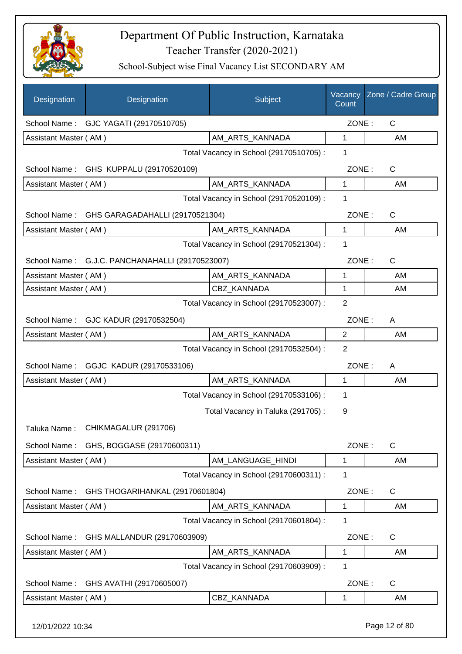

| Designation           | Designation                                     | Subject                                 | Vacancy<br>Count | Zone / Cadre Group |
|-----------------------|-------------------------------------------------|-----------------------------------------|------------------|--------------------|
| School Name:          | GJC YAGATI (29170510705)                        |                                         | ZONE:            | $\mathsf{C}$       |
| Assistant Master (AM) |                                                 | AM_ARTS_KANNADA                         | 1                | AM                 |
|                       |                                                 | Total Vacancy in School (29170510705) : | 1                |                    |
| School Name:          | GHS KUPPALU (29170520109)                       |                                         | ZONE:            | $\mathsf C$        |
| Assistant Master (AM) |                                                 | AM_ARTS_KANNADA                         | 1                | AM                 |
|                       |                                                 | Total Vacancy in School (29170520109) : | 1                |                    |
| School Name:          | GHS GARAGADAHALLI (29170521304)                 |                                         | ZONE:            | $\mathsf C$        |
| Assistant Master (AM) |                                                 | AM_ARTS_KANNADA                         | $\mathbf{1}$     | AM                 |
|                       |                                                 | Total Vacancy in School (29170521304) : | 1                |                    |
|                       | School Name: G.J.C. PANCHANAHALLI (29170523007) |                                         | ZONE:            | $\mathsf{C}$       |
| Assistant Master (AM) |                                                 | AM ARTS KANNADA                         | 1                | AM                 |
| Assistant Master (AM) |                                                 | CBZ_KANNADA                             | 1                | AM                 |
|                       |                                                 | Total Vacancy in School (29170523007) : | $\overline{2}$   |                    |
|                       | School Name: GJC KADUR (29170532504)            |                                         | ZONE:            | A                  |
| Assistant Master (AM) |                                                 | AM_ARTS_KANNADA                         | $\overline{2}$   | AM                 |
|                       |                                                 | Total Vacancy in School (29170532504) : | $\overline{2}$   |                    |
|                       | School Name: GGJC KADUR (29170533106)           |                                         | ZONE:            | A                  |
| Assistant Master (AM) |                                                 | AM_ARTS_KANNADA                         | 1                | AM                 |
|                       |                                                 | Total Vacancy in School (29170533106) : | 1                |                    |
|                       |                                                 | Total Vacancy in Taluka (291705):       | 9                |                    |
|                       | Taluka Name: CHIKMAGALUR (291706)               |                                         |                  |                    |
| School Name:          | GHS, BOGGASE (29170600311)                      |                                         | ZONE:            | $\mathsf C$        |
| Assistant Master (AM) |                                                 | AM_LANGUAGE_HINDI                       | $\mathbf 1$      | AM                 |
|                       |                                                 | Total Vacancy in School (29170600311) : | 1                |                    |
| School Name:          | GHS THOGARIHANKAL (29170601804)                 |                                         | ZONE:            | $\mathsf C$        |
| Assistant Master (AM) |                                                 | AM_ARTS_KANNADA                         | 1                | AM                 |
|                       |                                                 | Total Vacancy in School (29170601804) : | 1                |                    |
| School Name:          | GHS MALLANDUR (29170603909)                     |                                         | ZONE:            | $\mathsf C$        |
| Assistant Master (AM) |                                                 | AM_ARTS_KANNADA                         | 1                | AM                 |
|                       |                                                 | Total Vacancy in School (29170603909) : | 1                |                    |
| School Name:          | GHS AVATHI (29170605007)                        |                                         | ZONE:            | $\mathsf C$        |
| Assistant Master (AM) |                                                 | <b>CBZ KANNADA</b>                      | 1                | AM                 |
| 12/01/2022 10:34      |                                                 |                                         |                  | Page 12 of 80      |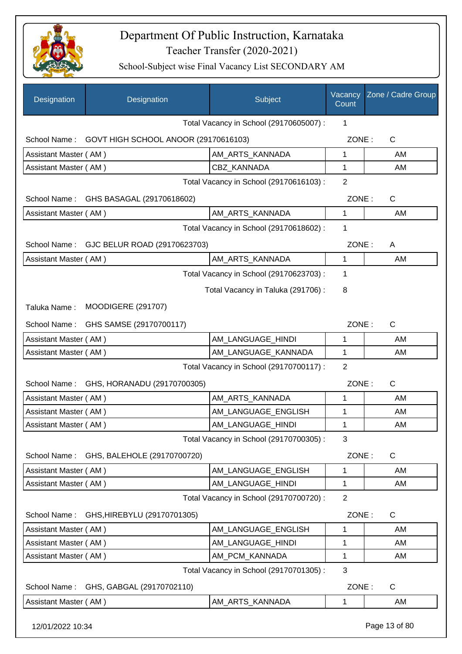

| Designation           | Designation                               | Subject                                 | Vacancy<br>Count | Zone / Cadre Group |
|-----------------------|-------------------------------------------|-----------------------------------------|------------------|--------------------|
|                       |                                           | Total Vacancy in School (29170605007) : | 1                |                    |
| School Name:          | GOVT HIGH SCHOOL ANOOR (29170616103)      |                                         | ZONE:            | $\mathsf{C}$       |
| Assistant Master (AM) |                                           | AM_ARTS_KANNADA                         | 1                | AM                 |
| Assistant Master (AM) |                                           | CBZ_KANNADA                             | 1                | AM                 |
|                       |                                           | Total Vacancy in School (29170616103) : | $\overline{2}$   |                    |
|                       | School Name: GHS BASAGAL (29170618602)    |                                         | ZONE:            | $\mathsf{C}$       |
| Assistant Master (AM) |                                           | AM_ARTS_KANNADA                         | 1                | AM                 |
|                       |                                           | Total Vacancy in School (29170618602) : | 1                |                    |
|                       | School Name: GJC BELUR ROAD (29170623703) |                                         | ZONE:            | A                  |
| Assistant Master (AM) |                                           | AM_ARTS_KANNADA                         | 1                | AM                 |
|                       |                                           | Total Vacancy in School (29170623703) : | 1                |                    |
|                       |                                           | Total Vacancy in Taluka (291706):       | 8                |                    |
| Taluka Name:          | <b>MOODIGERE (291707)</b>                 |                                         |                  |                    |
| School Name:          | GHS SAMSE (29170700117)                   |                                         | ZONE:            | $\mathsf{C}$       |
| Assistant Master (AM) |                                           | AM LANGUAGE_HINDI                       | 1                | AM                 |
| Assistant Master (AM) |                                           | AM_LANGUAGE_KANNADA                     | 1                | AM                 |
|                       |                                           | Total Vacancy in School (29170700117) : | $\overline{2}$   |                    |
|                       | School Name: GHS, HORANADU (29170700305)  |                                         | ZONE:            | C                  |
| Assistant Master (AM) |                                           | AM_ARTS_KANNADA                         | 1                | AM                 |
| Assistant Master (AM) |                                           | AM_LANGUAGE_ENGLISH                     | 1                | AM                 |
| Assistant Master (AM) |                                           | AM_LANGUAGE_HINDI                       | 1                | AM                 |
|                       |                                           | Total Vacancy in School (29170700305) : | 3                |                    |
|                       | School Name: GHS, BALEHOLE (29170700720)  |                                         | ZONE:            | $\mathsf{C}$       |
| Assistant Master (AM) |                                           | AM_LANGUAGE_ENGLISH                     | 1                | AM                 |
| Assistant Master (AM) |                                           | AM_LANGUAGE_HINDI                       | 1                | AM                 |
|                       |                                           | Total Vacancy in School (29170700720) : | $\overline{2}$   |                    |
|                       | School Name: GHS, HIREBYLU (29170701305)  |                                         | ZONE:            | C                  |
| Assistant Master (AM) |                                           | AM_LANGUAGE_ENGLISH                     | 1                | AM                 |
| Assistant Master (AM) |                                           | AM_LANGUAGE_HINDI                       | 1                | AM                 |
| Assistant Master (AM) |                                           | AM_PCM_KANNADA                          | 1                | AM                 |
|                       |                                           | Total Vacancy in School (29170701305) : | 3                |                    |
|                       | School Name: GHS, GABGAL (29170702110)    |                                         | ZONE:            | $\mathsf C$        |
| Assistant Master (AM) |                                           | AM_ARTS_KANNADA                         | 1                | AM                 |
| 12/01/2022 10:34      |                                           |                                         |                  | Page 13 of 80      |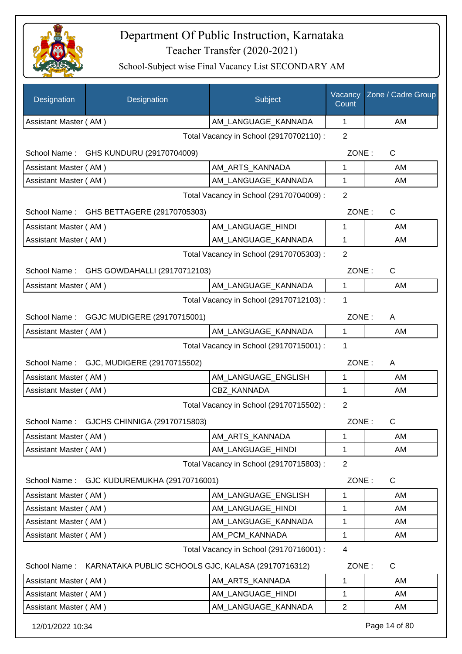

| Designation                             | Designation                                        | Subject                                 | Vacancy<br>Count | Zone / Cadre Group |
|-----------------------------------------|----------------------------------------------------|-----------------------------------------|------------------|--------------------|
| Assistant Master (AM)                   |                                                    | AM LANGUAGE KANNADA                     | $\mathbf{1}$     | AM                 |
|                                         |                                                    | Total Vacancy in School (29170702110) : | $\overline{2}$   |                    |
|                                         | School Name: GHS KUNDURU (29170704009)             |                                         | ZONE:            | C                  |
| Assistant Master (AM)                   |                                                    | AM ARTS KANNADA                         | 1                | AM                 |
| Assistant Master (AM)                   |                                                    | AM LANGUAGE KANNADA                     | 1                | AM                 |
| Total Vacancy in School (29170704009) : |                                                    |                                         | $\overline{2}$   |                    |
| School Name:                            | GHS BETTAGERE (29170705303)                        |                                         | ZONE:            | C                  |
| Assistant Master (AM)                   |                                                    | AM_LANGUAGE_HINDI                       | 1                | AM                 |
| Assistant Master (AM)                   |                                                    | AM_LANGUAGE_KANNADA                     | 1                | AM                 |
|                                         |                                                    | Total Vacancy in School (29170705303) : | $\overline{2}$   |                    |
|                                         | School Name: GHS GOWDAHALLI (29170712103)          |                                         | ZONE:            | $\mathsf{C}$       |
| Assistant Master (AM)                   |                                                    | AM_LANGUAGE_KANNADA                     | 1                | AM                 |
|                                         |                                                    | Total Vacancy in School (29170712103) : | 1                |                    |
|                                         | School Name: GGJC MUDIGERE (29170715001)           |                                         | ZONE:            | A                  |
| Assistant Master (AM)                   |                                                    | AM_LANGUAGE_KANNADA                     | $\mathbf{1}$     | AM                 |
|                                         |                                                    | Total Vacancy in School (29170715001) : | 1                |                    |
|                                         | School Name: GJC, MUDIGERE (29170715502)           |                                         | ZONE:            | A                  |
| Assistant Master (AM)                   |                                                    | AM_LANGUAGE_ENGLISH                     | 1                | AM                 |
| Assistant Master (AM)                   |                                                    | <b>CBZ KANNADA</b>                      | 1                | AM.                |
|                                         |                                                    | Total Vacancy in School (29170715502) : | $\overline{2}$   |                    |
| School Name:                            | GJCHS CHINNIGA (29170715803)                       |                                         | ZONE:            | $\mathsf{C}$       |
| Assistant Master (AM)                   |                                                    | AM_ARTS_KANNADA                         | 1                | AM                 |
| Assistant Master (AM)                   |                                                    | AM_LANGUAGE_HINDI                       | 1                | AM                 |
|                                         |                                                    | Total Vacancy in School (29170715803) : | $\overline{2}$   |                    |
| School Name:                            | GJC KUDUREMUKHA (29170716001)                      |                                         | ZONE:            | C                  |
| Assistant Master (AM)                   |                                                    | AM_LANGUAGE_ENGLISH                     | 1                | AM                 |
| Assistant Master (AM)                   |                                                    | AM_LANGUAGE_HINDI                       | 1                | AM                 |
| Assistant Master (AM)                   |                                                    | AM_LANGUAGE_KANNADA                     | 1                | AM                 |
| Assistant Master (AM)                   |                                                    | AM_PCM_KANNADA                          | 1                | AM                 |
|                                         |                                                    | Total Vacancy in School (29170716001) : | 4                |                    |
| School Name:                            | KARNATAKA PUBLIC SCHOOLS GJC, KALASA (29170716312) |                                         | ZONE:            | C                  |
| Assistant Master (AM)                   |                                                    | AM_ARTS_KANNADA                         | 1                | AM                 |
| Assistant Master (AM)                   |                                                    | AM_LANGUAGE_HINDI                       | 1                | AM                 |
| Assistant Master (AM)                   |                                                    | AM_LANGUAGE_KANNADA                     | $\overline{2}$   | AM                 |
| 12/01/2022 10:34                        |                                                    |                                         |                  | Page 14 of 80      |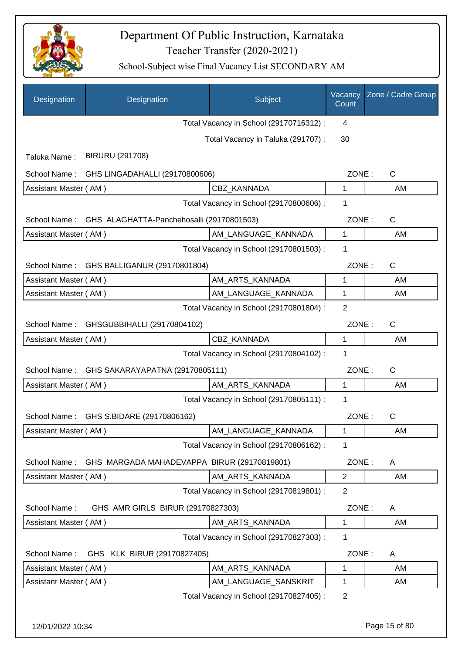

| Designation           | Designation                                 | Subject                                 | Vacancy<br>Count | Zone / Cadre Group |
|-----------------------|---------------------------------------------|-----------------------------------------|------------------|--------------------|
|                       |                                             | Total Vacancy in School (29170716312) : | 4                |                    |
|                       |                                             | Total Vacancy in Taluka (291707) :      | 30               |                    |
| Taluka Name:          | <b>BIRURU (291708)</b>                      |                                         |                  |                    |
| School Name:          | GHS LINGADAHALLI (29170800606)              |                                         | ZONE:            | C                  |
| Assistant Master (AM) |                                             | <b>CBZ KANNADA</b>                      | 1                | AM                 |
|                       |                                             | Total Vacancy in School (29170800606) : | 1                |                    |
| School Name:          | GHS ALAGHATTA-Panchehosalli (29170801503)   |                                         | ZONE:            | $\mathsf{C}$       |
| Assistant Master (AM) |                                             | AM_LANGUAGE_KANNADA                     | $\mathbf{1}$     | AM                 |
|                       |                                             | Total Vacancy in School (29170801503) : | 1                |                    |
|                       | School Name: GHS BALLIGANUR (29170801804)   |                                         | ZONE:            | $\mathsf{C}$       |
| Assistant Master (AM) |                                             | AM ARTS KANNADA                         | 1                | AM                 |
| Assistant Master (AM) |                                             | AM_LANGUAGE_KANNADA                     | 1                | AM                 |
|                       |                                             | Total Vacancy in School (29170801804) : | $\overline{2}$   |                    |
| School Name:          | GHSGUBBIHALLI (29170804102)                 |                                         | ZONE:            | $\mathsf C$        |
| Assistant Master (AM) |                                             | CBZ_KANNADA                             | 1                | AM                 |
|                       |                                             | Total Vacancy in School (29170804102) : | 1                |                    |
| School Name:          | GHS SAKARAYAPATNA (29170805111)             |                                         | ZONE:            | $\mathsf{C}$       |
| Assistant Master (AM) |                                             | AM_ARTS_KANNADA                         | 1                | AM                 |
|                       |                                             | Total Vacancy in School (29170805111) : | 1                |                    |
| School Name:          | GHS S.BIDARE (29170806162)                  |                                         | ZONE:            | $\mathsf{C}$       |
| Assistant Master (AM) |                                             | AM_LANGUAGE_KANNADA                     | 1                | AM                 |
|                       |                                             | Total Vacancy in School (29170806162) : | 1                |                    |
| School Name:          | GHS MARGADA MAHADEVAPPA BIRUR (29170819801) |                                         | ZONE:            | A                  |
| Assistant Master (AM) |                                             | AM_ARTS_KANNADA                         | $\overline{2}$   | AM                 |
|                       |                                             | Total Vacancy in School (29170819801) : | 2                |                    |
| School Name:          | GHS AMR GIRLS BIRUR (29170827303)           |                                         | ZONE:            | A                  |
| Assistant Master (AM) |                                             | AM_ARTS_KANNADA                         | $\mathbf{1}$     | AM                 |
|                       |                                             | Total Vacancy in School (29170827303) : | 1                |                    |
| School Name:          | GHS KLK BIRUR (29170827405)                 |                                         | ZONE:            | A                  |
| Assistant Master (AM) |                                             | AM_ARTS_KANNADA                         | 1                | AM                 |
| Assistant Master (AM) |                                             | AM_LANGUAGE_SANSKRIT                    | 1                | AM                 |
|                       |                                             | Total Vacancy in School (29170827405) : | $\overline{2}$   |                    |
|                       |                                             |                                         |                  |                    |
| 12/01/2022 10:34      |                                             |                                         |                  | Page 15 of 80      |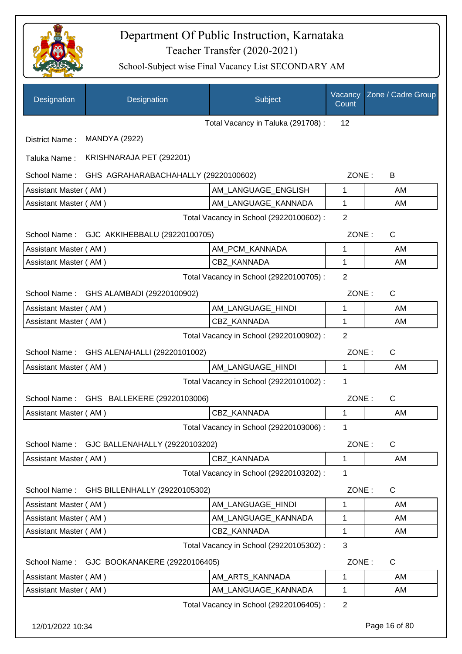

| Designation           | Designation                                | Subject                                 | Vacancy<br>Count | Zone / Cadre Group |
|-----------------------|--------------------------------------------|-----------------------------------------|------------------|--------------------|
|                       |                                            | Total Vacancy in Taluka (291708):       | 12               |                    |
| District Name:        | <b>MANDYA (2922)</b>                       |                                         |                  |                    |
| Taluka Name:          | KRISHNARAJA PET (292201)                   |                                         |                  |                    |
| School Name:          | GHS AGRAHARABACHAHALLY (29220100602)       |                                         | ZONE:            | B                  |
| Assistant Master (AM) |                                            | AM LANGUAGE ENGLISH                     | 1                | AM                 |
| Assistant Master (AM) |                                            | AM_LANGUAGE_KANNADA                     | 1                | AM                 |
|                       |                                            | Total Vacancy in School (29220100602) : | 2                |                    |
|                       | School Name: GJC AKKIHEBBALU (29220100705) |                                         | ZONE:            | $\mathsf{C}$       |
| Assistant Master (AM) |                                            | AM PCM KANNADA                          | 1                | AM                 |
| Assistant Master (AM) |                                            | CBZ_KANNADA                             | 1                | AM                 |
|                       |                                            | Total Vacancy in School (29220100705) : | $\overline{2}$   |                    |
| School Name:          | GHS ALAMBADI (29220100902)                 |                                         | ZONE:            | $\mathsf{C}$       |
| Assistant Master (AM) |                                            | AM_LANGUAGE_HINDI                       | 1                | AM                 |
| Assistant Master (AM) |                                            | CBZ KANNADA                             | 1                | AM                 |
|                       |                                            | Total Vacancy in School (29220100902) : | $\overline{2}$   |                    |
| School Name:          | GHS ALENAHALLI (29220101002)               |                                         | ZONE:            | $\mathsf{C}$       |
| Assistant Master (AM) |                                            | AM_LANGUAGE_HINDI                       | 1                | AM                 |
|                       |                                            | Total Vacancy in School (29220101002) : | 1                |                    |
| School Name:          | GHS BALLEKERE (29220103006)                |                                         | ZONE:            | $\mathsf{C}$       |
| Assistant Master (AM) |                                            | CBZ KANNADA                             | 1                | AM                 |
|                       |                                            | Total Vacancy in School (29220103006) : | 1                |                    |
| School Name:          | GJC BALLENAHALLY (29220103202)             |                                         | ZONE:            | $\mathsf{C}$       |
| Assistant Master (AM) |                                            | CBZ KANNADA                             | 1                | AM                 |
|                       |                                            | Total Vacancy in School (29220103202) : | 1                |                    |
| School Name:          | GHS BILLENHALLY (29220105302)              |                                         | ZONE:            | C                  |
| Assistant Master (AM) |                                            | AM_LANGUAGE_HINDI                       | 1                | AM                 |
| Assistant Master (AM) |                                            | AM_LANGUAGE_KANNADA                     | 1                | AM                 |
| Assistant Master (AM) |                                            | CBZ_KANNADA                             | 1                | AM                 |
|                       |                                            | Total Vacancy in School (29220105302) : | 3                |                    |
| School Name:          | GJC BOOKANAKERE (29220106405)              |                                         | ZONE:            | C                  |
| Assistant Master (AM) |                                            | AM_ARTS_KANNADA                         | 1                | AM                 |
| Assistant Master (AM) |                                            | AM_LANGUAGE_KANNADA                     | 1                | AM                 |
|                       |                                            | Total Vacancy in School (29220106405) : | $\overline{2}$   |                    |
| 12/01/2022 10:34      |                                            |                                         |                  | Page 16 of 80      |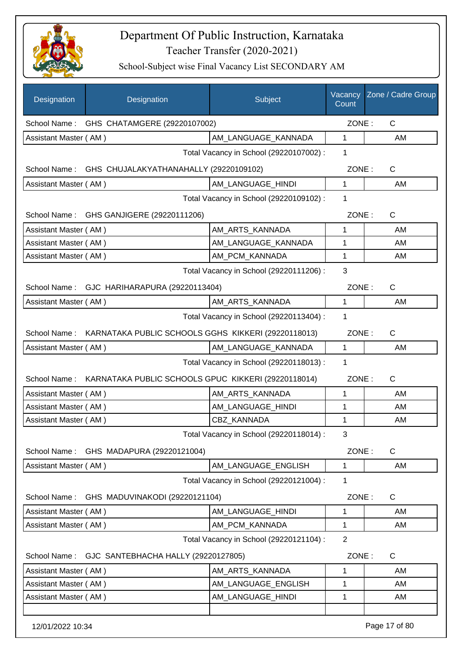

| Designation                             | Designation                                                      | Subject                                 | Vacancy<br>Count | Zone / Cadre Group |
|-----------------------------------------|------------------------------------------------------------------|-----------------------------------------|------------------|--------------------|
|                                         | School Name: GHS CHATAMGERE (29220107002)                        |                                         | ZONE:            | $\mathsf{C}$       |
| Assistant Master (AM)                   |                                                                  | AM LANGUAGE KANNADA                     | 1                | AM                 |
|                                         |                                                                  | Total Vacancy in School (29220107002) : | 1                |                    |
| School Name:                            | GHS CHUJALAKYATHANAHALLY (29220109102)                           |                                         | ZONE:            | $\mathsf{C}$       |
| Assistant Master (AM)                   |                                                                  | AM LANGUAGE HINDI                       | 1                | AM                 |
|                                         |                                                                  | Total Vacancy in School (29220109102) : | 1                |                    |
|                                         | School Name: GHS GANJIGERE (29220111206)                         |                                         | ZONE:            | C                  |
| Assistant Master (AM)                   |                                                                  | AM_ARTS_KANNADA                         | 1                | AM                 |
| Assistant Master (AM)                   |                                                                  | AM_LANGUAGE_KANNADA                     | 1                | AM                 |
| Assistant Master (AM)                   |                                                                  | AM PCM KANNADA                          | 1                | AM                 |
|                                         |                                                                  | Total Vacancy in School (29220111206) : | 3                |                    |
|                                         | School Name: GJC HARIHARAPURA (29220113404)                      |                                         | ZONE:            | $\mathsf{C}$       |
| Assistant Master (AM)                   |                                                                  | AM_ARTS_KANNADA                         | 1                | AM                 |
|                                         |                                                                  | Total Vacancy in School (29220113404) : | 1                |                    |
|                                         | School Name: KARNATAKA PUBLIC SCHOOLS GGHS KIKKERI (29220118013) |                                         | ZONE:            | $\mathsf{C}$       |
| Assistant Master (AM)                   |                                                                  | AM_LANGUAGE_KANNADA                     | 1                | AM                 |
| Total Vacancy in School (29220118013) : |                                                                  |                                         |                  |                    |
| School Name:                            | KARNATAKA PUBLIC SCHOOLS GPUC KIKKERI (29220118014)              |                                         | ZONE:            | $\mathsf{C}$       |
| Assistant Master (AM)                   |                                                                  | AM_ARTS_KANNADA                         | 1                | AM                 |
| Assistant Master (AM)                   |                                                                  | AM_LANGUAGE_HINDI                       | 1                | AM                 |
| Assistant Master (AM)                   |                                                                  | CBZ KANNADA                             | 1                | AM                 |
|                                         |                                                                  | Total Vacancy in School (29220118014) : | 3                |                    |
| School Name:                            | GHS MADAPURA (29220121004)                                       |                                         | ZONE:            | $\mathsf{C}$       |
| Assistant Master (AM)                   |                                                                  | AM_LANGUAGE_ENGLISH                     | 1                | AM                 |
|                                         |                                                                  | Total Vacancy in School (29220121004) : | 1                |                    |
| School Name:                            | GHS MADUVINAKODI (29220121104)                                   |                                         | ZONE:            | C                  |
| Assistant Master (AM)                   |                                                                  | AM_LANGUAGE_HINDI                       | 1                | AM                 |
| Assistant Master (AM)                   |                                                                  | AM PCM KANNADA                          | 1                | AM                 |
|                                         |                                                                  | Total Vacancy in School (29220121104) : | $\overline{2}$   |                    |
| School Name:                            | GJC SANTEBHACHA HALLY (29220127805)                              |                                         | ZONE:            | C                  |
| Assistant Master (AM)                   |                                                                  | AM_ARTS_KANNADA                         | 1                | AM                 |
| Assistant Master (AM)                   |                                                                  | AM_LANGUAGE_ENGLISH                     | 1                | AM                 |
| Assistant Master (AM)                   |                                                                  | AM_LANGUAGE_HINDI                       | 1                | AM                 |
| 12/01/2022 10:34                        |                                                                  |                                         |                  | Page 17 of 80      |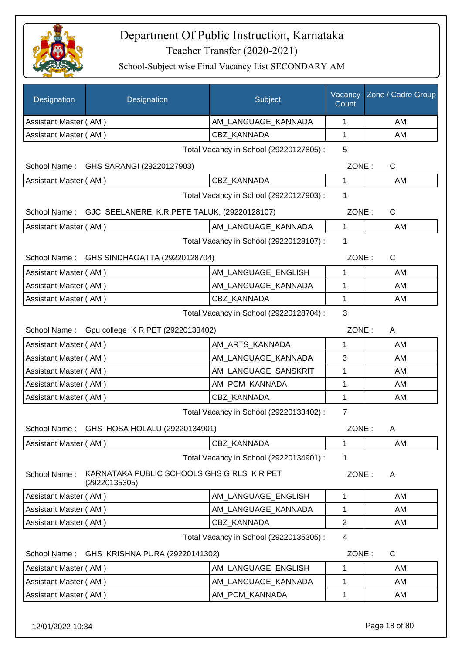

| AM_LANGUAGE_KANNADA<br>Assistant Master (AM)<br>1<br>AM<br>CBZ_KANNADA<br>Assistant Master (AM)<br>1<br>AM<br>Total Vacancy in School (29220127805) :<br>5<br>School Name: GHS SARANGI (29220127903)<br>ZONE:<br>$\mathsf{C}$<br>Assistant Master (AM)<br>CBZ_KANNADA<br>1<br>AM<br>Total Vacancy in School (29220127903) :<br>1<br>School Name: GJC SEELANERE, K.R.PETE TALUK. (29220128107)<br>ZONE:<br>$\mathsf{C}$<br>Assistant Master (AM)<br>AM_LANGUAGE_KANNADA<br>$\mathbf{1}$<br>AM<br>Total Vacancy in School (29220128107) :<br>1<br>GHS SINDHAGATTA (29220128704)<br>ZONE:<br>C<br>School Name:<br>AM_LANGUAGE_ENGLISH<br>Assistant Master (AM)<br>1<br>AM<br>AM_LANGUAGE_KANNADA<br>1<br>Assistant Master (AM)<br>AM<br><b>CBZ KANNADA</b><br>1<br>Assistant Master (AM)<br>AM<br>3<br>Total Vacancy in School (29220128704) :<br>Gpu college K R PET (29220133402)<br>ZONE:<br>School Name:<br>A<br>Assistant Master (AM)<br>1<br>AM<br>AM_ARTS_KANNADA<br>AM_LANGUAGE_KANNADA<br>Assistant Master (AM)<br>3<br>AM<br>AM_LANGUAGE_SANSKRIT<br>Assistant Master (AM)<br>1<br>AM<br>AM PCM KANNADA<br>Assistant Master (AM)<br>1<br>AM<br>Assistant Master (AM)<br>CBZ_KANNADA<br>1<br>AM<br>Total Vacancy in School (29220133402) :<br>$\overline{7}$<br>School Name: GHS HOSA HOLALU (29220134901)<br>ZONE:<br>Α<br>CBZ_KANNADA<br>AM<br>Assistant Master (AM)<br>1<br>Total Vacancy in School (29220134901) :<br>1<br>KARNATAKA PUBLIC SCHOOLS GHS GIRLS K R PET<br>School Name:<br>ZONE:<br>A<br>(29220135305)<br>AM LANGUAGE ENGLISH<br>Assistant Master (AM)<br>AM<br>1<br>AM_LANGUAGE_KANNADA<br>1<br>Assistant Master (AM)<br>AM<br>$\mathbf{2}$<br>Assistant Master (AM)<br>CBZ_KANNADA<br>AM<br>Total Vacancy in School (29220135305) :<br>4<br>ZONE:<br>C<br>School Name:<br>GHS KRISHNA PURA (29220141302)<br>Assistant Master (AM)<br>AM_LANGUAGE_ENGLISH<br>1<br>AM | Designation | Designation | Subject             | Vacancy<br>Count | Zone / Cadre Group |
|-----------------------------------------------------------------------------------------------------------------------------------------------------------------------------------------------------------------------------------------------------------------------------------------------------------------------------------------------------------------------------------------------------------------------------------------------------------------------------------------------------------------------------------------------------------------------------------------------------------------------------------------------------------------------------------------------------------------------------------------------------------------------------------------------------------------------------------------------------------------------------------------------------------------------------------------------------------------------------------------------------------------------------------------------------------------------------------------------------------------------------------------------------------------------------------------------------------------------------------------------------------------------------------------------------------------------------------------------------------------------------------------------------------------------------------------------------------------------------------------------------------------------------------------------------------------------------------------------------------------------------------------------------------------------------------------------------------------------------------------------------------------------------------------------------------------------------------------------------------------------------------------------|-------------|-------------|---------------------|------------------|--------------------|
|                                                                                                                                                                                                                                                                                                                                                                                                                                                                                                                                                                                                                                                                                                                                                                                                                                                                                                                                                                                                                                                                                                                                                                                                                                                                                                                                                                                                                                                                                                                                                                                                                                                                                                                                                                                                                                                                                               |             |             |                     |                  |                    |
|                                                                                                                                                                                                                                                                                                                                                                                                                                                                                                                                                                                                                                                                                                                                                                                                                                                                                                                                                                                                                                                                                                                                                                                                                                                                                                                                                                                                                                                                                                                                                                                                                                                                                                                                                                                                                                                                                               |             |             |                     |                  |                    |
|                                                                                                                                                                                                                                                                                                                                                                                                                                                                                                                                                                                                                                                                                                                                                                                                                                                                                                                                                                                                                                                                                                                                                                                                                                                                                                                                                                                                                                                                                                                                                                                                                                                                                                                                                                                                                                                                                               |             |             |                     |                  |                    |
|                                                                                                                                                                                                                                                                                                                                                                                                                                                                                                                                                                                                                                                                                                                                                                                                                                                                                                                                                                                                                                                                                                                                                                                                                                                                                                                                                                                                                                                                                                                                                                                                                                                                                                                                                                                                                                                                                               |             |             |                     |                  |                    |
|                                                                                                                                                                                                                                                                                                                                                                                                                                                                                                                                                                                                                                                                                                                                                                                                                                                                                                                                                                                                                                                                                                                                                                                                                                                                                                                                                                                                                                                                                                                                                                                                                                                                                                                                                                                                                                                                                               |             |             |                     |                  |                    |
|                                                                                                                                                                                                                                                                                                                                                                                                                                                                                                                                                                                                                                                                                                                                                                                                                                                                                                                                                                                                                                                                                                                                                                                                                                                                                                                                                                                                                                                                                                                                                                                                                                                                                                                                                                                                                                                                                               |             |             |                     |                  |                    |
|                                                                                                                                                                                                                                                                                                                                                                                                                                                                                                                                                                                                                                                                                                                                                                                                                                                                                                                                                                                                                                                                                                                                                                                                                                                                                                                                                                                                                                                                                                                                                                                                                                                                                                                                                                                                                                                                                               |             |             |                     |                  |                    |
|                                                                                                                                                                                                                                                                                                                                                                                                                                                                                                                                                                                                                                                                                                                                                                                                                                                                                                                                                                                                                                                                                                                                                                                                                                                                                                                                                                                                                                                                                                                                                                                                                                                                                                                                                                                                                                                                                               |             |             |                     |                  |                    |
|                                                                                                                                                                                                                                                                                                                                                                                                                                                                                                                                                                                                                                                                                                                                                                                                                                                                                                                                                                                                                                                                                                                                                                                                                                                                                                                                                                                                                                                                                                                                                                                                                                                                                                                                                                                                                                                                                               |             |             |                     |                  |                    |
|                                                                                                                                                                                                                                                                                                                                                                                                                                                                                                                                                                                                                                                                                                                                                                                                                                                                                                                                                                                                                                                                                                                                                                                                                                                                                                                                                                                                                                                                                                                                                                                                                                                                                                                                                                                                                                                                                               |             |             |                     |                  |                    |
|                                                                                                                                                                                                                                                                                                                                                                                                                                                                                                                                                                                                                                                                                                                                                                                                                                                                                                                                                                                                                                                                                                                                                                                                                                                                                                                                                                                                                                                                                                                                                                                                                                                                                                                                                                                                                                                                                               |             |             |                     |                  |                    |
|                                                                                                                                                                                                                                                                                                                                                                                                                                                                                                                                                                                                                                                                                                                                                                                                                                                                                                                                                                                                                                                                                                                                                                                                                                                                                                                                                                                                                                                                                                                                                                                                                                                                                                                                                                                                                                                                                               |             |             |                     |                  |                    |
|                                                                                                                                                                                                                                                                                                                                                                                                                                                                                                                                                                                                                                                                                                                                                                                                                                                                                                                                                                                                                                                                                                                                                                                                                                                                                                                                                                                                                                                                                                                                                                                                                                                                                                                                                                                                                                                                                               |             |             |                     |                  |                    |
|                                                                                                                                                                                                                                                                                                                                                                                                                                                                                                                                                                                                                                                                                                                                                                                                                                                                                                                                                                                                                                                                                                                                                                                                                                                                                                                                                                                                                                                                                                                                                                                                                                                                                                                                                                                                                                                                                               |             |             |                     |                  |                    |
|                                                                                                                                                                                                                                                                                                                                                                                                                                                                                                                                                                                                                                                                                                                                                                                                                                                                                                                                                                                                                                                                                                                                                                                                                                                                                                                                                                                                                                                                                                                                                                                                                                                                                                                                                                                                                                                                                               |             |             |                     |                  |                    |
|                                                                                                                                                                                                                                                                                                                                                                                                                                                                                                                                                                                                                                                                                                                                                                                                                                                                                                                                                                                                                                                                                                                                                                                                                                                                                                                                                                                                                                                                                                                                                                                                                                                                                                                                                                                                                                                                                               |             |             |                     |                  |                    |
|                                                                                                                                                                                                                                                                                                                                                                                                                                                                                                                                                                                                                                                                                                                                                                                                                                                                                                                                                                                                                                                                                                                                                                                                                                                                                                                                                                                                                                                                                                                                                                                                                                                                                                                                                                                                                                                                                               |             |             |                     |                  |                    |
|                                                                                                                                                                                                                                                                                                                                                                                                                                                                                                                                                                                                                                                                                                                                                                                                                                                                                                                                                                                                                                                                                                                                                                                                                                                                                                                                                                                                                                                                                                                                                                                                                                                                                                                                                                                                                                                                                               |             |             |                     |                  |                    |
|                                                                                                                                                                                                                                                                                                                                                                                                                                                                                                                                                                                                                                                                                                                                                                                                                                                                                                                                                                                                                                                                                                                                                                                                                                                                                                                                                                                                                                                                                                                                                                                                                                                                                                                                                                                                                                                                                               |             |             |                     |                  |                    |
|                                                                                                                                                                                                                                                                                                                                                                                                                                                                                                                                                                                                                                                                                                                                                                                                                                                                                                                                                                                                                                                                                                                                                                                                                                                                                                                                                                                                                                                                                                                                                                                                                                                                                                                                                                                                                                                                                               |             |             |                     |                  |                    |
|                                                                                                                                                                                                                                                                                                                                                                                                                                                                                                                                                                                                                                                                                                                                                                                                                                                                                                                                                                                                                                                                                                                                                                                                                                                                                                                                                                                                                                                                                                                                                                                                                                                                                                                                                                                                                                                                                               |             |             |                     |                  |                    |
|                                                                                                                                                                                                                                                                                                                                                                                                                                                                                                                                                                                                                                                                                                                                                                                                                                                                                                                                                                                                                                                                                                                                                                                                                                                                                                                                                                                                                                                                                                                                                                                                                                                                                                                                                                                                                                                                                               |             |             |                     |                  |                    |
|                                                                                                                                                                                                                                                                                                                                                                                                                                                                                                                                                                                                                                                                                                                                                                                                                                                                                                                                                                                                                                                                                                                                                                                                                                                                                                                                                                                                                                                                                                                                                                                                                                                                                                                                                                                                                                                                                               |             |             |                     |                  |                    |
|                                                                                                                                                                                                                                                                                                                                                                                                                                                                                                                                                                                                                                                                                                                                                                                                                                                                                                                                                                                                                                                                                                                                                                                                                                                                                                                                                                                                                                                                                                                                                                                                                                                                                                                                                                                                                                                                                               |             |             |                     |                  |                    |
|                                                                                                                                                                                                                                                                                                                                                                                                                                                                                                                                                                                                                                                                                                                                                                                                                                                                                                                                                                                                                                                                                                                                                                                                                                                                                                                                                                                                                                                                                                                                                                                                                                                                                                                                                                                                                                                                                               |             |             |                     |                  |                    |
|                                                                                                                                                                                                                                                                                                                                                                                                                                                                                                                                                                                                                                                                                                                                                                                                                                                                                                                                                                                                                                                                                                                                                                                                                                                                                                                                                                                                                                                                                                                                                                                                                                                                                                                                                                                                                                                                                               |             |             |                     |                  |                    |
|                                                                                                                                                                                                                                                                                                                                                                                                                                                                                                                                                                                                                                                                                                                                                                                                                                                                                                                                                                                                                                                                                                                                                                                                                                                                                                                                                                                                                                                                                                                                                                                                                                                                                                                                                                                                                                                                                               |             |             |                     |                  |                    |
|                                                                                                                                                                                                                                                                                                                                                                                                                                                                                                                                                                                                                                                                                                                                                                                                                                                                                                                                                                                                                                                                                                                                                                                                                                                                                                                                                                                                                                                                                                                                                                                                                                                                                                                                                                                                                                                                                               |             |             |                     |                  |                    |
|                                                                                                                                                                                                                                                                                                                                                                                                                                                                                                                                                                                                                                                                                                                                                                                                                                                                                                                                                                                                                                                                                                                                                                                                                                                                                                                                                                                                                                                                                                                                                                                                                                                                                                                                                                                                                                                                                               |             |             |                     |                  |                    |
|                                                                                                                                                                                                                                                                                                                                                                                                                                                                                                                                                                                                                                                                                                                                                                                                                                                                                                                                                                                                                                                                                                                                                                                                                                                                                                                                                                                                                                                                                                                                                                                                                                                                                                                                                                                                                                                                                               |             |             |                     |                  |                    |
|                                                                                                                                                                                                                                                                                                                                                                                                                                                                                                                                                                                                                                                                                                                                                                                                                                                                                                                                                                                                                                                                                                                                                                                                                                                                                                                                                                                                                                                                                                                                                                                                                                                                                                                                                                                                                                                                                               |             |             |                     |                  |                    |
| Assistant Master (AM)                                                                                                                                                                                                                                                                                                                                                                                                                                                                                                                                                                                                                                                                                                                                                                                                                                                                                                                                                                                                                                                                                                                                                                                                                                                                                                                                                                                                                                                                                                                                                                                                                                                                                                                                                                                                                                                                         |             |             | AM_LANGUAGE_KANNADA | 1                | AM                 |
| Assistant Master (AM)<br>AM_PCM_KANNADA<br>1<br>AM                                                                                                                                                                                                                                                                                                                                                                                                                                                                                                                                                                                                                                                                                                                                                                                                                                                                                                                                                                                                                                                                                                                                                                                                                                                                                                                                                                                                                                                                                                                                                                                                                                                                                                                                                                                                                                            |             |             |                     |                  |                    |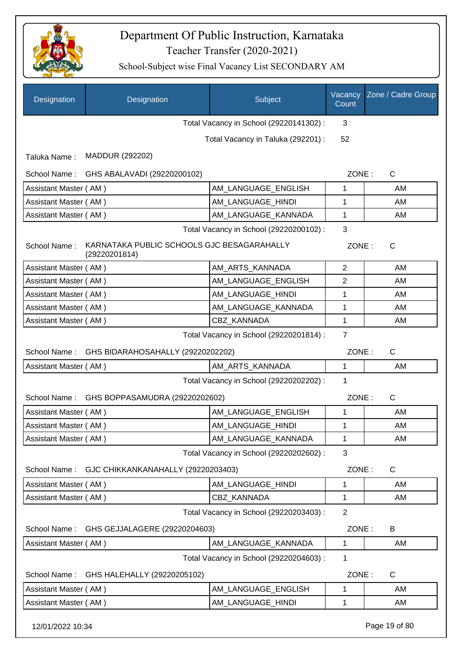

| Designation           | Designation                                                 | Subject                                 | Vacancy<br>Count | Zone / Cadre Group |
|-----------------------|-------------------------------------------------------------|-----------------------------------------|------------------|--------------------|
|                       |                                                             | Total Vacancy in School (29220141302) : | 3                |                    |
|                       |                                                             | Total Vacancy in Taluka (292201) :      | 52               |                    |
| Taluka Name:          | MADDUR (292202)                                             |                                         |                  |                    |
| School Name:          | GHS ABALAVADI (29220200102)                                 |                                         | ZONE:            | C                  |
| Assistant Master (AM) |                                                             | AM_LANGUAGE_ENGLISH                     | 1                | AM                 |
| Assistant Master (AM) |                                                             | AM_LANGUAGE_HINDI                       | 1                | AM                 |
| Assistant Master (AM) |                                                             | AM_LANGUAGE_KANNADA                     | 1                | AM                 |
|                       |                                                             | Total Vacancy in School (29220200102) : | 3                |                    |
| School Name:          | KARNATAKA PUBLIC SCHOOLS GJC BESAGARAHALLY<br>(29220201814) |                                         | ZONE:            | C                  |
| Assistant Master (AM) |                                                             | AM ARTS KANNADA                         | $\overline{2}$   | AM                 |
| Assistant Master (AM) |                                                             | AM_LANGUAGE_ENGLISH                     | 2                | AM                 |
| Assistant Master (AM) |                                                             | AM_LANGUAGE_HINDI                       | 1                | AM                 |
| Assistant Master (AM) |                                                             | AM_LANGUAGE_KANNADA                     | 1                | AM                 |
| Assistant Master (AM) |                                                             | CBZ_KANNADA                             | 1                | AM                 |
|                       |                                                             | Total Vacancy in School (29220201814) : | $\overline{7}$   |                    |
| School Name:          | GHS BIDARAHOSAHALLY (29220202202)                           |                                         | ZONE:            | $\mathsf C$        |
| Assistant Master (AM) |                                                             | AM_ARTS_KANNADA                         | $\mathbf{1}$     | AM                 |
|                       |                                                             | Total Vacancy in School (29220202202) : | 1                |                    |
| School Name:          | GHS BOPPASAMUDRA (29220202602)                              |                                         | ZONE:            | C                  |
| Assistant Master (AM) |                                                             | AM LANGUAGE ENGLISH                     | 1                | AM                 |
| Assistant Master (AM) |                                                             | AM_LANGUAGE_HINDI                       | 1                | AM                 |
| Assistant Master (AM) |                                                             | AM_LANGUAGE_KANNADA                     | 1                | AM                 |
|                       |                                                             | Total Vacancy in School (29220202602) : | 3                |                    |
| School Name:          | GJC CHIKKANKANAHALLY (29220203403)                          |                                         | ZONE:            | C                  |
| Assistant Master (AM) |                                                             | AM_LANGUAGE_HINDI                       | 1                | AM                 |
| Assistant Master (AM) |                                                             | CBZ_KANNADA                             | 1                | AM                 |
|                       |                                                             | Total Vacancy in School (29220203403) : | $\overline{2}$   |                    |
| School Name:          | GHS GEJJALAGERE (29220204603)                               |                                         | ZONE:            | B                  |
| Assistant Master (AM) |                                                             | AM_LANGUAGE_KANNADA                     | 1                | AM                 |
|                       |                                                             | Total Vacancy in School (29220204603) : | 1                |                    |
| School Name:          | GHS HALEHALLY (29220205102)                                 |                                         | ZONE:            | C                  |
| Assistant Master (AM) |                                                             | AM LANGUAGE ENGLISH                     | 1                | AM                 |
| Assistant Master (AM) |                                                             | AM LANGUAGE HINDI                       | 1                | AM                 |
| 12/01/2022 10:34      |                                                             |                                         |                  | Page 19 of 80      |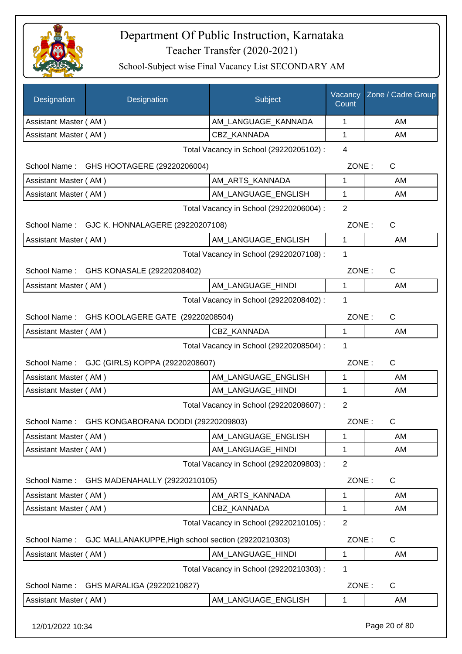

School-Subject wise Final Vacancy List SECONDARY AM

| AM_LANGUAGE_KANNADA<br>1<br>Assistant Master (AM)<br>AM<br>CBZ_KANNADA<br>1<br>AM<br>Assistant Master (AM)<br>$\overline{4}$<br>Total Vacancy in School (29220205102) :<br>GHS HOOTAGERE (29220206004)<br>ZONE:<br>$\mathsf{C}$<br>School Name:<br>Assistant Master (AM)<br>AM_ARTS_KANNADA<br>1<br>AM<br>Assistant Master (AM)<br>AM_LANGUAGE_ENGLISH<br>1<br>AM<br>$\overline{2}$<br>Total Vacancy in School (29220206004) :<br>$\mathsf{C}$<br>School Name:<br>GJC K. HONNALAGERE (29220207108)<br>ZONE:<br>$\mathbf{1}$<br>AM LANGUAGE ENGLISH<br>Assistant Master (AM)<br>AM<br>Total Vacancy in School (29220207108) :<br>1<br>ZONE:<br>$\mathsf{C}$<br>School Name: GHS KONASALE (29220208402)<br>1<br>AM_LANGUAGE_HINDI<br>Assistant Master (AM)<br>AM<br>1<br>Total Vacancy in School (29220208402) :<br>ZONE:<br>$\mathsf{C}$<br>School Name:<br>GHS KOOLAGERE GATE (29220208504)<br>CBZ_KANNADA<br>$\mathbf{1}$<br>AM<br>Assistant Master (AM)<br>Total Vacancy in School (29220208504) :<br>1<br>GJC (GIRLS) KOPPA (29220208607)<br>ZONE:<br>$\mathsf{C}$<br>School Name:<br>Assistant Master (AM)<br>AM_LANGUAGE_ENGLISH<br>1<br>AM<br>Assistant Master (AM)<br>AM_LANGUAGE_HINDI<br>1<br>AM<br>$\overline{2}$<br>Total Vacancy in School (29220208607) :<br>ZONE:<br>School Name:<br>GHS KONGABORANA DODDI (29220209803)<br>С<br>Assistant Master (AM)<br>AM LANGUAGE ENGLISH<br>1<br>AM<br>Assistant Master (AM)<br>AM LANGUAGE HINDI<br>AM<br>1<br>$\overline{2}$<br>Total Vacancy in School (29220209803) :<br>ZONE:<br>C<br>School Name:<br>GHS MADENAHALLY (29220210105)<br>Assistant Master (AM)<br>AM ARTS KANNADA<br>1<br>AM<br>CBZ_KANNADA<br>1<br>Assistant Master (AM)<br>AM<br>$\overline{2}$<br>Total Vacancy in School (29220210105) :<br>GJC MALLANAKUPPE, High school section (29220210303)<br>ZONE:<br>C<br>School Name:<br>AM_LANGUAGE_HINDI<br>Assistant Master (AM)<br>1<br>AM<br>Total Vacancy in School (29220210303) :<br>1<br>ZONE:<br>C<br>School Name:<br>GHS MARALIGA (29220210827)<br>Assistant Master (AM)<br>AM_LANGUAGE_ENGLISH<br>AM<br>1 | Designation | Designation | Subject | Vacancy<br>Count | Zone / Cadre Group |
|-----------------------------------------------------------------------------------------------------------------------------------------------------------------------------------------------------------------------------------------------------------------------------------------------------------------------------------------------------------------------------------------------------------------------------------------------------------------------------------------------------------------------------------------------------------------------------------------------------------------------------------------------------------------------------------------------------------------------------------------------------------------------------------------------------------------------------------------------------------------------------------------------------------------------------------------------------------------------------------------------------------------------------------------------------------------------------------------------------------------------------------------------------------------------------------------------------------------------------------------------------------------------------------------------------------------------------------------------------------------------------------------------------------------------------------------------------------------------------------------------------------------------------------------------------------------------------------------------------------------------------------------------------------------------------------------------------------------------------------------------------------------------------------------------------------------------------------------------------------------------------------------------------------------------------------------------------------------------------------------------------------------------------------------------------------------------------------------|-------------|-------------|---------|------------------|--------------------|
|                                                                                                                                                                                                                                                                                                                                                                                                                                                                                                                                                                                                                                                                                                                                                                                                                                                                                                                                                                                                                                                                                                                                                                                                                                                                                                                                                                                                                                                                                                                                                                                                                                                                                                                                                                                                                                                                                                                                                                                                                                                                                         |             |             |         |                  |                    |
|                                                                                                                                                                                                                                                                                                                                                                                                                                                                                                                                                                                                                                                                                                                                                                                                                                                                                                                                                                                                                                                                                                                                                                                                                                                                                                                                                                                                                                                                                                                                                                                                                                                                                                                                                                                                                                                                                                                                                                                                                                                                                         |             |             |         |                  |                    |
|                                                                                                                                                                                                                                                                                                                                                                                                                                                                                                                                                                                                                                                                                                                                                                                                                                                                                                                                                                                                                                                                                                                                                                                                                                                                                                                                                                                                                                                                                                                                                                                                                                                                                                                                                                                                                                                                                                                                                                                                                                                                                         |             |             |         |                  |                    |
|                                                                                                                                                                                                                                                                                                                                                                                                                                                                                                                                                                                                                                                                                                                                                                                                                                                                                                                                                                                                                                                                                                                                                                                                                                                                                                                                                                                                                                                                                                                                                                                                                                                                                                                                                                                                                                                                                                                                                                                                                                                                                         |             |             |         |                  |                    |
|                                                                                                                                                                                                                                                                                                                                                                                                                                                                                                                                                                                                                                                                                                                                                                                                                                                                                                                                                                                                                                                                                                                                                                                                                                                                                                                                                                                                                                                                                                                                                                                                                                                                                                                                                                                                                                                                                                                                                                                                                                                                                         |             |             |         |                  |                    |
|                                                                                                                                                                                                                                                                                                                                                                                                                                                                                                                                                                                                                                                                                                                                                                                                                                                                                                                                                                                                                                                                                                                                                                                                                                                                                                                                                                                                                                                                                                                                                                                                                                                                                                                                                                                                                                                                                                                                                                                                                                                                                         |             |             |         |                  |                    |
|                                                                                                                                                                                                                                                                                                                                                                                                                                                                                                                                                                                                                                                                                                                                                                                                                                                                                                                                                                                                                                                                                                                                                                                                                                                                                                                                                                                                                                                                                                                                                                                                                                                                                                                                                                                                                                                                                                                                                                                                                                                                                         |             |             |         |                  |                    |
|                                                                                                                                                                                                                                                                                                                                                                                                                                                                                                                                                                                                                                                                                                                                                                                                                                                                                                                                                                                                                                                                                                                                                                                                                                                                                                                                                                                                                                                                                                                                                                                                                                                                                                                                                                                                                                                                                                                                                                                                                                                                                         |             |             |         |                  |                    |
|                                                                                                                                                                                                                                                                                                                                                                                                                                                                                                                                                                                                                                                                                                                                                                                                                                                                                                                                                                                                                                                                                                                                                                                                                                                                                                                                                                                                                                                                                                                                                                                                                                                                                                                                                                                                                                                                                                                                                                                                                                                                                         |             |             |         |                  |                    |
|                                                                                                                                                                                                                                                                                                                                                                                                                                                                                                                                                                                                                                                                                                                                                                                                                                                                                                                                                                                                                                                                                                                                                                                                                                                                                                                                                                                                                                                                                                                                                                                                                                                                                                                                                                                                                                                                                                                                                                                                                                                                                         |             |             |         |                  |                    |
|                                                                                                                                                                                                                                                                                                                                                                                                                                                                                                                                                                                                                                                                                                                                                                                                                                                                                                                                                                                                                                                                                                                                                                                                                                                                                                                                                                                                                                                                                                                                                                                                                                                                                                                                                                                                                                                                                                                                                                                                                                                                                         |             |             |         |                  |                    |
|                                                                                                                                                                                                                                                                                                                                                                                                                                                                                                                                                                                                                                                                                                                                                                                                                                                                                                                                                                                                                                                                                                                                                                                                                                                                                                                                                                                                                                                                                                                                                                                                                                                                                                                                                                                                                                                                                                                                                                                                                                                                                         |             |             |         |                  |                    |
|                                                                                                                                                                                                                                                                                                                                                                                                                                                                                                                                                                                                                                                                                                                                                                                                                                                                                                                                                                                                                                                                                                                                                                                                                                                                                                                                                                                                                                                                                                                                                                                                                                                                                                                                                                                                                                                                                                                                                                                                                                                                                         |             |             |         |                  |                    |
|                                                                                                                                                                                                                                                                                                                                                                                                                                                                                                                                                                                                                                                                                                                                                                                                                                                                                                                                                                                                                                                                                                                                                                                                                                                                                                                                                                                                                                                                                                                                                                                                                                                                                                                                                                                                                                                                                                                                                                                                                                                                                         |             |             |         |                  |                    |
|                                                                                                                                                                                                                                                                                                                                                                                                                                                                                                                                                                                                                                                                                                                                                                                                                                                                                                                                                                                                                                                                                                                                                                                                                                                                                                                                                                                                                                                                                                                                                                                                                                                                                                                                                                                                                                                                                                                                                                                                                                                                                         |             |             |         |                  |                    |
|                                                                                                                                                                                                                                                                                                                                                                                                                                                                                                                                                                                                                                                                                                                                                                                                                                                                                                                                                                                                                                                                                                                                                                                                                                                                                                                                                                                                                                                                                                                                                                                                                                                                                                                                                                                                                                                                                                                                                                                                                                                                                         |             |             |         |                  |                    |
|                                                                                                                                                                                                                                                                                                                                                                                                                                                                                                                                                                                                                                                                                                                                                                                                                                                                                                                                                                                                                                                                                                                                                                                                                                                                                                                                                                                                                                                                                                                                                                                                                                                                                                                                                                                                                                                                                                                                                                                                                                                                                         |             |             |         |                  |                    |
|                                                                                                                                                                                                                                                                                                                                                                                                                                                                                                                                                                                                                                                                                                                                                                                                                                                                                                                                                                                                                                                                                                                                                                                                                                                                                                                                                                                                                                                                                                                                                                                                                                                                                                                                                                                                                                                                                                                                                                                                                                                                                         |             |             |         |                  |                    |
|                                                                                                                                                                                                                                                                                                                                                                                                                                                                                                                                                                                                                                                                                                                                                                                                                                                                                                                                                                                                                                                                                                                                                                                                                                                                                                                                                                                                                                                                                                                                                                                                                                                                                                                                                                                                                                                                                                                                                                                                                                                                                         |             |             |         |                  |                    |
|                                                                                                                                                                                                                                                                                                                                                                                                                                                                                                                                                                                                                                                                                                                                                                                                                                                                                                                                                                                                                                                                                                                                                                                                                                                                                                                                                                                                                                                                                                                                                                                                                                                                                                                                                                                                                                                                                                                                                                                                                                                                                         |             |             |         |                  |                    |
|                                                                                                                                                                                                                                                                                                                                                                                                                                                                                                                                                                                                                                                                                                                                                                                                                                                                                                                                                                                                                                                                                                                                                                                                                                                                                                                                                                                                                                                                                                                                                                                                                                                                                                                                                                                                                                                                                                                                                                                                                                                                                         |             |             |         |                  |                    |
|                                                                                                                                                                                                                                                                                                                                                                                                                                                                                                                                                                                                                                                                                                                                                                                                                                                                                                                                                                                                                                                                                                                                                                                                                                                                                                                                                                                                                                                                                                                                                                                                                                                                                                                                                                                                                                                                                                                                                                                                                                                                                         |             |             |         |                  |                    |
|                                                                                                                                                                                                                                                                                                                                                                                                                                                                                                                                                                                                                                                                                                                                                                                                                                                                                                                                                                                                                                                                                                                                                                                                                                                                                                                                                                                                                                                                                                                                                                                                                                                                                                                                                                                                                                                                                                                                                                                                                                                                                         |             |             |         |                  |                    |
|                                                                                                                                                                                                                                                                                                                                                                                                                                                                                                                                                                                                                                                                                                                                                                                                                                                                                                                                                                                                                                                                                                                                                                                                                                                                                                                                                                                                                                                                                                                                                                                                                                                                                                                                                                                                                                                                                                                                                                                                                                                                                         |             |             |         |                  |                    |
|                                                                                                                                                                                                                                                                                                                                                                                                                                                                                                                                                                                                                                                                                                                                                                                                                                                                                                                                                                                                                                                                                                                                                                                                                                                                                                                                                                                                                                                                                                                                                                                                                                                                                                                                                                                                                                                                                                                                                                                                                                                                                         |             |             |         |                  |                    |
|                                                                                                                                                                                                                                                                                                                                                                                                                                                                                                                                                                                                                                                                                                                                                                                                                                                                                                                                                                                                                                                                                                                                                                                                                                                                                                                                                                                                                                                                                                                                                                                                                                                                                                                                                                                                                                                                                                                                                                                                                                                                                         |             |             |         |                  |                    |
|                                                                                                                                                                                                                                                                                                                                                                                                                                                                                                                                                                                                                                                                                                                                                                                                                                                                                                                                                                                                                                                                                                                                                                                                                                                                                                                                                                                                                                                                                                                                                                                                                                                                                                                                                                                                                                                                                                                                                                                                                                                                                         |             |             |         |                  |                    |
|                                                                                                                                                                                                                                                                                                                                                                                                                                                                                                                                                                                                                                                                                                                                                                                                                                                                                                                                                                                                                                                                                                                                                                                                                                                                                                                                                                                                                                                                                                                                                                                                                                                                                                                                                                                                                                                                                                                                                                                                                                                                                         |             |             |         |                  |                    |
|                                                                                                                                                                                                                                                                                                                                                                                                                                                                                                                                                                                                                                                                                                                                                                                                                                                                                                                                                                                                                                                                                                                                                                                                                                                                                                                                                                                                                                                                                                                                                                                                                                                                                                                                                                                                                                                                                                                                                                                                                                                                                         |             |             |         |                  |                    |
|                                                                                                                                                                                                                                                                                                                                                                                                                                                                                                                                                                                                                                                                                                                                                                                                                                                                                                                                                                                                                                                                                                                                                                                                                                                                                                                                                                                                                                                                                                                                                                                                                                                                                                                                                                                                                                                                                                                                                                                                                                                                                         |             |             |         |                  |                    |
|                                                                                                                                                                                                                                                                                                                                                                                                                                                                                                                                                                                                                                                                                                                                                                                                                                                                                                                                                                                                                                                                                                                                                                                                                                                                                                                                                                                                                                                                                                                                                                                                                                                                                                                                                                                                                                                                                                                                                                                                                                                                                         |             |             |         |                  |                    |
|                                                                                                                                                                                                                                                                                                                                                                                                                                                                                                                                                                                                                                                                                                                                                                                                                                                                                                                                                                                                                                                                                                                                                                                                                                                                                                                                                                                                                                                                                                                                                                                                                                                                                                                                                                                                                                                                                                                                                                                                                                                                                         |             |             |         |                  |                    |
|                                                                                                                                                                                                                                                                                                                                                                                                                                                                                                                                                                                                                                                                                                                                                                                                                                                                                                                                                                                                                                                                                                                                                                                                                                                                                                                                                                                                                                                                                                                                                                                                                                                                                                                                                                                                                                                                                                                                                                                                                                                                                         |             |             |         |                  |                    |

12/01/2022 10:34 Page 20 of 80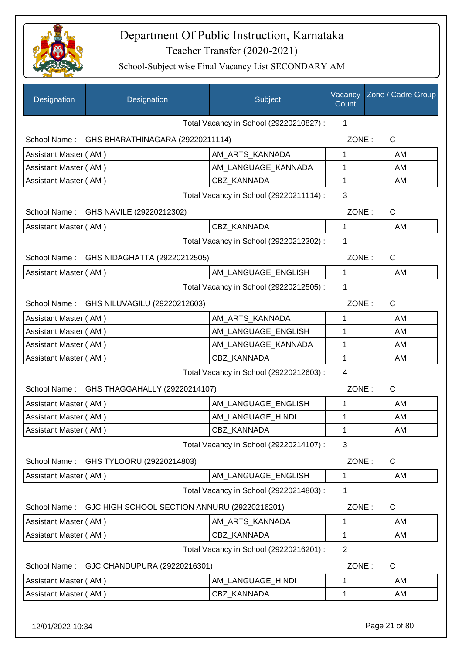

| Designation           | Designation                                   | Subject                                 | Vacancy<br>Count | Zone / Cadre Group |
|-----------------------|-----------------------------------------------|-----------------------------------------|------------------|--------------------|
|                       |                                               | Total Vacancy in School (29220210827) : | 1                |                    |
|                       | School Name: GHS BHARATHINAGARA (29220211114) |                                         | ZONE:            | $\mathsf{C}$       |
| Assistant Master (AM) |                                               | AM_ARTS_KANNADA                         | 1                | AM                 |
| Assistant Master (AM) |                                               | AM_LANGUAGE_KANNADA                     | 1                | AM                 |
| Assistant Master (AM) |                                               | <b>CBZ KANNADA</b>                      | 1                | AM                 |
|                       |                                               | Total Vacancy in School (29220211114) : | 3                |                    |
|                       | School Name: GHS NAVILE (29220212302)         |                                         | ZONE:            | $\mathsf{C}$       |
| Assistant Master (AM) |                                               | CBZ KANNADA                             | 1                | AM                 |
|                       |                                               | Total Vacancy in School (29220212302) : | 1                |                    |
|                       | School Name: GHS NIDAGHATTA (29220212505)     |                                         | ZONE:            | $\mathsf{C}$       |
| Assistant Master (AM) |                                               | AM_LANGUAGE_ENGLISH                     | $\mathbf{1}$     | AM                 |
|                       |                                               | Total Vacancy in School (29220212505) : | 1                |                    |
|                       | School Name: GHS NILUVAGILU (29220212603)     |                                         | ZONE:            | C                  |
| Assistant Master (AM) |                                               | AM_ARTS_KANNADA                         | 1                | AM                 |
| Assistant Master (AM) |                                               | AM_LANGUAGE_ENGLISH                     | 1                | AM                 |
| Assistant Master (AM) |                                               | AM_LANGUAGE_KANNADA                     | 1                | AM                 |
| Assistant Master (AM) |                                               | CBZ KANNADA                             | 1                | AM                 |
|                       |                                               | Total Vacancy in School (29220212603) : | $\overline{4}$   |                    |
|                       | School Name: GHS THAGGAHALLY (29220214107)    |                                         | ZONE:            | $\mathsf{C}$       |
| Assistant Master (AM) |                                               | AM_LANGUAGE_ENGLISH                     | 1                | AM                 |
| Assistant Master (AM) |                                               | AM_LANGUAGE_HINDI                       | 1                | AM                 |
| Assistant Master (AM) |                                               | CBZ_KANNADA                             | 1                | AM                 |
|                       |                                               | Total Vacancy in School (29220214107) : | 3                |                    |
| School Name:          | GHS TYLOORU (29220214803)                     |                                         | ZONE:            | C                  |
| Assistant Master (AM) |                                               | AM_LANGUAGE_ENGLISH                     | 1                | AM                 |
|                       |                                               | Total Vacancy in School (29220214803) : | 1                |                    |
| School Name:          | GJC HIGH SCHOOL SECTION ANNURU (29220216201)  |                                         | ZONE:            | $\mathsf{C}$       |
| Assistant Master (AM) |                                               | AM ARTS KANNADA                         | 1                | AM                 |
| Assistant Master (AM) |                                               | CBZ_KANNADA                             | 1                | AM                 |
|                       |                                               | Total Vacancy in School (29220216201) : | $\overline{2}$   |                    |
| School Name:          | GJC CHANDUPURA (29220216301)                  |                                         | ZONE:            | $\mathsf{C}$       |
| Assistant Master (AM) |                                               | AM_LANGUAGE_HINDI                       | 1                | AM                 |
| Assistant Master (AM) |                                               | CBZ_KANNADA                             | 1                | AM                 |
|                       |                                               |                                         |                  |                    |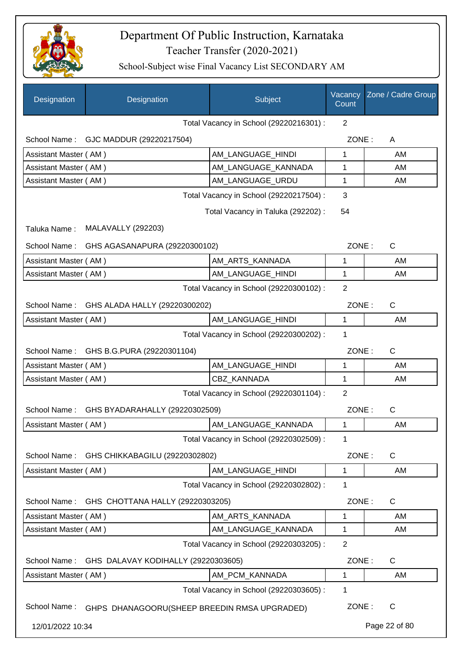

| Designation           | Designation                                   | Subject                                 | Vacancy<br>Count | Zone / Cadre Group |
|-----------------------|-----------------------------------------------|-----------------------------------------|------------------|--------------------|
|                       |                                               | Total Vacancy in School (29220216301) : | 2                |                    |
| School Name:          | GJC MADDUR (29220217504)                      |                                         | ZONE:            | A                  |
| Assistant Master (AM) |                                               | AM_LANGUAGE_HINDI                       | 1                | AM                 |
| Assistant Master (AM) |                                               | AM_LANGUAGE_KANNADA                     | 1                | AM                 |
|                       | Assistant Master (AM)<br>AM_LANGUAGE_URDU     |                                         |                  | AM                 |
|                       | Total Vacancy in School (29220217504) :       |                                         |                  |                    |
|                       |                                               | Total Vacancy in Taluka (292202) :      | 54               |                    |
| Taluka Name:          | <b>MALAVALLY (292203)</b>                     |                                         |                  |                    |
| School Name:          | GHS AGASANAPURA (29220300102)                 |                                         | ZONE:            | $\mathsf{C}$       |
| Assistant Master (AM) |                                               | AM_ARTS_KANNADA                         | 1                | AM                 |
| Assistant Master (AM) |                                               | AM_LANGUAGE_HINDI                       | 1                | AM                 |
|                       |                                               | Total Vacancy in School (29220300102) : | $\overline{2}$   |                    |
| School Name:          | GHS ALADA HALLY (29220300202)                 |                                         | ZONE:            | C                  |
| Assistant Master (AM) |                                               | AM_LANGUAGE_HINDI                       | $\mathbf{1}$     | AM                 |
|                       |                                               | Total Vacancy in School (29220300202) : | 1                |                    |
|                       | School Name: GHS B.G.PURA (29220301104)       |                                         | ZONE:            | $\mathsf{C}$       |
| Assistant Master (AM) |                                               | AM_LANGUAGE_HINDI                       | 1                | AM                 |
| Assistant Master (AM) |                                               | CBZ_KANNADA                             | 1                | AM                 |
|                       |                                               | Total Vacancy in School (29220301104) : | $\overline{2}$   |                    |
|                       | School Name: GHS BYADARAHALLY (29220302509)   |                                         | ZONE:            | $\mathsf C$        |
| Assistant Master (AM) |                                               | AM_LANGUAGE_KANNADA                     | 1                | AM                 |
|                       |                                               | Total Vacancy in School (29220302509) : | 1                |                    |
| School Name:          | GHS CHIKKABAGILU (29220302802)                |                                         | ZONE:            | C                  |
| Assistant Master (AM) |                                               | AM_LANGUAGE_HINDI                       | 1                | AM                 |
|                       |                                               | Total Vacancy in School (29220302802) : | 1                |                    |
|                       | School Name: GHS CHOTTANA HALLY (29220303205) |                                         | ZONE:            | C                  |
| Assistant Master (AM) |                                               | AM ARTS KANNADA                         | 1                | AM                 |
| Assistant Master (AM) |                                               | AM_LANGUAGE_KANNADA                     | 1                | AM                 |
|                       |                                               | Total Vacancy in School (29220303205) : | $\overline{2}$   |                    |
| School Name:          | GHS DALAVAY KODIHALLY (29220303605)           |                                         | ZONE:            | C                  |
| Assistant Master (AM) |                                               | AM_PCM_KANNADA                          | 1                | AM                 |
|                       |                                               | Total Vacancy in School (29220303605) : | 1                |                    |
| School Name:          | GHPS DHANAGOORU(SHEEP BREEDIN RMSA UPGRADED)  |                                         | ZONE:            | C                  |
| 12/01/2022 10:34      |                                               |                                         |                  | Page 22 of 80      |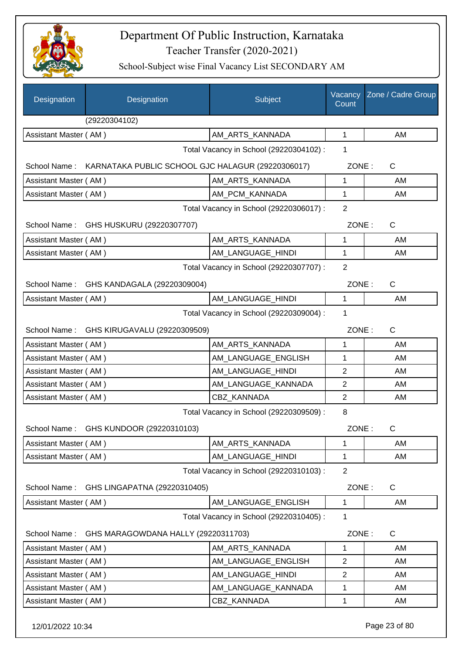

School-Subject wise Final Vacancy List SECONDARY AM

| Designation<br>Designation                                     | Subject                                 | Vacancy<br>Count | Zone / Cadre Group |
|----------------------------------------------------------------|-----------------------------------------|------------------|--------------------|
| (29220304102)                                                  |                                         |                  |                    |
| Assistant Master (AM)                                          | AM_ARTS_KANNADA                         | $\mathbf 1$      | AM                 |
|                                                                | Total Vacancy in School (29220304102) : | 1                |                    |
| School Name: KARNATAKA PUBLIC SCHOOL GJC HALAGUR (29220306017) |                                         | ZONE:            | $\mathsf{C}$       |
| Assistant Master (AM)                                          | AM ARTS KANNADA                         | $\mathbf{1}$     | AM                 |
| Assistant Master (AM)                                          | AM_PCM_KANNADA                          | $\mathbf{1}$     | AM                 |
|                                                                | Total Vacancy in School (29220306017) : | $\overline{2}$   |                    |
| School Name: GHS HUSKURU (29220307707)                         |                                         | ZONE:            | $\mathsf{C}$       |
| Assistant Master (AM)                                          | AM ARTS KANNADA                         | 1                | AM                 |
| Assistant Master (AM)                                          | AM LANGUAGE HINDI                       | 1                | AM                 |
|                                                                | Total Vacancy in School (29220307707) : | $\overline{2}$   |                    |
| School Name: GHS KANDAGALA (29220309004)                       |                                         | ZONE:            | C                  |
| Assistant Master (AM)                                          | AM_LANGUAGE_HINDI                       | $\mathbf{1}$     | AM                 |
|                                                                | Total Vacancy in School (29220309004) : | 1                |                    |
| School Name: GHS KIRUGAVALU (29220309509)                      |                                         | ZONE:            | $\mathsf{C}$       |
| Assistant Master (AM)                                          | AM_ARTS_KANNADA                         | 1                | AM                 |
| Assistant Master (AM)                                          | AM_LANGUAGE_ENGLISH                     | 1                | AM                 |
| Assistant Master (AM)                                          | AM_LANGUAGE_HINDI                       | $\overline{2}$   | AM                 |
| Assistant Master (AM)                                          | AM_LANGUAGE_KANNADA                     | $\mathbf{2}$     | AM                 |
| Assistant Master (AM)                                          | CBZ_KANNADA                             | $\overline{2}$   | AM                 |
|                                                                | Total Vacancy in School (29220309509) : | 8                |                    |
| School Name: GHS KUNDOOR (29220310103)                         |                                         | ZONE:            | C                  |
| Assistant Master (AM)                                          | AM_ARTS_KANNADA                         | 1                | AM                 |
| Assistant Master (AM)                                          | AM LANGUAGE HINDI                       | 1                | AM                 |
|                                                                | Total Vacancy in School (29220310103) : | $\overline{2}$   |                    |
| School Name:<br>GHS LINGAPATNA (29220310405)                   |                                         | ZONE:            | C                  |
| Assistant Master (AM)                                          | AM_LANGUAGE_ENGLISH                     | $\mathbf{1}$     | AM                 |
|                                                                | Total Vacancy in School (29220310405) : | 1                |                    |
| School Name:<br>GHS MARAGOWDANA HALLY (29220311703)            |                                         | ZONE:            | C                  |
| Assistant Master (AM)                                          | AM_ARTS_KANNADA                         | 1                | AM                 |
| Assistant Master (AM)                                          | AM_LANGUAGE_ENGLISH                     | $\overline{2}$   | AM                 |
| Assistant Master (AM)                                          | AM_LANGUAGE_HINDI                       | $\overline{2}$   | AM                 |
| Assistant Master (AM)                                          | AM_LANGUAGE_KANNADA                     | 1                | AM                 |
| Assistant Master (AM)                                          | CBZ_KANNADA                             | $\mathbf{1}$     | AM                 |

12/01/2022 10:34 Page 23 of 80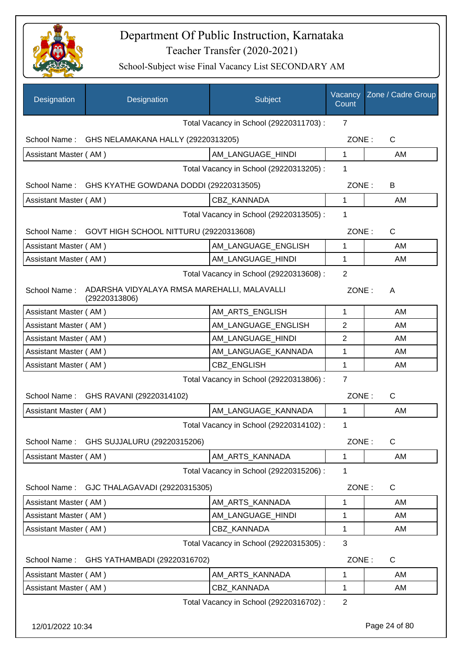

| <b>Designation</b>    | Designation                                                  | Subject                                 | Vacancy<br>Count | Zone / Cadre Group |
|-----------------------|--------------------------------------------------------------|-----------------------------------------|------------------|--------------------|
|                       |                                                              | Total Vacancy in School (29220311703) : | $\overline{7}$   |                    |
| School Name:          | GHS NELAMAKANA HALLY (29220313205)                           |                                         | ZONE:            | $\mathsf{C}$       |
| Assistant Master (AM) |                                                              | AM LANGUAGE HINDI                       | 1                | AM                 |
|                       | Total Vacancy in School (29220313205) :                      | 1                                       |                  |                    |
| School Name:          | GHS KYATHE GOWDANA DODDI (29220313505)                       |                                         | ZONE:            | B                  |
| Assistant Master (AM) |                                                              | CBZ KANNADA                             | 1                | AM                 |
|                       |                                                              | Total Vacancy in School (29220313505) : | 1                |                    |
| School Name:          | GOVT HIGH SCHOOL NITTURU (29220313608)                       |                                         | ZONE:            | $\mathsf{C}$       |
| Assistant Master (AM) |                                                              | AM_LANGUAGE_ENGLISH                     | 1                | AM                 |
| Assistant Master (AM) |                                                              | AM_LANGUAGE_HINDI                       | 1                | AM                 |
|                       |                                                              | Total Vacancy in School (29220313608) : | $\overline{2}$   |                    |
| School Name:          | ADARSHA VIDYALAYA RMSA MAREHALLI, MALAVALLI<br>(29220313806) |                                         | ZONE:            | A                  |
| Assistant Master (AM) |                                                              | AM ARTS ENGLISH                         | 1                | AM                 |
| Assistant Master (AM) |                                                              | AM_LANGUAGE_ENGLISH                     | 2                | AM                 |
| Assistant Master (AM) |                                                              | AM_LANGUAGE_HINDI                       | $\overline{2}$   | AM                 |
| Assistant Master (AM) |                                                              | AM_LANGUAGE_KANNADA                     | 1                | AM                 |
| Assistant Master (AM) |                                                              | CBZ_ENGLISH                             | 1                | AM                 |
|                       |                                                              | Total Vacancy in School (29220313806) : | $\overline{7}$   |                    |
| School Name:          | GHS RAVANI (29220314102)                                     |                                         | ZONE:            | $\mathsf C$        |
| Assistant Master (AM) |                                                              | AM_LANGUAGE_KANNADA                     | 1                | AM                 |
|                       |                                                              | Total Vacancy in School (29220314102) : | 1                |                    |
| School Name:          | GHS SUJJALURU (29220315206)                                  |                                         | ZONE:            | C                  |
| Assistant Master (AM) |                                                              | AM ARTS KANNADA                         | 1                | AM                 |
|                       |                                                              | Total Vacancy in School (29220315206) : | 1                |                    |
| School Name:          | GJC THALAGAVADI (29220315305)                                |                                         | ZONE:            | C                  |
| Assistant Master (AM) |                                                              | AM ARTS KANNADA                         | 1                | AM                 |
| Assistant Master (AM) |                                                              | AM_LANGUAGE_HINDI                       | 1                | AM                 |
| Assistant Master (AM) |                                                              | CBZ_KANNADA                             | 1                | AM                 |
|                       |                                                              | Total Vacancy in School (29220315305) : | 3                |                    |
| School Name:          | GHS YATHAMBADI (29220316702)                                 |                                         | ZONE:            | $\mathsf{C}$       |
| Assistant Master (AM) |                                                              | AM_ARTS_KANNADA                         | 1                | AM                 |
| Assistant Master (AM) |                                                              | <b>CBZ KANNADA</b>                      | 1                | AM                 |
|                       |                                                              | Total Vacancy in School (29220316702) : | $\overline{2}$   |                    |
| 12/01/2022 10:34      |                                                              |                                         |                  | Page 24 of 80      |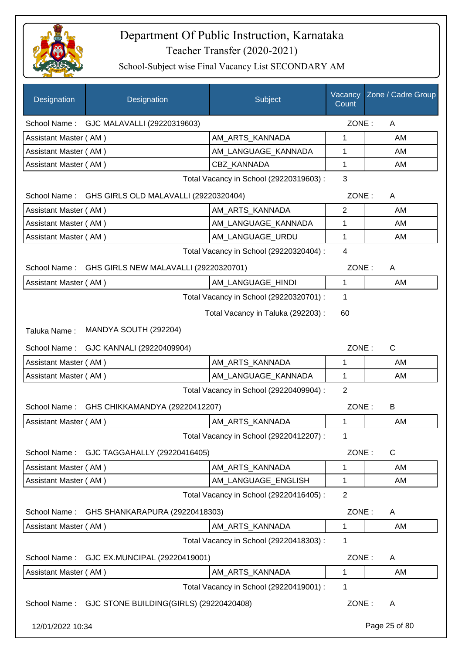

| Designation           | Designation                              | Subject                                 | Vacancy<br>Count | Zone / Cadre Group |
|-----------------------|------------------------------------------|-----------------------------------------|------------------|--------------------|
|                       | School Name: GJC MALAVALLI (29220319603) |                                         | ZONE:            | Α                  |
| Assistant Master (AM) |                                          | AM_ARTS_KANNADA                         | 1                | AM                 |
| Assistant Master (AM) |                                          | AM_LANGUAGE_KANNADA                     | 1                | AM                 |
| Assistant Master (AM) |                                          | <b>CBZ KANNADA</b>                      | 1                | AM                 |
|                       |                                          | Total Vacancy in School (29220319603) : | 3                |                    |
| School Name:          | GHS GIRLS OLD MALAVALLI (29220320404)    |                                         | ZONE:            | Α                  |
| Assistant Master (AM) |                                          | AM_ARTS_KANNADA                         | $\overline{2}$   | AM                 |
| Assistant Master (AM) |                                          | AM_LANGUAGE_KANNADA                     | 1                | AM                 |
| Assistant Master (AM) |                                          | AM_LANGUAGE_URDU                        | 1                | AM                 |
|                       |                                          | Total Vacancy in School (29220320404) : | 4                |                    |
| School Name:          | GHS GIRLS NEW MALAVALLI (29220320701)    |                                         | ZONE:            | A                  |
| Assistant Master (AM) |                                          | AM_LANGUAGE_HINDI                       | 1                | AM                 |
|                       |                                          | Total Vacancy in School (29220320701) : | 1                |                    |
|                       |                                          | Total Vacancy in Taluka (292203) :      | 60               |                    |
| Taluka Name:          | MANDYA SOUTH (292204)                    |                                         |                  |                    |
| School Name:          | GJC KANNALI (29220409904)                |                                         | ZONE:            | C                  |
| Assistant Master (AM) |                                          | AM_ARTS_KANNADA                         | 1                | AM                 |
| Assistant Master (AM) |                                          | AM_LANGUAGE_KANNADA                     | 1                | AM                 |
|                       |                                          | Total Vacancy in School (29220409904) : | 2                |                    |
| School Name:          | GHS CHIKKAMANDYA (29220412207)           |                                         | ZONE:            | B                  |
| Assistant Master (AM) |                                          | AM_ARTS_KANNADA                         | 1                | AM                 |
|                       |                                          | Total Vacancy in School (29220412207) : | 1                |                    |
| School Name:          | GJC TAGGAHALLY (29220416405)             |                                         | ZONE:            | $\mathsf C$        |
| Assistant Master (AM) |                                          | AM ARTS KANNADA                         | 1                | AM                 |
| Assistant Master (AM) |                                          | AM_LANGUAGE_ENGLISH                     | 1                | AM                 |
|                       |                                          | Total Vacancy in School (29220416405) : | $\overline{2}$   |                    |
| School Name:          | GHS SHANKARAPURA (29220418303)           |                                         | ZONE:            | A                  |
| Assistant Master (AM) |                                          | AM_ARTS_KANNADA                         | 1                | AM                 |
|                       |                                          | Total Vacancy in School (29220418303) : | 1                |                    |
| School Name:          | GJC EX.MUNCIPAL (29220419001)            |                                         | ZONE:            | A                  |
| Assistant Master (AM) |                                          | AM_ARTS_KANNADA                         | 1                | AM                 |
|                       |                                          | Total Vacancy in School (29220419001) : | 1                |                    |
| School Name:          | GJC STONE BUILDING(GIRLS) (29220420408)  |                                         | ZONE:            | A                  |
| 12/01/2022 10:34      |                                          |                                         |                  | Page 25 of 80      |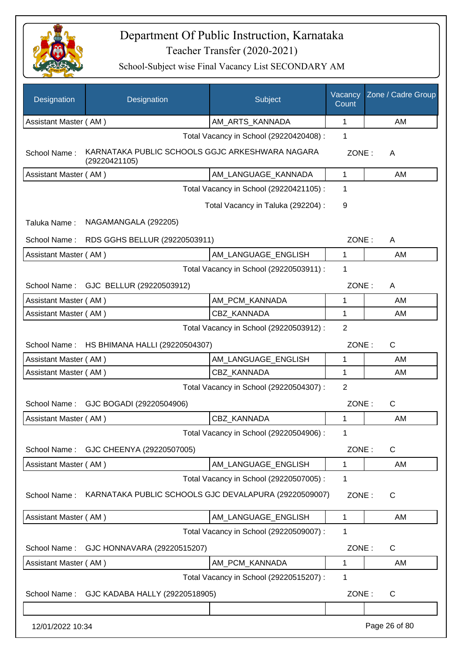

| Designation           | Designation                                                      | Subject                                 | Vacancy<br>Count | Zone / Cadre Group |
|-----------------------|------------------------------------------------------------------|-----------------------------------------|------------------|--------------------|
| Assistant Master (AM) |                                                                  | AM_ARTS_KANNADA                         | 1                | AM                 |
|                       |                                                                  | Total Vacancy in School (29220420408) : | $\mathbf{1}$     |                    |
| School Name:          | KARNATAKA PUBLIC SCHOOLS GGJC ARKESHWARA NAGARA<br>(29220421105) |                                         | ZONE:            | A                  |
| Assistant Master (AM) |                                                                  | AM LANGUAGE KANNADA                     | 1                | AM                 |
|                       |                                                                  | Total Vacancy in School (29220421105) : | 1                |                    |
|                       |                                                                  | Total Vacancy in Taluka (292204) :      | 9                |                    |
| Taluka Name:          | NAGAMANGALA (292205)                                             |                                         |                  |                    |
| School Name:          | RDS GGHS BELLUR (29220503911)                                    |                                         | ZONE:            | A                  |
| Assistant Master (AM) |                                                                  | AM LANGUAGE_ENGLISH                     | $\mathbf 1$      | AM                 |
|                       |                                                                  | Total Vacancy in School (29220503911) : | $\mathbf 1$      |                    |
|                       | School Name: GJC BELLUR (29220503912)                            |                                         | ZONE:            | A                  |
| Assistant Master (AM) |                                                                  | AM PCM KANNADA                          | 1                | AM                 |
| Assistant Master (AM) |                                                                  | CBZ_KANNADA                             | 1                | AM                 |
|                       |                                                                  | Total Vacancy in School (29220503912) : | 2                |                    |
|                       | School Name: HS BHIMANA HALLI (29220504307)                      |                                         | ZONE:            | $\mathsf{C}$       |
| Assistant Master (AM) |                                                                  | AM_LANGUAGE_ENGLISH                     | 1                | AM                 |
| Assistant Master (AM) |                                                                  | <b>CBZ KANNADA</b>                      | 1                | AM                 |
|                       |                                                                  | Total Vacancy in School (29220504307) : | $\overline{2}$   |                    |
|                       | School Name: GJC BOGADI (29220504906)                            |                                         | ZONE:            | $\mathsf{C}$       |
| Assistant Master (AM) |                                                                  | <b>CBZ KANNADA</b>                      | 1                | AM                 |
|                       |                                                                  | Total Vacancy in School (29220504906) : | 1                |                    |
| School Name:          | GJC CHEENYA (29220507005)                                        |                                         | ZONE:            | $\mathsf{C}$       |
| Assistant Master (AM) |                                                                  | AM_LANGUAGE_ENGLISH                     | 1                | AM                 |
|                       |                                                                  | Total Vacancy in School (29220507005) : | 1                |                    |
| School Name:          | KARNATAKA PUBLIC SCHOOLS GJC DEVALAPURA (29220509007)            |                                         | ZONE:            | C                  |
| Assistant Master (AM) |                                                                  | AM_LANGUAGE_ENGLISH                     | 1                | AM                 |
|                       |                                                                  | Total Vacancy in School (29220509007) : | 1                |                    |
| School Name:          | GJC HONNAVARA (29220515207)                                      |                                         | ZONE:            | C                  |
| Assistant Master (AM) |                                                                  | AM PCM KANNADA                          | 1                | AM                 |
|                       |                                                                  | Total Vacancy in School (29220515207) : | 1                |                    |
| School Name:          | GJC KADABA HALLY (29220518905)                                   |                                         | ZONE:            | C                  |
|                       |                                                                  |                                         |                  |                    |
| 12/01/2022 10:34      |                                                                  |                                         |                  | Page 26 of 80      |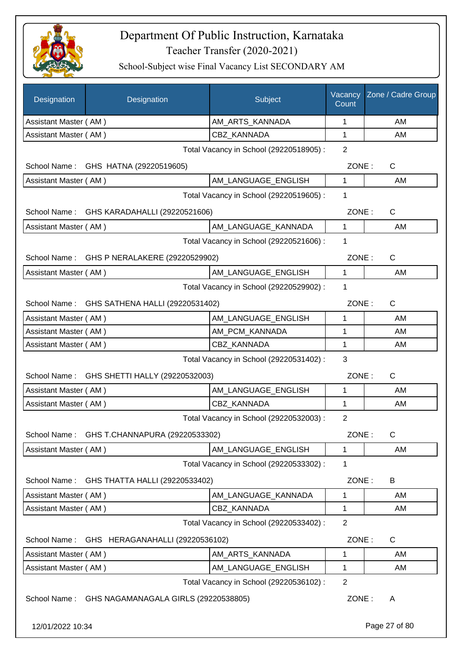

| Designation           | Designation                                  | Subject                                 | Vacancy<br>Count | Zone / Cadre Group |
|-----------------------|----------------------------------------------|-----------------------------------------|------------------|--------------------|
| Assistant Master (AM) |                                              | AM_ARTS_KANNADA                         | 1                | AM                 |
| Assistant Master (AM) |                                              | CBZ KANNADA                             | $\mathbf 1$      | AM                 |
|                       |                                              | Total Vacancy in School (29220518905) : | 2                |                    |
|                       | School Name: GHS HATNA (29220519605)         |                                         | ZONE:            | C                  |
| Assistant Master (AM) |                                              | AM_LANGUAGE_ENGLISH                     | 1                | AM                 |
|                       |                                              | Total Vacancy in School (29220519605) : | 1                |                    |
|                       | School Name: GHS KARADAHALLI (29220521606)   |                                         | ZONE:            | $\mathsf{C}$       |
| Assistant Master (AM) |                                              | AM_LANGUAGE_KANNADA                     | $\mathbf{1}$     | AM                 |
|                       |                                              | Total Vacancy in School (29220521606) : | 1                |                    |
|                       | School Name: GHS P NERALAKERE (29220529902)  |                                         | ZONE:            | $\mathsf{C}$       |
| Assistant Master (AM) |                                              | AM_LANGUAGE_ENGLISH                     | 1                | AM                 |
|                       |                                              | Total Vacancy in School (29220529902) : | 1                |                    |
|                       | School Name: GHS SATHENA HALLI (29220531402) |                                         | ZONE:            | C                  |
| Assistant Master (AM) |                                              | AM_LANGUAGE_ENGLISH                     | 1                | AM                 |
| Assistant Master (AM) |                                              | AM_PCM_KANNADA                          | 1                | AM                 |
| Assistant Master (AM) |                                              | CBZ KANNADA                             | 1                | AM                 |
|                       |                                              | Total Vacancy in School (29220531402) : | 3                |                    |
|                       | School Name: GHS SHETTI HALLY (29220532003)  |                                         | ZONE:            | C                  |
| Assistant Master (AM) |                                              | AM_LANGUAGE_ENGLISH                     | 1                | AM                 |
| Assistant Master (AM) |                                              | CBZ_KANNADA                             | 1                | AM                 |
|                       |                                              | Total Vacancy in School (29220532003) : | $\overline{2}$   |                    |
| School Name:          | GHS T.CHANNAPURA (29220533302)               |                                         | ZONE:            | C                  |
| Assistant Master (AM) |                                              | AM LANGUAGE ENGLISH                     | 1                | AM                 |
|                       |                                              | Total Vacancy in School (29220533302) : | 1                |                    |
| School Name:          | GHS THATTA HALLI (29220533402)               |                                         | ZONE:            | B                  |
| Assistant Master (AM) |                                              | AM LANGUAGE KANNADA                     | 1                | AM                 |
| Assistant Master (AM) |                                              | CBZ KANNADA                             | 1                | AM                 |
|                       |                                              | Total Vacancy in School (29220533402) : | $\overline{2}$   |                    |
| School Name:          | GHS HERAGANAHALLI (29220536102)              |                                         | ZONE:            | C                  |
| Assistant Master (AM) |                                              | AM_ARTS_KANNADA                         | 1                | AM                 |
| Assistant Master (AM) |                                              | AM_LANGUAGE_ENGLISH                     | 1                | AM                 |
|                       |                                              | Total Vacancy in School (29220536102) : | $\overline{2}$   |                    |
| School Name:          | GHS NAGAMANAGALA GIRLS (29220538805)         |                                         | ZONE:            | A                  |
| 12/01/2022 10:34      |                                              |                                         |                  | Page 27 of 80      |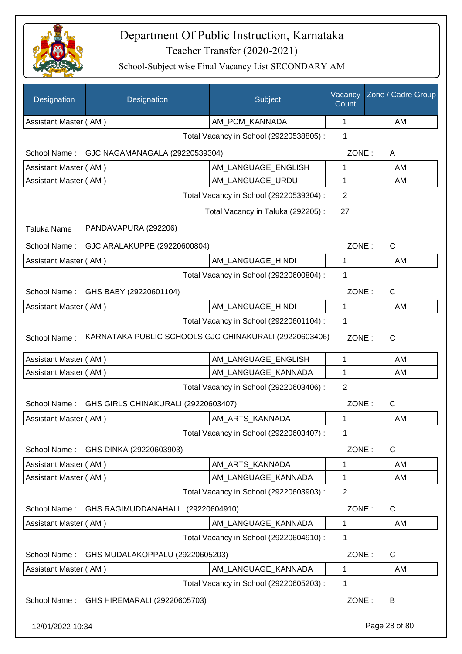

| Designation           | Designation                                            | Subject                                 | Vacancy<br>Count | Zone / Cadre Group |
|-----------------------|--------------------------------------------------------|-----------------------------------------|------------------|--------------------|
| Assistant Master (AM) |                                                        | AM_PCM_KANNADA                          | 1                | AM                 |
|                       |                                                        | Total Vacancy in School (29220538805) : | 1                |                    |
|                       | School Name: GJC NAGAMANAGALA (29220539304)            |                                         | ZONE:            | A                  |
| Assistant Master (AM) |                                                        | AM_LANGUAGE_ENGLISH                     | 1                | AM                 |
| Assistant Master (AM) |                                                        | AM_LANGUAGE_URDU                        | 1                | AM                 |
|                       |                                                        | Total Vacancy in School (29220539304) : | 2                |                    |
|                       |                                                        | Total Vacancy in Taluka (292205):       | 27               |                    |
| Taluka Name:          | PANDAVAPURA (292206)                                   |                                         |                  |                    |
| School Name:          | GJC ARALAKUPPE (29220600804)                           |                                         | ZONE:            | C                  |
| Assistant Master (AM) |                                                        | AM_LANGUAGE_HINDI                       | 1                | AM                 |
|                       |                                                        | Total Vacancy in School (29220600804) : | 1                |                    |
| School Name:          | GHS BABY (29220601104)                                 |                                         | ZONE:            | C                  |
| Assistant Master (AM) |                                                        | AM_LANGUAGE_HINDI                       | 1                | AM                 |
|                       |                                                        | Total Vacancy in School (29220601104) : | 1                |                    |
| School Name:          | KARNATAKA PUBLIC SCHOOLS GJC CHINAKURALI (29220603406) |                                         | ZONE:            | C                  |
| Assistant Master (AM) |                                                        | AM_LANGUAGE_ENGLISH                     | 1                | AM                 |
| Assistant Master (AM) |                                                        | AM_LANGUAGE_KANNADA                     | 1                | AM                 |
|                       |                                                        | Total Vacancy in School (29220603406) : | $\overline{2}$   |                    |
| School Name:          | GHS GIRLS CHINAKURALI (29220603407)                    |                                         | ZONE:            | C                  |
| Assistant Master (AM) |                                                        | AM_ARTS_KANNADA                         | 1                | AM                 |
|                       |                                                        | Total Vacancy in School (29220603407) : | 1                |                    |
| School Name:          | GHS DINKA (29220603903)                                |                                         | ZONE:            | $\mathsf C$        |
| Assistant Master (AM) |                                                        | AM ARTS KANNADA                         | 1                | AM                 |
| Assistant Master (AM) |                                                        | AM_LANGUAGE_KANNADA                     | 1                | AM                 |
|                       |                                                        | Total Vacancy in School (29220603903) : | $\overline{2}$   |                    |
| School Name:          | GHS RAGIMUDDANAHALLI (29220604910)                     |                                         | ZONE:            | $\mathsf{C}$       |
| Assistant Master (AM) |                                                        | AM_LANGUAGE_KANNADA                     | 1                | AM                 |
|                       |                                                        | Total Vacancy in School (29220604910) : | 1                |                    |
| School Name:          | GHS MUDALAKOPPALU (29220605203)                        |                                         | ZONE:            | C                  |
| Assistant Master (AM) |                                                        | AM_LANGUAGE_KANNADA                     | 1                | AM                 |
|                       |                                                        | Total Vacancy in School (29220605203) : | 1                |                    |
|                       | School Name: GHS HIREMARALI (29220605703)              |                                         | ZONE:            | B                  |
| 12/01/2022 10:34      |                                                        |                                         |                  | Page 28 of 80      |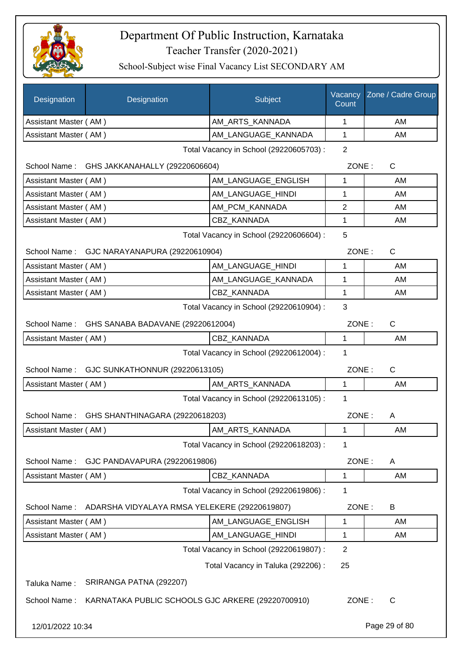

| Designation                                  | Designation                                       | Subject                                 | Vacancy<br>Count | Zone / Cadre Group |
|----------------------------------------------|---------------------------------------------------|-----------------------------------------|------------------|--------------------|
| Assistant Master (AM)                        |                                                   | AM_ARTS_KANNADA                         | 1                | AM                 |
| Assistant Master (AM)                        |                                                   | AM LANGUAGE KANNADA                     | 1                | AM                 |
|                                              |                                                   | Total Vacancy in School (29220605703) : | $\overline{2}$   |                    |
|                                              | School Name: GHS JAKKANAHALLY (29220606604)       |                                         | ZONE:            | $\mathsf{C}$       |
| Assistant Master (AM)                        |                                                   | AM LANGUAGE ENGLISH                     | 1                | AM                 |
| Assistant Master (AM)                        |                                                   | AM_LANGUAGE_HINDI                       | 1                | AM                 |
| Assistant Master (AM)                        |                                                   | AM_PCM_KANNADA                          | $\overline{2}$   | AM                 |
| Assistant Master (AM)                        |                                                   | CBZ_KANNADA                             | 1                | AM                 |
|                                              |                                                   | Total Vacancy in School (29220606604) : | 5                |                    |
|                                              | School Name: GJC NARAYANAPURA (29220610904)       |                                         | ZONE:            | C                  |
| Assistant Master (AM)                        |                                                   | AM LANGUAGE HINDI                       | 1                | AM                 |
| Assistant Master (AM)                        |                                                   | AM_LANGUAGE_KANNADA                     | 1                | AM                 |
| Assistant Master (AM)                        |                                                   | CBZ_KANNADA                             | 1                | AM                 |
| 3<br>Total Vacancy in School (29220610904) : |                                                   |                                         |                  |                    |
|                                              | School Name: GHS SANABA BADAVANE (29220612004)    |                                         | ZONE:            | $\mathsf{C}$       |
| Assistant Master (AM)                        |                                                   | <b>CBZ KANNADA</b>                      | $\mathbf 1$      | AM                 |
| Total Vacancy in School (29220612004) :<br>1 |                                                   |                                         |                  |                    |
|                                              | School Name: GJC SUNKATHONNUR (29220613105)       |                                         | ZONE:            | $\mathsf{C}$       |
| Assistant Master (AM)                        |                                                   | AM ARTS KANNADA                         | 1                | AM                 |
|                                              |                                                   | Total Vacancy in School (29220613105) : | $\mathbf 1$      |                    |
|                                              | School Name: GHS SHANTHINAGARA (29220618203)      |                                         | ZONE:            | A                  |
| Assistant Master (AM)                        |                                                   | AM_ARTS_KANNADA                         | 1                | AM                 |
|                                              |                                                   | Total Vacancy in School (29220618203) : | 1                |                    |
| School Name:                                 | GJC PANDAVAPURA (29220619806)                     |                                         | ZONE:            | A                  |
| Assistant Master (AM)                        |                                                   | CBZ_KANNADA                             | 1                | AM                 |
|                                              |                                                   | Total Vacancy in School (29220619806) : | 1                |                    |
| School Name:                                 | ADARSHA VIDYALAYA RMSA YELEKERE (29220619807)     |                                         | ZONE:            | B                  |
| Assistant Master (AM)                        |                                                   | AM_LANGUAGE_ENGLISH                     | 1                | AM                 |
| Assistant Master (AM)                        |                                                   | AM_LANGUAGE_HINDI                       | 1                | AM                 |
|                                              |                                                   | Total Vacancy in School (29220619807) : | $\overline{2}$   |                    |
|                                              |                                                   | Total Vacancy in Taluka (292206) :      | 25               |                    |
| Taluka Name:                                 | SRIRANGA PATNA (292207)                           |                                         |                  |                    |
| School Name:                                 | KARNATAKA PUBLIC SCHOOLS GJC ARKERE (29220700910) |                                         | ZONE:            | C                  |
| 12/01/2022 10:34                             |                                                   |                                         |                  | Page 29 of 80      |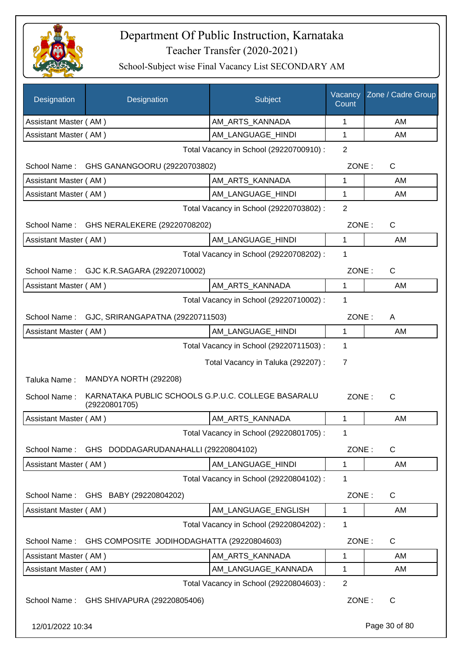

| Designation           | Designation                                                         | Subject                                 | Vacancy<br>Count | Zone / Cadre Group |
|-----------------------|---------------------------------------------------------------------|-----------------------------------------|------------------|--------------------|
| Assistant Master (AM) |                                                                     | AM_ARTS_KANNADA                         | 1                | AM                 |
| Assistant Master (AM) |                                                                     | AM_LANGUAGE_HINDI                       | 1                | AM                 |
|                       |                                                                     | Total Vacancy in School (29220700910) : | $\overline{2}$   |                    |
| School Name:          | GHS GANANGOORU (29220703802)                                        |                                         | ZONE:            | C                  |
| Assistant Master (AM) |                                                                     | AM ARTS KANNADA                         | 1                | AM                 |
| Assistant Master (AM) |                                                                     | AM LANGUAGE HINDI                       | 1                | AM                 |
|                       |                                                                     | Total Vacancy in School (29220703802) : | $\overline{2}$   |                    |
|                       | School Name: GHS NERALEKERE (29220708202)                           |                                         | ZONE:            | $\mathsf{C}$       |
| Assistant Master (AM) |                                                                     | AM LANGUAGE_HINDI                       | 1                | AM                 |
|                       |                                                                     | Total Vacancy in School (29220708202) : | 1                |                    |
|                       | School Name: GJC K.R.SAGARA (29220710002)                           |                                         | ZONE:            | C                  |
| Assistant Master (AM) |                                                                     | AM_ARTS_KANNADA                         | 1                | AM                 |
|                       |                                                                     | Total Vacancy in School (29220710002) : | 1                |                    |
| School Name:          | GJC, SRIRANGAPATNA (29220711503)                                    |                                         | ZONE:            | A                  |
| Assistant Master (AM) |                                                                     | AM_LANGUAGE_HINDI                       | 1                | AM                 |
|                       |                                                                     | Total Vacancy in School (29220711503) : | 1                |                    |
|                       |                                                                     | Total Vacancy in Taluka (292207) :      | $\overline{7}$   |                    |
| Taluka Name:          | MANDYA NORTH (292208)                                               |                                         |                  |                    |
| School Name:          | KARNATAKA PUBLIC SCHOOLS G.P.U.C. COLLEGE BASARALU<br>(29220801705) |                                         | ZONE:            | C                  |
| Assistant Master (AM) |                                                                     | AM_ARTS_KANNADA                         | 1                | AM                 |
|                       |                                                                     | Total Vacancy in School (29220801705) : | 1                |                    |
| School Name:          | GHS DODDAGARUDANAHALLI (29220804102)                                |                                         | ZONE:            | C                  |
| Assistant Master (AM) |                                                                     | AM_LANGUAGE_HINDI                       | 1                | AM                 |
|                       |                                                                     | Total Vacancy in School (29220804102) : | 1                |                    |
| School Name:          | GHS BABY (29220804202)                                              |                                         | ZONE:            | $\mathsf{C}$       |
| Assistant Master (AM) |                                                                     | AM_LANGUAGE_ENGLISH                     | 1                | AM                 |
|                       |                                                                     | Total Vacancy in School (29220804202) : | 1                |                    |
| School Name:          | GHS COMPOSITE JODIHODAGHATTA (29220804603)                          |                                         | ZONE:            | $\mathsf{C}$       |
| Assistant Master (AM) |                                                                     | AM_ARTS_KANNADA                         | 1                | AM                 |
| Assistant Master (AM) |                                                                     | AM_LANGUAGE_KANNADA                     | 1                | AM                 |
|                       |                                                                     | Total Vacancy in School (29220804603) : | $\overline{2}$   |                    |
|                       | School Name: GHS SHIVAPURA (29220805406)                            |                                         | ZONE:            | C                  |
| 12/01/2022 10:34      |                                                                     |                                         |                  | Page 30 of 80      |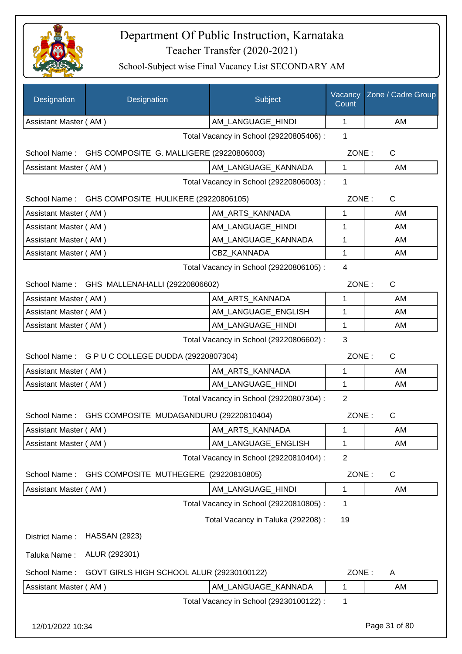

| Designation           | Designation                                          | Subject                                 | Vacancy<br>Count | Zone / Cadre Group |
|-----------------------|------------------------------------------------------|-----------------------------------------|------------------|--------------------|
| Assistant Master (AM) |                                                      | AM_LANGUAGE_HINDI                       | $\mathbf{1}$     | AM                 |
|                       |                                                      | Total Vacancy in School (29220805406) : | $\mathbf{1}$     |                    |
| School Name:          | GHS COMPOSITE G. MALLIGERE (29220806003)             |                                         | ZONE:            | $\mathsf{C}$       |
| Assistant Master (AM) |                                                      | AM_LANGUAGE_KANNADA                     | 1                | AM                 |
|                       |                                                      | Total Vacancy in School (29220806003) : | $\mathbf 1$      |                    |
|                       | School Name: GHS COMPOSITE HULIKERE (29220806105)    |                                         | ZONE:            | C                  |
| Assistant Master (AM) |                                                      | AM_ARTS_KANNADA                         | 1                | AM                 |
| Assistant Master (AM) |                                                      | AM LANGUAGE HINDI                       | 1                | AM                 |
| Assistant Master (AM) |                                                      | AM_LANGUAGE_KANNADA                     | 1                | AM                 |
| Assistant Master (AM) |                                                      | CBZ_KANNADA                             | 1                | AM                 |
|                       |                                                      | Total Vacancy in School (29220806105) : | $\overline{4}$   |                    |
|                       | School Name: GHS MALLENAHALLI (29220806602)          |                                         | ZONE:            | $\mathsf{C}$       |
| Assistant Master (AM) |                                                      | AM_ARTS_KANNADA                         | 1                | AM                 |
| Assistant Master (AM) |                                                      | AM_LANGUAGE_ENGLISH                     | 1                | AM                 |
| Assistant Master (AM) |                                                      | AM_LANGUAGE_HINDI                       | 1                | AM                 |
|                       |                                                      | Total Vacancy in School (29220806602) : | 3                |                    |
|                       | School Name: G P U C COLLEGE DUDDA (29220807304)     |                                         | ZONE:            | C                  |
| Assistant Master (AM) |                                                      | AM_ARTS_KANNADA                         | 1                | AM                 |
| Assistant Master (AM) |                                                      | AM_LANGUAGE_HINDI                       | 1                | AM                 |
|                       |                                                      | Total Vacancy in School (29220807304) : | $\overline{2}$   |                    |
|                       | School Name: GHS COMPOSITE MUDAGANDURU (29220810404) |                                         | ZONE:            | $\mathsf{C}$       |
| Assistant Master (AM) |                                                      | AM_ARTS_KANNADA                         | 1                | AM                 |
| Assistant Master (AM) |                                                      | AM LANGUAGE ENGLISH                     | 1                | AM                 |
|                       |                                                      | Total Vacancy in School (29220810404) : | $\overline{2}$   |                    |
| School Name:          | GHS COMPOSITE MUTHEGERE (29220810805)                |                                         | ZONE:            | C                  |
| Assistant Master (AM) |                                                      | AM_LANGUAGE_HINDI                       | 1                | AM                 |
|                       |                                                      | Total Vacancy in School (29220810805) : | 1                |                    |
|                       |                                                      | Total Vacancy in Taluka (292208) :      | 19               |                    |
| District Name:        | <b>HASSAN (2923)</b>                                 |                                         |                  |                    |
| Taluka Name:          | ALUR (292301)                                        |                                         |                  |                    |
| School Name:          | GOVT GIRLS HIGH SCHOOL ALUR (29230100122)            |                                         | ZONE:            | A                  |
| Assistant Master (AM) |                                                      | AM_LANGUAGE_KANNADA                     | 1                | AM                 |
|                       |                                                      | Total Vacancy in School (29230100122) : | 1                |                    |
| 12/01/2022 10:34      |                                                      |                                         |                  | Page 31 of 80      |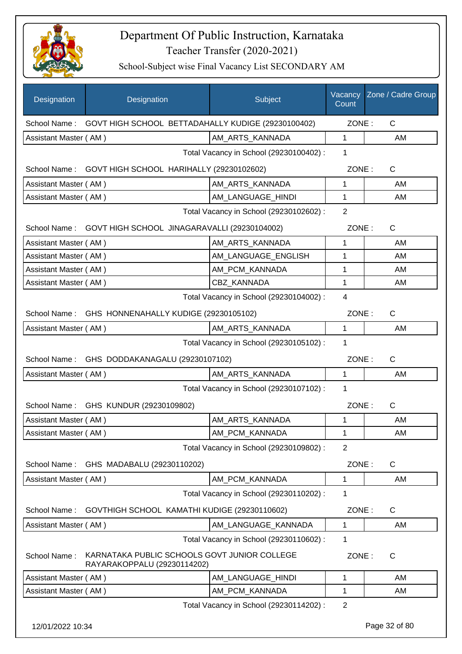

| Designation           | Designation                                                                 | Subject                                 | Vacancy<br>Count | Zone / Cadre Group |
|-----------------------|-----------------------------------------------------------------------------|-----------------------------------------|------------------|--------------------|
|                       | School Name: GOVT HIGH SCHOOL BETTADAHALLY KUDIGE (29230100402)             |                                         | ZONE:            | $\mathsf{C}$       |
| Assistant Master (AM) |                                                                             | AM ARTS KANNADA                         | $\mathbf{1}$     | AM                 |
|                       |                                                                             | Total Vacancy in School (29230100402) : | 1                |                    |
|                       | School Name: GOVT HIGH SCHOOL HARIHALLY (29230102602)                       |                                         | ZONE:            | $\mathsf{C}$       |
| Assistant Master (AM) |                                                                             | AM_ARTS_KANNADA                         | $\mathbf 1$      | AM                 |
| Assistant Master (AM) |                                                                             | AM_LANGUAGE_HINDI                       | $\mathbf{1}$     | AM                 |
|                       |                                                                             | Total Vacancy in School (29230102602) : | $\overline{2}$   |                    |
|                       | School Name: GOVT HIGH SCHOOL JINAGARAVALLI (29230104002)                   |                                         | ZONE:            | C                  |
| Assistant Master (AM) |                                                                             | AM_ARTS_KANNADA                         | $\mathbf{1}$     | AM                 |
| Assistant Master (AM) |                                                                             | AM_LANGUAGE_ENGLISH                     | 1                | AM                 |
| Assistant Master (AM) |                                                                             | AM_PCM_KANNADA                          | 1                | AM                 |
| Assistant Master (AM) |                                                                             | <b>CBZ KANNADA</b>                      | 1                | AM                 |
|                       |                                                                             | Total Vacancy in School (29230104002) : | 4                |                    |
|                       | School Name: GHS HONNENAHALLY KUDIGE (29230105102)                          |                                         | ZONE:            | $\mathsf{C}$       |
| Assistant Master (AM) |                                                                             | AM_ARTS_KANNADA                         | 1                | AM                 |
|                       |                                                                             | Total Vacancy in School (29230105102) : | 1                |                    |
|                       | School Name: GHS DODDAKANAGALU (29230107102)                                |                                         | ZONE:            | $\mathsf{C}$       |
| Assistant Master (AM) |                                                                             | AM_ARTS_KANNADA                         | $\mathbf 1$      | AM                 |
|                       |                                                                             | Total Vacancy in School (29230107102) : | $\mathbf{1}$     |                    |
|                       | School Name: GHS KUNDUR (29230109802)                                       |                                         | ZONE:            | C                  |
| Assistant Master (AM) |                                                                             | AM_ARTS_KANNADA                         | $\mathbf{1}$     | AM                 |
| Assistant Master (AM) |                                                                             | AM_PCM_KANNADA                          | 1                | AM                 |
|                       |                                                                             | Total Vacancy in School (29230109802) : | $\overline{2}$   |                    |
| School Name:          | GHS MADABALU (29230110202)                                                  |                                         | ZONE:            | C                  |
| Assistant Master (AM) |                                                                             | AM_PCM_KANNADA                          | 1                | AM                 |
|                       |                                                                             | Total Vacancy in School (29230110202) : | 1                |                    |
| School Name:          | GOVTHIGH SCHOOL KAMATHI KUDIGE (29230110602)                                |                                         | ZONE:            | C                  |
| Assistant Master (AM) |                                                                             | AM LANGUAGE KANNADA                     | 1                | AM                 |
|                       |                                                                             | Total Vacancy in School (29230110602) : | 1                |                    |
| School Name:          | KARNATAKA PUBLIC SCHOOLS GOVT JUNIOR COLLEGE<br>RAYARAKOPPALU (29230114202) |                                         | ZONE:            | $\mathsf{C}$       |
| Assistant Master (AM) |                                                                             | AM_LANGUAGE_HINDI                       | 1                | AM                 |
| Assistant Master (AM) |                                                                             | AM_PCM_KANNADA                          | 1                | AM                 |
|                       |                                                                             | Total Vacancy in School (29230114202) : | $\overline{2}$   |                    |
| 12/01/2022 10:34      |                                                                             |                                         |                  | Page 32 of 80      |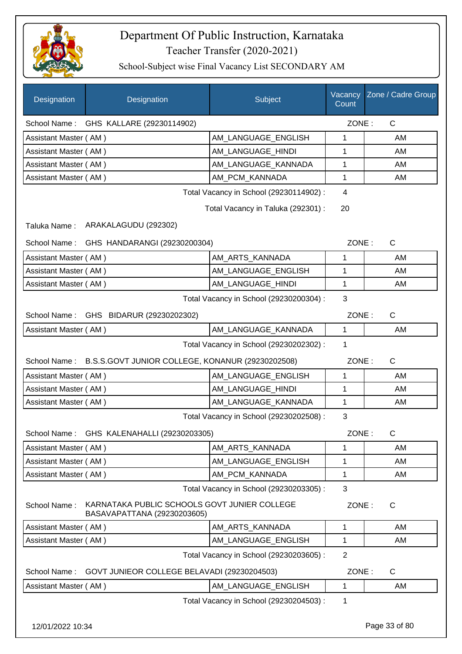

| Designation           | Designation                                                                 | Subject                                                                      | Count                | Vacancy Zone / Cadre Group |
|-----------------------|-----------------------------------------------------------------------------|------------------------------------------------------------------------------|----------------------|----------------------------|
|                       | School Name: GHS KALLARE (29230114902)                                      |                                                                              | ZONE:                | $\mathsf{C}$               |
| Assistant Master (AM) |                                                                             | AM LANGUAGE ENGLISH                                                          | 1                    | AM                         |
| Assistant Master (AM) |                                                                             | AM LANGUAGE HINDI                                                            | 1                    | AM                         |
| Assistant Master (AM) |                                                                             | AM_LANGUAGE_KANNADA                                                          | 1                    | AM                         |
| Assistant Master (AM) |                                                                             | AM PCM KANNADA                                                               | 1                    | AM                         |
|                       |                                                                             | Total Vacancy in School (29230114902):<br>Total Vacancy in Taluka (292301) : | $\overline{4}$<br>20 |                            |
| Taluka Name:          | ARAKALAGUDU (292302)                                                        |                                                                              |                      |                            |
| School Name:          | GHS HANDARANGI (29230200304)                                                |                                                                              | ZONE:                | $\mathsf{C}$               |
| Assistant Master (AM) |                                                                             | AM_ARTS_KANNADA                                                              | 1                    | AM                         |
| Assistant Master (AM) |                                                                             | AM_LANGUAGE_ENGLISH                                                          | 1                    | AM                         |
| Assistant Master (AM) |                                                                             | AM_LANGUAGE_HINDI                                                            | $\mathbf 1$          | AM                         |
|                       |                                                                             | Total Vacancy in School (29230200304) :                                      | 3                    |                            |
| School Name:          | GHS BIDARUR (29230202302)                                                   |                                                                              | ZONE:                | $\mathsf{C}$               |
| Assistant Master (AM) |                                                                             | AM_LANGUAGE_KANNADA                                                          | 1                    | AM                         |
|                       |                                                                             | Total Vacancy in School (29230202302) :                                      | 1                    |                            |
| School Name:          | B.S.S.GOVT JUNIOR COLLEGE, KONANUR (29230202508)                            |                                                                              | ZONE:                | $\mathsf{C}$               |
| Assistant Master (AM) |                                                                             | AM_LANGUAGE_ENGLISH                                                          | 1                    | AM                         |
| Assistant Master (AM) |                                                                             | AM LANGUAGE HINDI                                                            | 1                    | AM                         |
| Assistant Master (AM) |                                                                             | AM_LANGUAGE_KANNADA                                                          | 1                    | AM                         |
|                       |                                                                             | Total Vacancy in School (29230202508) :                                      | 3                    |                            |
|                       | School Name: GHS KALENAHALLI (29230203305)                                  |                                                                              | ZONE:                | $\mathsf C$                |
| Assistant Master (AM) |                                                                             | AM ARTS KANNADA                                                              | 1                    | AM                         |
| Assistant Master (AM) |                                                                             | AM_LANGUAGE_ENGLISH                                                          | 1                    | AM                         |
| Assistant Master (AM) |                                                                             | AM_PCM_KANNADA                                                               | 1                    | AM                         |
|                       |                                                                             | Total Vacancy in School (29230203305) :                                      | 3                    |                            |
| School Name:          | KARNATAKA PUBLIC SCHOOLS GOVT JUNIER COLLEGE<br>BASAVAPATTANA (29230203605) |                                                                              | ZONE:                | $\mathsf{C}$               |
| Assistant Master (AM) |                                                                             | AM_ARTS_KANNADA                                                              | $\mathbf{1}$         | AM                         |
| Assistant Master (AM) |                                                                             | AM_LANGUAGE_ENGLISH                                                          | 1                    | AM                         |
|                       |                                                                             | Total Vacancy in School (29230203605) :                                      | $\overline{2}$       |                            |
| School Name:          | GOVT JUNIEOR COLLEGE BELAVADI (29230204503)                                 |                                                                              | ZONE:                | C                          |
| Assistant Master (AM) |                                                                             | AM_LANGUAGE_ENGLISH                                                          | 1                    | AM                         |
|                       |                                                                             | Total Vacancy in School (29230204503) :                                      | $\mathbf 1$          |                            |
| 12/01/2022 10:34      |                                                                             |                                                                              |                      | Page 33 of 80              |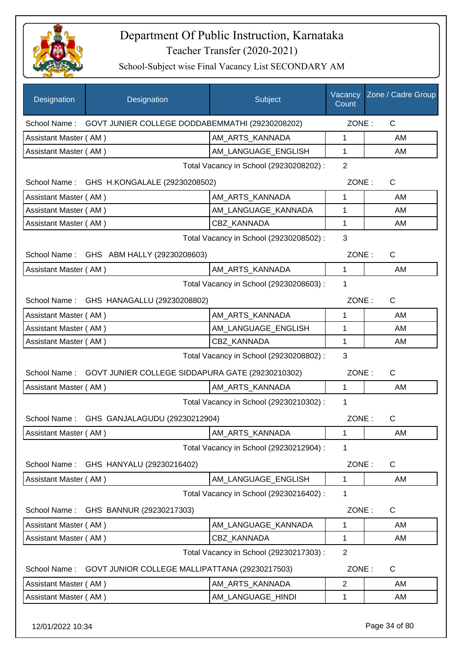

School-Subject wise Final Vacancy List SECONDARY AM

| Designation                             | Designation                                                  | Subject                                 | Vacancy<br>Count | Zone / Cadre Group |
|-----------------------------------------|--------------------------------------------------------------|-----------------------------------------|------------------|--------------------|
|                                         | School Name: GOVT JUNIER COLLEGE DODDABEMMATHI (29230208202) |                                         | ZONE:            | $\mathsf{C}$       |
| Assistant Master (AM)                   |                                                              | AM ARTS KANNADA                         | 1                | AM                 |
| Assistant Master (AM)                   |                                                              | AM_LANGUAGE_ENGLISH                     | $\mathbf{1}$     | AM                 |
|                                         |                                                              | Total Vacancy in School (29230208202) : | $\overline{2}$   |                    |
|                                         | School Name: GHS H.KONGALALE (29230208502)                   |                                         | ZONE:            | C                  |
| Assistant Master (AM)                   |                                                              | AM_ARTS_KANNADA                         | 1                | AM                 |
| Assistant Master (AM)                   |                                                              | AM_LANGUAGE_KANNADA                     | 1                | AM                 |
| Assistant Master (AM)                   |                                                              | CBZ_KANNADA                             | 1                | AM                 |
|                                         |                                                              | Total Vacancy in School (29230208502) : | 3                |                    |
|                                         | School Name: GHS ABM HALLY (29230208603)                     |                                         | ZONE:            | $\mathsf{C}$       |
| Assistant Master (AM)                   |                                                              | AM ARTS KANNADA                         | 1                | AM                 |
|                                         |                                                              | Total Vacancy in School (29230208603) : | 1                |                    |
|                                         | School Name: GHS HANAGALLU (29230208802)                     |                                         | ZONE:            | $\mathsf{C}$       |
| Assistant Master (AM)                   |                                                              | AM_ARTS_KANNADA                         | 1                | AM                 |
| Assistant Master (AM)                   |                                                              | AM_LANGUAGE_ENGLISH                     | 1                | AM                 |
| Assistant Master (AM)                   |                                                              | CBZ_KANNADA                             | 1                | AM                 |
|                                         |                                                              | Total Vacancy in School (29230208802) : | 3                |                    |
| School Name:                            | GOVT JUNIER COLLEGE SIDDAPURA GATE (29230210302)             |                                         | ZONE:            | $\mathsf{C}$       |
| Assistant Master (AM)                   |                                                              | AM_ARTS_KANNADA                         | $\mathbf{1}$     | AM                 |
|                                         |                                                              | Total Vacancy in School (29230210302) : | 1                |                    |
|                                         | School Name: GHS GANJALAGUDU (29230212904)                   |                                         | ZONE:            | С                  |
| Assistant Master (AM)                   |                                                              | AM_ARTS_KANNADA                         | 1                | AM                 |
|                                         |                                                              | Total Vacancy in School (29230212904) : | 1                |                    |
| School Name:                            | GHS HANYALU (29230216402)                                    |                                         | ZONE:            | C                  |
| Assistant Master (AM)                   |                                                              | AM_LANGUAGE_ENGLISH                     | 1                | AM                 |
|                                         |                                                              | Total Vacancy in School (29230216402) : | 1                |                    |
| School Name:                            | GHS BANNUR (29230217303)                                     |                                         | ZONE:            | $\mathsf{C}$       |
| Assistant Master (AM)                   |                                                              | AM LANGUAGE KANNADA                     | 1                | AM                 |
| Assistant Master (AM)                   |                                                              | CBZ KANNADA                             | 1                | AM                 |
| Total Vacancy in School (29230217303) : |                                                              |                                         | $\overline{2}$   |                    |
| School Name:                            | GOVT JUNIOR COLLEGE MALLIPATTANA (29230217503)               |                                         | ZONE:            | $\mathsf{C}$       |
| Assistant Master (AM)                   |                                                              | AM_ARTS_KANNADA                         | $\overline{c}$   | AM                 |
| Assistant Master (AM)                   |                                                              | AM_LANGUAGE_HINDI                       | 1                | AM                 |
|                                         |                                                              |                                         |                  |                    |

12/01/2022 10:34 Page 34 of 80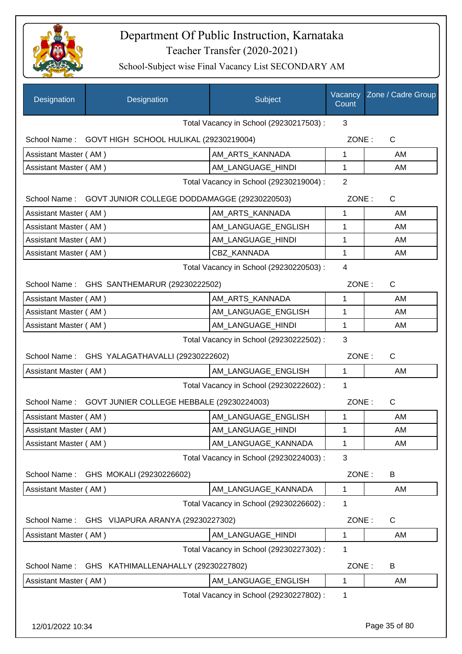

| Designation           | Designation                                            | <b>Subject</b>                          | Vacancy<br>Count | Zone / Cadre Group |
|-----------------------|--------------------------------------------------------|-----------------------------------------|------------------|--------------------|
|                       |                                                        | Total Vacancy in School (29230217503) : | 3                |                    |
| School Name:          | GOVT HIGH SCHOOL HULIKAL (29230219004)                 |                                         | ZONE:            | C                  |
| Assistant Master (AM) |                                                        | AM_ARTS_KANNADA                         | 1                | AM                 |
| Assistant Master (AM) |                                                        | AM_LANGUAGE_HINDI                       | $\mathbf{1}$     | AM                 |
|                       |                                                        | Total Vacancy in School (29230219004) : | $\overline{2}$   |                    |
| School Name:          | GOVT JUNIOR COLLEGE DODDAMAGGE (29230220503)           |                                         | ZONE:            | $\mathsf C$        |
| Assistant Master (AM) |                                                        | AM_ARTS_KANNADA                         | 1                | AM                 |
| Assistant Master (AM) |                                                        | AM_LANGUAGE_ENGLISH                     | 1                | AM                 |
| Assistant Master (AM) |                                                        | AM LANGUAGE HINDI                       | 1                | AM                 |
| Assistant Master (AM) |                                                        | CBZ KANNADA                             | $\mathbf{1}$     | AM                 |
|                       |                                                        | Total Vacancy in School (29230220503) : | $\overline{4}$   |                    |
|                       | School Name: GHS SANTHEMARUR (29230222502)             |                                         | ZONE:            | C                  |
| Assistant Master (AM) |                                                        | AM ARTS KANNADA                         | $\mathbf{1}$     | <b>AM</b>          |
| Assistant Master (AM) |                                                        | AM_LANGUAGE_ENGLISH                     | 1                | AM                 |
| Assistant Master (AM) |                                                        | AM_LANGUAGE_HINDI                       | 1                | AM                 |
|                       |                                                        | Total Vacancy in School (29230222502) : | 3                |                    |
| School Name:          | GHS YALAGATHAVALLI (29230222602)                       |                                         | ZONE:            | $\mathsf C$        |
| Assistant Master (AM) |                                                        | AM LANGUAGE ENGLISH                     | $\mathbf{1}$     | AM                 |
|                       |                                                        | Total Vacancy in School (29230222602) : | 1                |                    |
|                       | School Name: GOVT JUNIER COLLEGE HEBBALE (29230224003) |                                         | ZONE:            | $\mathsf{C}$       |
| Assistant Master (AM) |                                                        | AM LANGUAGE ENGLISH                     | 1                | AM                 |
| Assistant Master (AM) |                                                        | AM_LANGUAGE_HINDI                       | $\mathbf{1}$     | AM                 |
| Assistant Master (AM) |                                                        | AM_LANGUAGE_KANNADA                     | 1                | AM                 |
|                       |                                                        | Total Vacancy in School (29230224003) : | 3                |                    |
| School Name:          | GHS MOKALI (29230226602)                               |                                         | ZONE:            | B                  |
| Assistant Master (AM) |                                                        | AM_LANGUAGE_KANNADA                     | 1                | AM                 |
|                       |                                                        | Total Vacancy in School (29230226602) : | 1                |                    |
| School Name:          | GHS VIJAPURA ARANYA (29230227302)                      |                                         | ZONE:            | $\mathsf C$        |
| Assistant Master (AM) |                                                        | AM_LANGUAGE_HINDI                       | 1                | AM                 |
|                       |                                                        | Total Vacancy in School (29230227302) : | 1                |                    |
| School Name:          | GHS KATHIMALLENAHALLY (29230227802)                    |                                         | ZONE:            | B                  |
| Assistant Master (AM) |                                                        | AM LANGUAGE ENGLISH                     | 1                | AM                 |
|                       |                                                        | Total Vacancy in School (29230227802) : | 1                |                    |
|                       |                                                        |                                         |                  |                    |
| 12/01/2022 10:34      |                                                        |                                         |                  | Page 35 of 80      |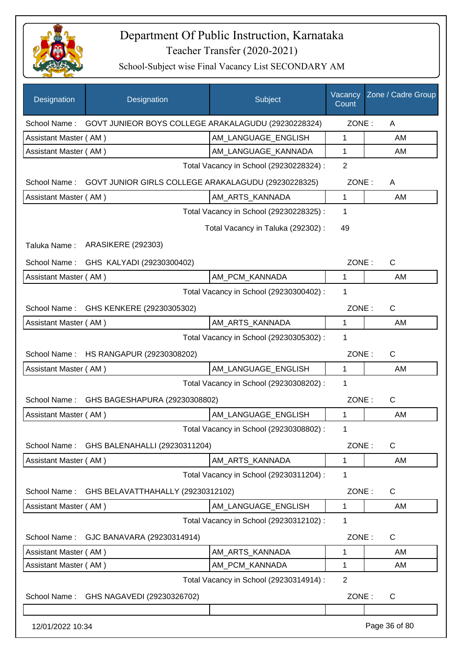

| <b>Designation</b>    | Designation                                         | Subject                                 | Vacancy<br>Count | Zone / Cadre Group |
|-----------------------|-----------------------------------------------------|-----------------------------------------|------------------|--------------------|
| School Name:          | GOVT JUNIEOR BOYS COLLEGE ARAKALAGUDU (29230228324) |                                         | ZONE:            | A                  |
| Assistant Master (AM) |                                                     | AM_LANGUAGE_ENGLISH                     | 1                | AM                 |
| Assistant Master (AM) |                                                     | AM_LANGUAGE_KANNADA                     | 1                | AM                 |
|                       |                                                     | Total Vacancy in School (29230228324) : | $\overline{2}$   |                    |
| School Name:          | GOVT JUNIOR GIRLS COLLEGE ARAKALAGUDU (29230228325) |                                         | ZONE:            | A                  |
| Assistant Master (AM) |                                                     | AM_ARTS_KANNADA                         | 1                | AM                 |
|                       |                                                     | Total Vacancy in School (29230228325) : | 1                |                    |
|                       |                                                     | Total Vacancy in Taluka (292302) :      | 49               |                    |
| Taluka Name:          | <b>ARASIKERE (292303)</b>                           |                                         |                  |                    |
| School Name:          | GHS KALYADI (29230300402)                           |                                         | ZONE:            | $\mathsf{C}$       |
| Assistant Master (AM) |                                                     | AM_PCM_KANNADA                          | 1                | AM                 |
|                       |                                                     | Total Vacancy in School (29230300402) : | 1                |                    |
| School Name:          | GHS KENKERE (29230305302)                           |                                         | ZONE:            | $\mathsf{C}$       |
| Assistant Master (AM) |                                                     | AM_ARTS_KANNADA                         | $\mathbf{1}$     | AM                 |
|                       |                                                     | Total Vacancy in School (29230305302) : | 1                |                    |
| School Name:          | HS RANGAPUR (29230308202)                           |                                         | ZONE:            | $\mathsf{C}$       |
| Assistant Master (AM) |                                                     | AM_LANGUAGE_ENGLISH                     | 1                | AM                 |
|                       |                                                     | Total Vacancy in School (29230308202) : | 1                |                    |
| School Name:          | GHS BAGESHAPURA (29230308802)                       |                                         | ZONE:            | $\mathsf{C}$       |
| Assistant Master (AM) |                                                     | AM_LANGUAGE_ENGLISH                     | 1                | AM                 |
|                       |                                                     | Total Vacancy in School (29230308802) : | 1                |                    |
| School Name:          | GHS BALENAHALLI (29230311204)                       |                                         | ZONE:            | C                  |
| Assistant Master (AM) |                                                     | AM ARTS KANNADA                         | 1                | AM                 |
|                       |                                                     | Total Vacancy in School (29230311204) : | 1                |                    |
| School Name:          | GHS BELAVATTHAHALLY (29230312102)                   |                                         | ZONE:            | C                  |
| Assistant Master (AM) |                                                     | AM LANGUAGE ENGLISH                     | 1                | AM                 |
|                       |                                                     | Total Vacancy in School (29230312102) : | 1                |                    |
| School Name:          | GJC BANAVARA (29230314914)                          |                                         | ZONE:            | C                  |
| Assistant Master (AM) |                                                     | AM_ARTS_KANNADA                         | 1                | AM                 |
| Assistant Master (AM) |                                                     | AM_PCM_KANNADA                          | 1                | AM                 |
|                       |                                                     | Total Vacancy in School (29230314914) : | $\overline{2}$   |                    |
| School Name:          | GHS NAGAVEDI (29230326702)                          |                                         | ZONE:            | C                  |
|                       |                                                     |                                         |                  |                    |
| 12/01/2022 10:34      |                                                     |                                         |                  | Page 36 of 80      |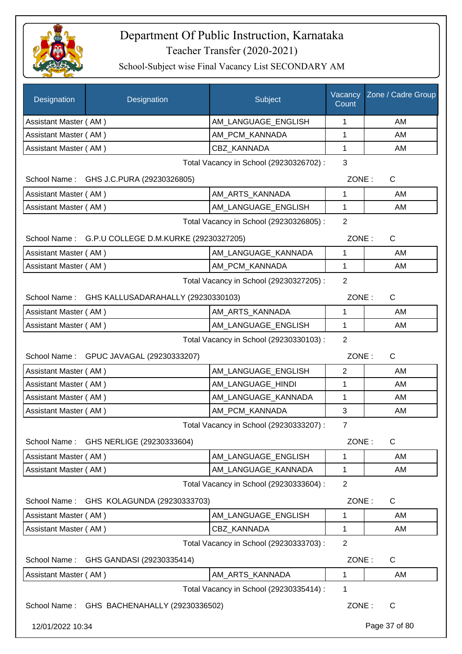

| Designation                                     | Designation                                        | Subject                                 | Vacancy<br>Count | Zone / Cadre Group |
|-------------------------------------------------|----------------------------------------------------|-----------------------------------------|------------------|--------------------|
| Assistant Master (AM)                           |                                                    | AM_LANGUAGE_ENGLISH                     | 1                | AM                 |
| Assistant Master (AM)                           |                                                    | AM_PCM_KANNADA                          | 1                | AM                 |
| Assistant Master (AM)                           |                                                    | <b>CBZ KANNADA</b>                      | 1                | AM                 |
|                                                 |                                                    | Total Vacancy in School (29230326702) : | 3                |                    |
|                                                 | School Name: GHS J.C.PURA (29230326805)            |                                         | ZONE:            | C                  |
| Assistant Master (AM)                           |                                                    | AM_ARTS_KANNADA                         | 1                | AM                 |
| Assistant Master (AM)                           |                                                    | AM_LANGUAGE_ENGLISH                     | 1                | AM                 |
| Total Vacancy in School (29230326805) :         |                                                    |                                         |                  |                    |
|                                                 | School Name: G.P.U COLLEGE D.M.KURKE (29230327205) |                                         |                  | ZONE:<br>C         |
| Assistant Master (AM)                           |                                                    | AM_LANGUAGE_KANNADA                     | 1                | AM                 |
| Assistant Master (AM)                           |                                                    | AM_PCM_KANNADA                          | 1                | AM                 |
| Total Vacancy in School (29230327205) :         |                                                    |                                         |                  |                    |
| School Name: GHS KALLUSADARAHALLY (29230330103) |                                                    |                                         | ZONE:            | $\mathsf{C}$       |
| Assistant Master (AM)                           |                                                    | AM_ARTS_KANNADA                         | 1                | AM                 |
| Assistant Master (AM)                           |                                                    | AM_LANGUAGE_ENGLISH                     | 1                | AM                 |
|                                                 |                                                    | Total Vacancy in School (29230330103) : | $\overline{2}$   |                    |
| School Name: GPUC JAVAGAL (29230333207)         |                                                    |                                         | ZONE:            | $\mathsf{C}$       |
| Assistant Master (AM)                           |                                                    | AM_LANGUAGE_ENGLISH                     | $\overline{2}$   | AM                 |
| Assistant Master (AM)                           |                                                    | AM_LANGUAGE_HINDI                       | 1                | AM                 |
| Assistant Master (AM)                           |                                                    | AM_LANGUAGE_KANNADA                     | 1                | AM                 |
| Assistant Master (AM)                           |                                                    | AM_PCM_KANNADA                          | 3                | AM                 |
|                                                 |                                                    | Total Vacancy in School (29230333207) : | $\overline{7}$   |                    |
| School Name:                                    | GHS NERLIGE (29230333604)                          |                                         | ZONE:            | $\mathsf{C}$       |
| Assistant Master (AM)                           |                                                    | AM_LANGUAGE_ENGLISH                     | 1                | AM                 |
| Assistant Master (AM)                           |                                                    | AM LANGUAGE KANNADA                     | 1                | AM                 |
|                                                 |                                                    | Total Vacancy in School (29230333604) : | $\overline{2}$   |                    |
| School Name:                                    | GHS KOLAGUNDA (29230333703)                        |                                         | ZONE:            | C                  |
| Assistant Master (AM)                           |                                                    | AM_LANGUAGE_ENGLISH                     | 1                | AM                 |
| Assistant Master (AM)                           |                                                    | <b>CBZ KANNADA</b>                      | 1                | AM                 |
|                                                 |                                                    | Total Vacancy in School (29230333703) : | $\overline{2}$   |                    |
| School Name:                                    | GHS GANDASI (29230335414)                          |                                         | ZONE:            | C                  |
| Assistant Master (AM)                           |                                                    | AM_ARTS_KANNADA                         | 1                | AM                 |
|                                                 |                                                    | Total Vacancy in School (29230335414) : | 1                |                    |
|                                                 | School Name: GHS BACHENAHALLY (29230336502)        |                                         | ZONE:            | C                  |
| 12/01/2022 10:34                                |                                                    |                                         |                  | Page 37 of 80      |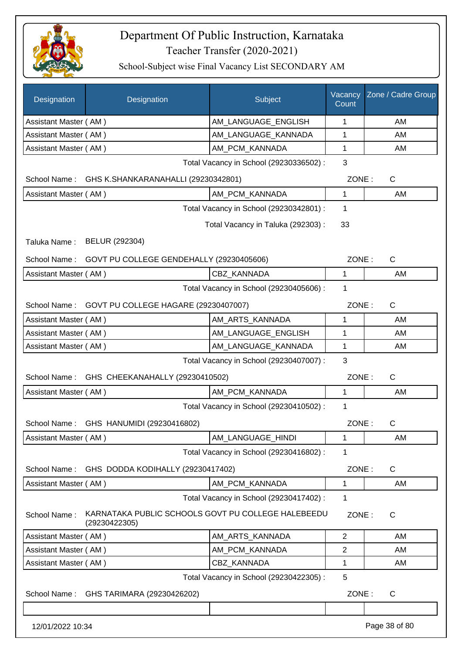

| Designation                                                                | Designation                                                         | Subject                                 | Vacancy<br>Count | Zone / Cadre Group |  |
|----------------------------------------------------------------------------|---------------------------------------------------------------------|-----------------------------------------|------------------|--------------------|--|
| Assistant Master (AM)                                                      |                                                                     | AM_LANGUAGE_ENGLISH                     | 1                | AM                 |  |
| Assistant Master (AM)                                                      |                                                                     | AM_LANGUAGE_KANNADA                     | 1                | AM                 |  |
| Assistant Master (AM)                                                      |                                                                     | AM_PCM_KANNADA                          | 1                | AM                 |  |
|                                                                            |                                                                     | Total Vacancy in School (29230336502) : | 3                |                    |  |
|                                                                            | School Name: GHS K.SHANKARANAHALLI (29230342801)                    |                                         | ZONE:            | $\mathsf{C}$       |  |
| Assistant Master (AM)                                                      |                                                                     | AM PCM KANNADA                          | 1                | AM                 |  |
|                                                                            |                                                                     | Total Vacancy in School (29230342801) : | 1                |                    |  |
| 33<br>Total Vacancy in Taluka (292303) :<br>BELUR (292304)<br>Taluka Name: |                                                                     |                                         |                  |                    |  |
| GOVT PU COLLEGE GENDEHALLY (29230405606)<br>ZONE:                          |                                                                     |                                         |                  |                    |  |
| School Name:                                                               |                                                                     |                                         |                  | $\mathsf{C}$       |  |
| Assistant Master (AM)                                                      |                                                                     | <b>CBZ KANNADA</b>                      | 1                | AM                 |  |
| 1<br>Total Vacancy in School (29230405606) :                               |                                                                     |                                         |                  |                    |  |
|                                                                            | School Name: GOVT PU COLLEGE HAGARE (29230407007)                   |                                         | ZONE:            | $\mathsf{C}$       |  |
| Assistant Master (AM)                                                      |                                                                     | AM_ARTS_KANNADA                         | 1                | AM                 |  |
| Assistant Master (AM)                                                      |                                                                     | AM_LANGUAGE_ENGLISH                     | 1                | AM                 |  |
| Assistant Master (AM)                                                      |                                                                     | AM_LANGUAGE_KANNADA                     | 1                | AM                 |  |
| 3<br>Total Vacancy in School (29230407007) :                               |                                                                     |                                         |                  |                    |  |
| School Name:                                                               | GHS CHEEKANAHALLY (29230410502)                                     |                                         | ZONE:            | $\mathsf{C}$       |  |
| Assistant Master (AM)                                                      |                                                                     | AM_PCM_KANNADA                          | 1                | AM                 |  |
| 1<br>Total Vacancy in School (29230410502) :                               |                                                                     |                                         |                  |                    |  |
| School Name:                                                               | GHS HANUMIDI (29230416802)                                          |                                         | ZONE:            | C                  |  |
| Assistant Master (AM)                                                      |                                                                     | AM_LANGUAGE_HINDI                       | 1                | AM                 |  |
|                                                                            |                                                                     | Total Vacancy in School (29230416802) : | 1                |                    |  |
| School Name:                                                               | GHS DODDA KODIHALLY (29230417402)                                   |                                         | ZONE:            | C                  |  |
| Assistant Master (AM)                                                      |                                                                     | AM_PCM_KANNADA                          | 1                | AM                 |  |
|                                                                            |                                                                     | Total Vacancy in School (29230417402) : | 1                |                    |  |
| School Name:                                                               | KARNATAKA PUBLIC SCHOOLS GOVT PU COLLEGE HALEBEEDU<br>(29230422305) |                                         | ZONE:            | $\mathsf{C}$       |  |
| Assistant Master (AM)                                                      |                                                                     | AM_ARTS_KANNADA                         | $\overline{2}$   | AM                 |  |
| Assistant Master (AM)                                                      |                                                                     | AM_PCM_KANNADA                          | $\overline{2}$   | AM                 |  |
| Assistant Master (AM)                                                      |                                                                     | CBZ_KANNADA                             | 1                | AM                 |  |
|                                                                            |                                                                     | Total Vacancy in School (29230422305) : | 5                |                    |  |
| School Name:                                                               | GHS TARIMARA (29230426202)                                          |                                         | ZONE:            | C                  |  |
|                                                                            |                                                                     |                                         |                  |                    |  |
| 12/01/2022 10:34                                                           |                                                                     |                                         |                  | Page 38 of 80      |  |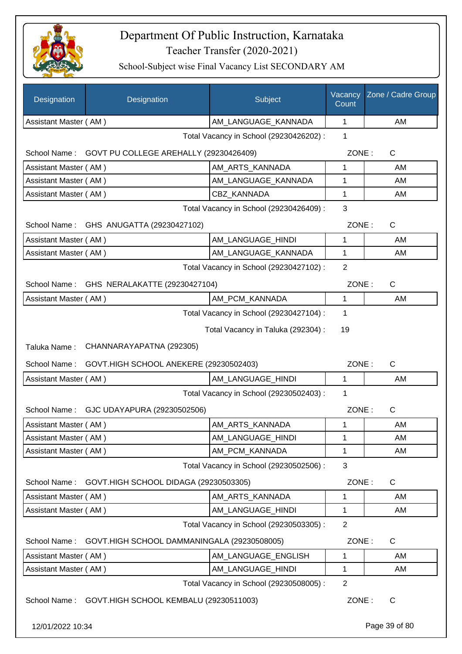

| Designation                                   | Designation                                         | <b>Subject</b>                          | Vacancy<br>Count | Zone / Cadre Group |  |  |
|-----------------------------------------------|-----------------------------------------------------|-----------------------------------------|------------------|--------------------|--|--|
| Assistant Master (AM)                         |                                                     | AM_LANGUAGE_KANNADA                     | 1                | AM                 |  |  |
|                                               |                                                     | Total Vacancy in School (29230426202) : | 1                |                    |  |  |
| School Name:                                  | GOVT PU COLLEGE AREHALLY (29230426409)              |                                         | ZONE:            | C                  |  |  |
| Assistant Master (AM)                         |                                                     | AM ARTS KANNADA                         | 1                | AM                 |  |  |
| Assistant Master (AM)                         |                                                     | AM_LANGUAGE_KANNADA                     | 1                | AM                 |  |  |
| Assistant Master (AM)                         |                                                     | <b>CBZ KANNADA</b>                      | 1                | AM                 |  |  |
|                                               |                                                     | Total Vacancy in School (29230426409) : | 3                |                    |  |  |
| School Name:                                  | GHS ANUGATTA (29230427102)                          |                                         | ZONE:            | C                  |  |  |
| Assistant Master (AM)                         |                                                     | AM LANGUAGE HINDI                       | 1                | AM                 |  |  |
| Assistant Master (AM)                         |                                                     | AM_LANGUAGE_KANNADA                     | 1                | AM                 |  |  |
|                                               | 2<br>Total Vacancy in School (29230427102) :        |                                         |                  |                    |  |  |
| School Name:<br>GHS NERALAKATTE (29230427104) |                                                     |                                         | ZONE:            | C                  |  |  |
| Assistant Master (AM)                         |                                                     | AM_PCM_KANNADA                          | 1                | AM                 |  |  |
|                                               |                                                     | Total Vacancy in School (29230427104) : | 1                |                    |  |  |
|                                               |                                                     | Total Vacancy in Taluka (292304) :      | 19               |                    |  |  |
| CHANNARAYAPATNA (292305)<br>Taluka Name:      |                                                     |                                         |                  |                    |  |  |
| School Name:                                  | GOVT.HIGH SCHOOL ANEKERE (29230502403)              |                                         | ZONE:            | $\mathsf{C}$       |  |  |
| Assistant Master (AM)                         |                                                     | AM_LANGUAGE_HINDI                       | 1                | AM                 |  |  |
| Total Vacancy in School (29230502403) :       |                                                     |                                         |                  |                    |  |  |
| School Name:                                  | GJC UDAYAPURA (29230502506)                         |                                         | ZONE:            | C                  |  |  |
| Assistant Master (AM)                         |                                                     | AM ARTS KANNADA                         | 1                | AM                 |  |  |
| Assistant Master (AM)                         |                                                     | AM_LANGUAGE_HINDI                       | 1                | AM                 |  |  |
| Assistant Master (AM)                         |                                                     | AM_PCM_KANNADA                          | 1                | AM                 |  |  |
|                                               |                                                     | Total Vacancy in School (29230502506) : | 3                |                    |  |  |
| School Name:                                  | GOVT.HIGH SCHOOL DIDAGA (29230503305)               |                                         | ZONE:            | C                  |  |  |
| Assistant Master (AM)                         |                                                     | AM ARTS KANNADA                         | 1                | AM                 |  |  |
| Assistant Master (AM)                         |                                                     | AM LANGUAGE HINDI                       | 1                | AM                 |  |  |
| 2<br>Total Vacancy in School (29230503305) :  |                                                     |                                         |                  |                    |  |  |
| School Name:                                  | GOVT.HIGH SCHOOL DAMMANINGALA (29230508005)         |                                         | ZONE:            | C                  |  |  |
| Assistant Master (AM)                         |                                                     | AM_LANGUAGE_ENGLISH                     | 1                | AM                 |  |  |
| Assistant Master (AM)                         |                                                     | AM_LANGUAGE_HINDI                       | 1                | AM                 |  |  |
|                                               |                                                     | Total Vacancy in School (29230508005) : | $\overline{2}$   |                    |  |  |
|                                               | School Name: GOVT.HIGH SCHOOL KEMBALU (29230511003) |                                         | ZONE:            | C                  |  |  |
|                                               | 12/01/2022 10:34                                    |                                         |                  | Page 39 of 80      |  |  |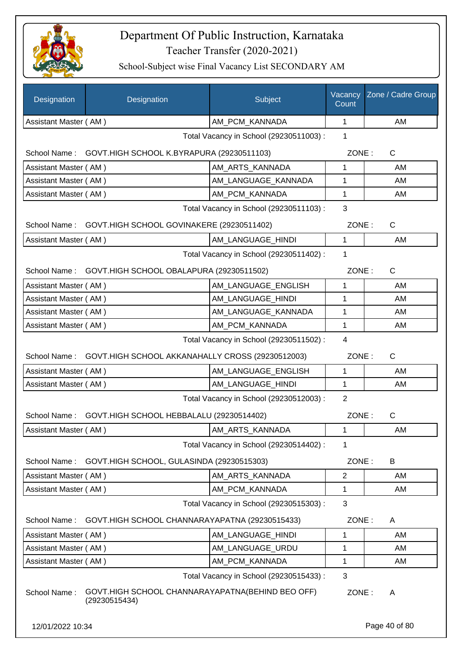

| Designation                                           | Designation                                                       | Subject                                 | Vacancy<br>Count | Zone / Cadre Group |
|-------------------------------------------------------|-------------------------------------------------------------------|-----------------------------------------|------------------|--------------------|
| Assistant Master (AM)                                 |                                                                   | AM PCM KANNADA                          | $\mathbf{1}$     | AM                 |
|                                                       |                                                                   | Total Vacancy in School (29230511003):  | $\mathbf 1$      |                    |
|                                                       | School Name: GOVT.HIGH SCHOOL K.BYRAPURA (29230511103)            |                                         | ZONE:            | C                  |
| Assistant Master (AM)                                 |                                                                   | AM_ARTS_KANNADA                         | 1                | AM                 |
| Assistant Master (AM)                                 |                                                                   | AM LANGUAGE KANNADA                     | 1                | AM                 |
| Assistant Master (AM)                                 |                                                                   | AM_PCM_KANNADA                          | 1                | AM                 |
|                                                       | Total Vacancy in School (29230511103) :                           | 3                                       |                  |                    |
|                                                       | School Name: GOVT.HIGH SCHOOL GOVINAKERE (29230511402)            |                                         |                  | ZONE:<br>C         |
| Assistant Master (AM)                                 |                                                                   | AM_LANGUAGE_HINDI                       | $\mathbf{1}$     | AM                 |
|                                                       |                                                                   | Total Vacancy in School (29230511402) : | 1                |                    |
| School Name: GOVT.HIGH SCHOOL OBALAPURA (29230511502) |                                                                   |                                         | ZONE:            | $\mathsf C$        |
| Assistant Master (AM)                                 |                                                                   | AM_LANGUAGE_ENGLISH                     | 1                | AM                 |
| Assistant Master (AM)                                 |                                                                   | AM_LANGUAGE_HINDI                       | 1                | AM                 |
| Assistant Master (AM)                                 |                                                                   | AM_LANGUAGE_KANNADA                     | 1                | AM                 |
| Assistant Master (AM)                                 |                                                                   | AM_PCM_KANNADA                          | 1                | AM                 |
| 4<br>Total Vacancy in School (29230511502) :          |                                                                   |                                         |                  |                    |
|                                                       | School Name: GOVT.HIGH SCHOOL AKKANAHALLY CROSS (29230512003)     |                                         | ZONE:            | C                  |
| Assistant Master (AM)                                 |                                                                   | AM_LANGUAGE_ENGLISH                     | $\mathbf{1}$     | AM                 |
| Assistant Master (AM)                                 |                                                                   | AM LANGUAGE HINDI                       | 1                | AM                 |
|                                                       |                                                                   | Total Vacancy in School (29230512003) : | $\overline{2}$   |                    |
|                                                       | School Name: GOVT.HIGH SCHOOL HEBBALALU (29230514402)             |                                         | ZONE:            | C                  |
| Assistant Master (AM)                                 |                                                                   | AM_ARTS_KANNADA                         | $\mathbf{1}$     | AM                 |
|                                                       |                                                                   | Total Vacancy in School (29230514402) : | 1                |                    |
| School Name:                                          | GOVT.HIGH SCHOOL, GULASINDA (29230515303)                         |                                         | ZONE:            | B                  |
| Assistant Master (AM)                                 |                                                                   | AM_ARTS_KANNADA                         | $\overline{2}$   | AM                 |
| Assistant Master (AM)                                 |                                                                   | AM_PCM_KANNADA                          | 1                | AM                 |
| Total Vacancy in School (29230515303) :               |                                                                   |                                         |                  |                    |
| School Name:                                          | GOVT.HIGH SCHOOL CHANNARAYAPATNA (29230515433)                    |                                         | ZONE:            | A                  |
| Assistant Master (AM)                                 |                                                                   | AM LANGUAGE HINDI                       | 1                | AM                 |
| Assistant Master (AM)                                 |                                                                   | AM_LANGUAGE_URDU                        | 1                | AM                 |
| Assistant Master (AM)                                 |                                                                   | AM_PCM_KANNADA                          | 1                | AM                 |
|                                                       |                                                                   | Total Vacancy in School (29230515433) : | 3                |                    |
| School Name:                                          | GOVT.HIGH SCHOOL CHANNARAYAPATNA(BEHIND BEO OFF)<br>(29230515434) |                                         | ZONE:            | A                  |
| 12/01/2022 10:34                                      |                                                                   |                                         |                  | Page 40 of 80      |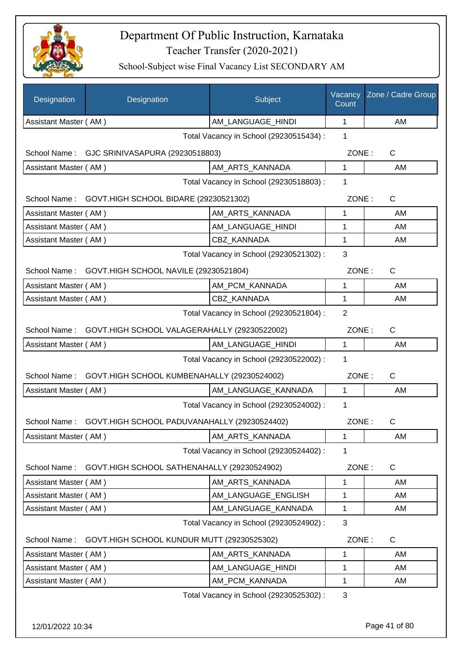

| Designation                             | Designation                                  | Subject                                 | Vacancy<br>Count | Zone / Cadre Group |
|-----------------------------------------|----------------------------------------------|-----------------------------------------|------------------|--------------------|
| Assistant Master (AM)                   |                                              | AM_LANGUAGE_HINDI                       | 1                | AM                 |
|                                         |                                              | Total Vacancy in School (29230515434) : | 1                |                    |
|                                         | School Name: GJC SRINIVASAPURA (29230518803) |                                         | ZONE:            | C                  |
| Assistant Master (AM)                   |                                              | AM_ARTS_KANNADA                         | 1                | AM                 |
|                                         |                                              | Total Vacancy in School (29230518803) : | 1                |                    |
| School Name:                            | GOVT.HIGH SCHOOL BIDARE (29230521302)        |                                         | ZONE:            | C                  |
| Assistant Master (AM)                   |                                              | AM_ARTS_KANNADA                         | 1                | AM                 |
| Assistant Master (AM)                   |                                              | AM_LANGUAGE_HINDI                       | 1                | AM                 |
| Assistant Master (AM)                   |                                              | CBZ KANNADA                             | 1                | AM                 |
|                                         |                                              | Total Vacancy in School (29230521302) : | 3                |                    |
| School Name:                            | GOVT.HIGH SCHOOL NAVILE (29230521804)        |                                         | ZONE:            | C                  |
| Assistant Master (AM)                   |                                              | AM_PCM_KANNADA                          | 1                | AM                 |
| Assistant Master (AM)                   |                                              | CBZ KANNADA                             | 1                | AM                 |
|                                         |                                              | Total Vacancy in School (29230521804) : | $\overline{2}$   |                    |
| School Name:                            | GOVT.HIGH SCHOOL VALAGERAHALLY (29230522002) |                                         | ZONE:            | C                  |
| Assistant Master (AM)                   |                                              | AM_LANGUAGE_HINDI                       | 1                | AM                 |
|                                         |                                              | Total Vacancy in School (29230522002) : | 1                |                    |
| School Name:                            | GOVT.HIGH SCHOOL KUMBENAHALLY (29230524002)  |                                         | ZONE:            | C                  |
| Assistant Master (AM)                   |                                              | AM_LANGUAGE_KANNADA                     | 1                | AM                 |
|                                         |                                              | Total Vacancy in School (29230524002) : | 1                |                    |
| School Name:                            | GOVT.HIGH SCHOOL PADUVANAHALLY (29230524402) |                                         | ZONE:            | C                  |
| Assistant Master (AM)                   |                                              | AM_ARTS_KANNADA                         | 1                | AM                 |
|                                         |                                              | Total Vacancy in School (29230524402) : | 1                |                    |
| School Name:                            | GOVT.HIGH SCHOOL SATHENAHALLY (29230524902)  |                                         | ZONE:            | C                  |
| Assistant Master (AM)                   |                                              | AM_ARTS_KANNADA                         | 1                | AM                 |
| Assistant Master (AM)                   |                                              | AM_LANGUAGE_ENGLISH                     | 1                | AM                 |
| Assistant Master (AM)                   |                                              | AM LANGUAGE KANNADA                     | 1                | AM                 |
| Total Vacancy in School (29230524902) : |                                              |                                         |                  |                    |
| School Name:                            | GOVT.HIGH SCHOOL KUNDUR MUTT (29230525302)   |                                         | ZONE:            | $\mathsf{C}$       |
| Assistant Master (AM)                   |                                              | AM_ARTS_KANNADA                         | 1                | AM                 |
| Assistant Master (AM)                   |                                              | AM_LANGUAGE_HINDI                       | 1                | AM                 |
| Assistant Master (AM)                   |                                              | AM_PCM_KANNADA                          | 1                | AM                 |
|                                         |                                              | Total Vacancy in School (29230525302) : | 3                |                    |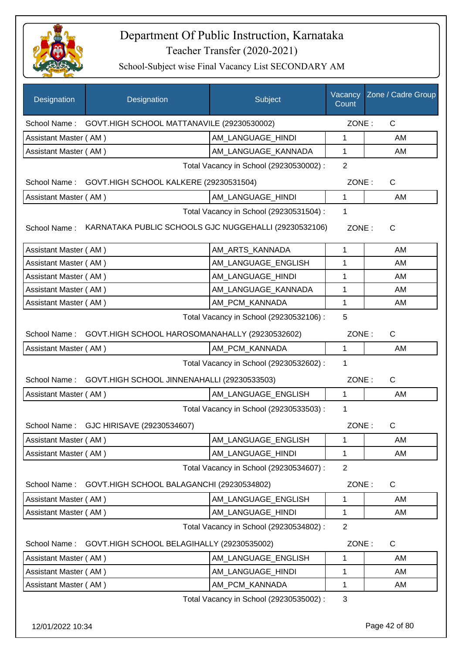

| <b>Designation</b>                           | Designation                                           | Subject                                 | Vacancy<br>Count | Zone / Cadre Group |
|----------------------------------------------|-------------------------------------------------------|-----------------------------------------|------------------|--------------------|
| School Name:                                 | GOVT.HIGH SCHOOL MATTANAVILE (29230530002)            |                                         | ZONE:            | $\mathsf{C}$       |
| Assistant Master (AM)                        |                                                       | AM_LANGUAGE_HINDI                       | $\mathbf{1}$     | AM                 |
| Assistant Master (AM)                        |                                                       | AM_LANGUAGE_KANNADA                     | 1                | AM                 |
|                                              |                                                       | Total Vacancy in School (29230530002) : | $\overline{2}$   |                    |
| School Name:                                 | GOVT.HIGH SCHOOL KALKERE (29230531504)                |                                         | ZONE:            | C                  |
| Assistant Master (AM)                        |                                                       | AM LANGUAGE HINDI                       | $\mathbf{1}$     | AM                 |
|                                              |                                                       | Total Vacancy in School (29230531504) : | 1                |                    |
| School Name:                                 | KARNATAKA PUBLIC SCHOOLS GJC NUGGEHALLI (29230532106) |                                         | ZONE:            | $\mathsf{C}$       |
| Assistant Master (AM)                        |                                                       | AM_ARTS_KANNADA                         | 1                | AM                 |
| Assistant Master (AM)                        |                                                       | AM_LANGUAGE_ENGLISH                     | 1                | AM                 |
| Assistant Master (AM)                        |                                                       | AM LANGUAGE_HINDI                       | 1                | AM                 |
| Assistant Master (AM)                        |                                                       | AM LANGUAGE KANNADA                     | 1                | AM                 |
| Assistant Master (AM)                        |                                                       | AM PCM KANNADA                          | 1                | AM                 |
| 5<br>Total Vacancy in School (29230532106) : |                                                       |                                         |                  |                    |
| School Name:                                 | GOVT.HIGH SCHOOL HAROSOMANAHALLY (29230532602)        |                                         | ZONE:            | C                  |
| Assistant Master (AM)                        |                                                       | AM_PCM_KANNADA                          | $\mathbf{1}$     | AM                 |
| Total Vacancy in School (29230532602) :      |                                                       |                                         |                  |                    |
| School Name:                                 | GOVT.HIGH SCHOOL JINNENAHALLI (29230533503)           |                                         | ZONE:            | $\mathsf{C}$       |
| Assistant Master (AM)                        |                                                       | AM_LANGUAGE_ENGLISH                     | $\mathbf{1}$     | AM                 |
|                                              |                                                       | Total Vacancy in School (29230533503) : | 1                |                    |
|                                              | School Name: GJC HIRISAVE (29230534607)               |                                         | ZONE:            | C.                 |
| Assistant Master (AM)                        |                                                       | AM LANGUAGE ENGLISH                     | 1                | AM                 |
| Assistant Master (AM)                        |                                                       | AM_LANGUAGE_HINDI                       | 1                | AM                 |
|                                              |                                                       | Total Vacancy in School (29230534607) : | $\overline{2}$   |                    |
| School Name:                                 | GOVT.HIGH SCHOOL BALAGANCHI (29230534802)             |                                         | ZONE:            | C                  |
| Assistant Master (AM)                        |                                                       | AM LANGUAGE ENGLISH                     | 1                | AM                 |
| Assistant Master (AM)                        |                                                       | AM_LANGUAGE_HINDI                       | 1                | AM                 |
|                                              |                                                       | Total Vacancy in School (29230534802) : | $\overline{2}$   |                    |
| School Name:                                 | GOVT.HIGH SCHOOL BELAGIHALLY (29230535002)            |                                         |                  | ZONE:<br>C         |
| Assistant Master (AM)                        |                                                       | AM_LANGUAGE_ENGLISH                     | 1                | AM                 |
| Assistant Master (AM)                        |                                                       | AM_LANGUAGE_HINDI                       | 1                | AM                 |
| Assistant Master (AM)                        |                                                       | AM_PCM_KANNADA                          | 1                | AM                 |
|                                              |                                                       | Total Vacancy in School (29230535002) : | 3                |                    |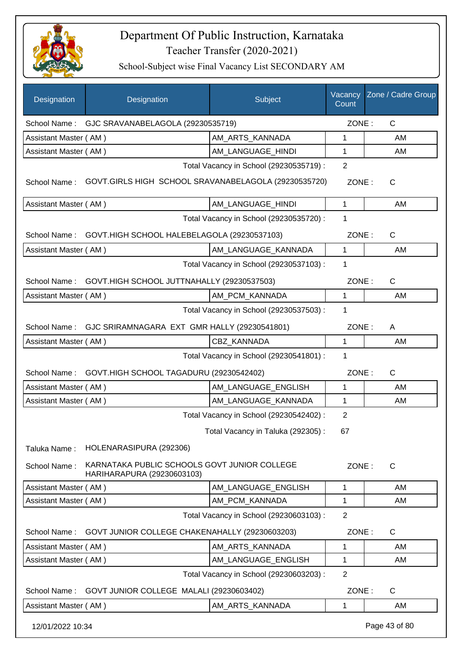

| Designation           | Designation                                                                | Subject                                 | Vacancy<br>Count | Zone / Cadre Group |  |  |
|-----------------------|----------------------------------------------------------------------------|-----------------------------------------|------------------|--------------------|--|--|
|                       | School Name: GJC SRAVANABELAGOLA (29230535719)                             |                                         | ZONE:            | C                  |  |  |
| Assistant Master (AM) |                                                                            | AM_ARTS_KANNADA                         | 1                | AM                 |  |  |
| Assistant Master (AM) |                                                                            | AM_LANGUAGE_HINDI                       | 1                | AM                 |  |  |
|                       |                                                                            | Total Vacancy in School (29230535719) : | $\overline{2}$   |                    |  |  |
| School Name:          | GOVT.GIRLS HIGH SCHOOL SRAVANABELAGOLA (29230535720)                       |                                         | ZONE:            | C                  |  |  |
| Assistant Master (AM) |                                                                            | AM_LANGUAGE_HINDI                       | $\mathbf{1}$     | AM                 |  |  |
|                       |                                                                            | Total Vacancy in School (29230535720) : | 1                |                    |  |  |
| School Name:          | GOVT.HIGH SCHOOL HALEBELAGOLA (29230537103)                                |                                         | ZONE:            | $\mathsf{C}$       |  |  |
| Assistant Master (AM) |                                                                            | AM_LANGUAGE_KANNADA                     | 1                | AM                 |  |  |
|                       |                                                                            | Total Vacancy in School (29230537103) : | 1                |                    |  |  |
|                       | School Name: GOVT.HIGH SCHOOL JUTTNAHALLY (29230537503)                    |                                         | ZONE:            | C                  |  |  |
| Assistant Master (AM) |                                                                            | AM_PCM_KANNADA                          | $\mathbf{1}$     | AM                 |  |  |
|                       |                                                                            | Total Vacancy in School (29230537503) : | 1                |                    |  |  |
|                       | School Name: GJC SRIRAMNAGARA EXT GMR HALLY (29230541801)                  |                                         | ZONE:            | A                  |  |  |
| Assistant Master (AM) |                                                                            | <b>CBZ KANNADA</b>                      | $\mathbf{1}$     | AM                 |  |  |
|                       |                                                                            | Total Vacancy in School (29230541801) : | 1                |                    |  |  |
|                       | School Name: GOVT.HIGH SCHOOL TAGADURU (29230542402)                       |                                         | ZONE:            | $\mathsf{C}$       |  |  |
| Assistant Master (AM) |                                                                            | AM_LANGUAGE_ENGLISH                     | $\mathbf{1}$     | AM                 |  |  |
| Assistant Master (AM) |                                                                            | AM_LANGUAGE_KANNADA                     | 1                | AM                 |  |  |
|                       |                                                                            | Total Vacancy in School (29230542402) : | 2                |                    |  |  |
|                       |                                                                            | Total Vacancy in Taluka (292305) :      | 67               |                    |  |  |
| Taluka Name:          | HOLENARASIPURA (292306)                                                    |                                         |                  |                    |  |  |
| School Name:          | KARNATAKA PUBLIC SCHOOLS GOVT JUNIOR COLLEGE<br>HARIHARAPURA (29230603103) |                                         | ZONE:            | $\mathsf{C}$       |  |  |
| Assistant Master (AM) |                                                                            | AM LANGUAGE ENGLISH                     | 1                | AM                 |  |  |
| Assistant Master (AM) |                                                                            | AM_PCM_KANNADA                          | 1                | AM                 |  |  |
|                       | $\overline{2}$<br>Total Vacancy in School (29230603103) :                  |                                         |                  |                    |  |  |
| School Name:          | GOVT JUNIOR COLLEGE CHAKENAHALLY (29230603203)                             |                                         | ZONE:            | $\mathsf{C}$       |  |  |
| Assistant Master (AM) |                                                                            | AM_ARTS_KANNADA                         | 1                | AM                 |  |  |
| Assistant Master (AM) |                                                                            | AM_LANGUAGE_ENGLISH                     | 1                | AM                 |  |  |
|                       |                                                                            | Total Vacancy in School (29230603203) : | $\overline{2}$   |                    |  |  |
| School Name:          | GOVT JUNIOR COLLEGE MALALI (29230603402)                                   |                                         | ZONE:            | C                  |  |  |
| Assistant Master (AM) |                                                                            | AM_ARTS_KANNADA                         | 1                | AM                 |  |  |
| 12/01/2022 10:34      |                                                                            |                                         |                  | Page 43 of 80      |  |  |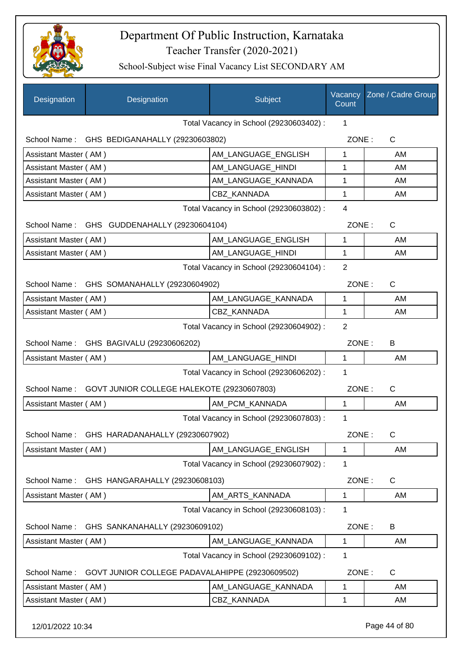

School-Subject wise Final Vacancy List SECONDARY AM

| Total Vacancy in School (29230603402) :<br>1<br>School Name: GHS BEDIGANAHALLY (29230603802)<br>ZONE:<br>C<br>Assistant Master (AM)<br>AM LANGUAGE ENGLISH<br>1<br>AM<br>AM LANGUAGE HINDI<br>1<br>AM<br>Assistant Master (AM)<br>AM_LANGUAGE_KANNADA<br>1<br>Assistant Master (AM)<br>AM<br><b>CBZ KANNADA</b><br>1<br>Assistant Master (AM)<br>AM<br>Total Vacancy in School (29230603802) :<br>$\overline{4}$<br>ZONE:<br>School Name: GHS GUDDENAHALLY (29230604104)<br>C<br>$\mathbf{1}$<br>Assistant Master (AM)<br>AM_LANGUAGE_ENGLISH<br>AM<br>AM_LANGUAGE_HINDI<br>1<br>Assistant Master (AM)<br>AM<br>2<br>Total Vacancy in School (29230604104) :<br>GHS SOMANAHALLY (29230604902)<br>ZONE:<br>C<br>School Name:<br>Assistant Master (AM)<br>AM_LANGUAGE_KANNADA<br>1<br>AM<br>$\mathbf{1}$<br><b>CBZ KANNADA</b><br>Assistant Master (AM)<br>AM<br>$\overline{2}$<br>Total Vacancy in School (29230604902) :<br>School Name: GHS BAGIVALU (29230606202)<br>ZONE:<br>B<br>$\mathbf{1}$<br>AM_LANGUAGE_HINDI<br>AM<br>Assistant Master (AM)<br>Total Vacancy in School (29230606202) :<br>1<br>GOVT JUNIOR COLLEGE HALEKOTE (29230607803)<br>ZONE:<br>C<br>School Name:<br>AM_PCM_KANNADA<br>$\mathbf{1}$<br>AM<br>Assistant Master (AM)<br>1<br>Total Vacancy in School (29230607803) :<br>ZONE:<br>$\mathsf C$<br>School Name:<br>GHS HARADANAHALLY (29230607902)<br>$\mathbf{1}$<br>Assistant Master (AM)<br>AM_LANGUAGE_ENGLISH<br>AM<br>Total Vacancy in School (29230607902) :<br>1 | Designation | Designation | Subject | Vacancy<br>Count | Zone / Cadre Group |
|-----------------------------------------------------------------------------------------------------------------------------------------------------------------------------------------------------------------------------------------------------------------------------------------------------------------------------------------------------------------------------------------------------------------------------------------------------------------------------------------------------------------------------------------------------------------------------------------------------------------------------------------------------------------------------------------------------------------------------------------------------------------------------------------------------------------------------------------------------------------------------------------------------------------------------------------------------------------------------------------------------------------------------------------------------------------------------------------------------------------------------------------------------------------------------------------------------------------------------------------------------------------------------------------------------------------------------------------------------------------------------------------------------------------------------------------------------------------------------------------------------|-------------|-------------|---------|------------------|--------------------|
|                                                                                                                                                                                                                                                                                                                                                                                                                                                                                                                                                                                                                                                                                                                                                                                                                                                                                                                                                                                                                                                                                                                                                                                                                                                                                                                                                                                                                                                                                                     |             |             |         |                  |                    |
|                                                                                                                                                                                                                                                                                                                                                                                                                                                                                                                                                                                                                                                                                                                                                                                                                                                                                                                                                                                                                                                                                                                                                                                                                                                                                                                                                                                                                                                                                                     |             |             |         |                  |                    |
|                                                                                                                                                                                                                                                                                                                                                                                                                                                                                                                                                                                                                                                                                                                                                                                                                                                                                                                                                                                                                                                                                                                                                                                                                                                                                                                                                                                                                                                                                                     |             |             |         |                  |                    |
|                                                                                                                                                                                                                                                                                                                                                                                                                                                                                                                                                                                                                                                                                                                                                                                                                                                                                                                                                                                                                                                                                                                                                                                                                                                                                                                                                                                                                                                                                                     |             |             |         |                  |                    |
|                                                                                                                                                                                                                                                                                                                                                                                                                                                                                                                                                                                                                                                                                                                                                                                                                                                                                                                                                                                                                                                                                                                                                                                                                                                                                                                                                                                                                                                                                                     |             |             |         |                  |                    |
|                                                                                                                                                                                                                                                                                                                                                                                                                                                                                                                                                                                                                                                                                                                                                                                                                                                                                                                                                                                                                                                                                                                                                                                                                                                                                                                                                                                                                                                                                                     |             |             |         |                  |                    |
|                                                                                                                                                                                                                                                                                                                                                                                                                                                                                                                                                                                                                                                                                                                                                                                                                                                                                                                                                                                                                                                                                                                                                                                                                                                                                                                                                                                                                                                                                                     |             |             |         |                  |                    |
|                                                                                                                                                                                                                                                                                                                                                                                                                                                                                                                                                                                                                                                                                                                                                                                                                                                                                                                                                                                                                                                                                                                                                                                                                                                                                                                                                                                                                                                                                                     |             |             |         |                  |                    |
|                                                                                                                                                                                                                                                                                                                                                                                                                                                                                                                                                                                                                                                                                                                                                                                                                                                                                                                                                                                                                                                                                                                                                                                                                                                                                                                                                                                                                                                                                                     |             |             |         |                  |                    |
|                                                                                                                                                                                                                                                                                                                                                                                                                                                                                                                                                                                                                                                                                                                                                                                                                                                                                                                                                                                                                                                                                                                                                                                                                                                                                                                                                                                                                                                                                                     |             |             |         |                  |                    |
|                                                                                                                                                                                                                                                                                                                                                                                                                                                                                                                                                                                                                                                                                                                                                                                                                                                                                                                                                                                                                                                                                                                                                                                                                                                                                                                                                                                                                                                                                                     |             |             |         |                  |                    |
|                                                                                                                                                                                                                                                                                                                                                                                                                                                                                                                                                                                                                                                                                                                                                                                                                                                                                                                                                                                                                                                                                                                                                                                                                                                                                                                                                                                                                                                                                                     |             |             |         |                  |                    |
|                                                                                                                                                                                                                                                                                                                                                                                                                                                                                                                                                                                                                                                                                                                                                                                                                                                                                                                                                                                                                                                                                                                                                                                                                                                                                                                                                                                                                                                                                                     |             |             |         |                  |                    |
|                                                                                                                                                                                                                                                                                                                                                                                                                                                                                                                                                                                                                                                                                                                                                                                                                                                                                                                                                                                                                                                                                                                                                                                                                                                                                                                                                                                                                                                                                                     |             |             |         |                  |                    |
|                                                                                                                                                                                                                                                                                                                                                                                                                                                                                                                                                                                                                                                                                                                                                                                                                                                                                                                                                                                                                                                                                                                                                                                                                                                                                                                                                                                                                                                                                                     |             |             |         |                  |                    |
|                                                                                                                                                                                                                                                                                                                                                                                                                                                                                                                                                                                                                                                                                                                                                                                                                                                                                                                                                                                                                                                                                                                                                                                                                                                                                                                                                                                                                                                                                                     |             |             |         |                  |                    |
|                                                                                                                                                                                                                                                                                                                                                                                                                                                                                                                                                                                                                                                                                                                                                                                                                                                                                                                                                                                                                                                                                                                                                                                                                                                                                                                                                                                                                                                                                                     |             |             |         |                  |                    |
|                                                                                                                                                                                                                                                                                                                                                                                                                                                                                                                                                                                                                                                                                                                                                                                                                                                                                                                                                                                                                                                                                                                                                                                                                                                                                                                                                                                                                                                                                                     |             |             |         |                  |                    |
|                                                                                                                                                                                                                                                                                                                                                                                                                                                                                                                                                                                                                                                                                                                                                                                                                                                                                                                                                                                                                                                                                                                                                                                                                                                                                                                                                                                                                                                                                                     |             |             |         |                  |                    |
|                                                                                                                                                                                                                                                                                                                                                                                                                                                                                                                                                                                                                                                                                                                                                                                                                                                                                                                                                                                                                                                                                                                                                                                                                                                                                                                                                                                                                                                                                                     |             |             |         |                  |                    |
|                                                                                                                                                                                                                                                                                                                                                                                                                                                                                                                                                                                                                                                                                                                                                                                                                                                                                                                                                                                                                                                                                                                                                                                                                                                                                                                                                                                                                                                                                                     |             |             |         |                  |                    |
|                                                                                                                                                                                                                                                                                                                                                                                                                                                                                                                                                                                                                                                                                                                                                                                                                                                                                                                                                                                                                                                                                                                                                                                                                                                                                                                                                                                                                                                                                                     |             |             |         |                  |                    |
|                                                                                                                                                                                                                                                                                                                                                                                                                                                                                                                                                                                                                                                                                                                                                                                                                                                                                                                                                                                                                                                                                                                                                                                                                                                                                                                                                                                                                                                                                                     |             |             |         |                  |                    |
|                                                                                                                                                                                                                                                                                                                                                                                                                                                                                                                                                                                                                                                                                                                                                                                                                                                                                                                                                                                                                                                                                                                                                                                                                                                                                                                                                                                                                                                                                                     |             |             |         |                  |                    |
| $\mathsf C$<br>School Name:<br>GHS HANGARAHALLY (29230608103)<br>ZONE:                                                                                                                                                                                                                                                                                                                                                                                                                                                                                                                                                                                                                                                                                                                                                                                                                                                                                                                                                                                                                                                                                                                                                                                                                                                                                                                                                                                                                              |             |             |         |                  |                    |
| Assistant Master (AM)<br>AM_ARTS_KANNADA<br>1<br>AM                                                                                                                                                                                                                                                                                                                                                                                                                                                                                                                                                                                                                                                                                                                                                                                                                                                                                                                                                                                                                                                                                                                                                                                                                                                                                                                                                                                                                                                 |             |             |         |                  |                    |
| Total Vacancy in School (29230608103) :<br>1                                                                                                                                                                                                                                                                                                                                                                                                                                                                                                                                                                                                                                                                                                                                                                                                                                                                                                                                                                                                                                                                                                                                                                                                                                                                                                                                                                                                                                                        |             |             |         |                  |                    |
| ZONE:<br>B<br>School Name:<br>GHS SANKANAHALLY (29230609102)                                                                                                                                                                                                                                                                                                                                                                                                                                                                                                                                                                                                                                                                                                                                                                                                                                                                                                                                                                                                                                                                                                                                                                                                                                                                                                                                                                                                                                        |             |             |         |                  |                    |
| Assistant Master (AM)<br>AM LANGUAGE KANNADA<br>1<br>AM                                                                                                                                                                                                                                                                                                                                                                                                                                                                                                                                                                                                                                                                                                                                                                                                                                                                                                                                                                                                                                                                                                                                                                                                                                                                                                                                                                                                                                             |             |             |         |                  |                    |
| Total Vacancy in School (29230609102) :<br>1                                                                                                                                                                                                                                                                                                                                                                                                                                                                                                                                                                                                                                                                                                                                                                                                                                                                                                                                                                                                                                                                                                                                                                                                                                                                                                                                                                                                                                                        |             |             |         |                  |                    |
| $\mathsf{C}$<br>School Name:<br>GOVT JUNIOR COLLEGE PADAVALAHIPPE (29230609502)<br>ZONE:                                                                                                                                                                                                                                                                                                                                                                                                                                                                                                                                                                                                                                                                                                                                                                                                                                                                                                                                                                                                                                                                                                                                                                                                                                                                                                                                                                                                            |             |             |         |                  |                    |
| AM_LANGUAGE_KANNADA<br>$\mathbf 1$<br>Assistant Master (AM)<br>AM                                                                                                                                                                                                                                                                                                                                                                                                                                                                                                                                                                                                                                                                                                                                                                                                                                                                                                                                                                                                                                                                                                                                                                                                                                                                                                                                                                                                                                   |             |             |         |                  |                    |
| CBZ_KANNADA<br>Assistant Master (AM)<br>1<br>AM                                                                                                                                                                                                                                                                                                                                                                                                                                                                                                                                                                                                                                                                                                                                                                                                                                                                                                                                                                                                                                                                                                                                                                                                                                                                                                                                                                                                                                                     |             |             |         |                  |                    |

12/01/2022 10:34 Page 44 of 80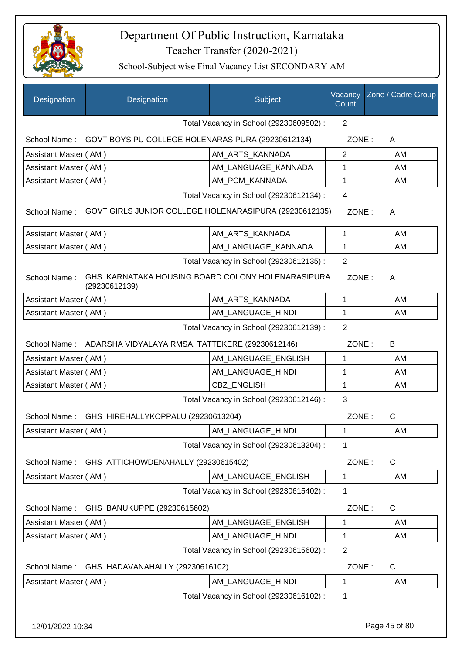

| Designation                                               | Designation                                                        | Subject                                 | Vacancy<br>Count | Zone / Cadre Group |
|-----------------------------------------------------------|--------------------------------------------------------------------|-----------------------------------------|------------------|--------------------|
|                                                           |                                                                    | Total Vacancy in School (29230609502) : | $\overline{2}$   |                    |
| School Name:                                              | GOVT BOYS PU COLLEGE HOLENARASIPURA (29230612134)                  |                                         | ZONE:            | A                  |
| Assistant Master (AM)                                     |                                                                    | AM_ARTS_KANNADA                         | $\overline{2}$   | AM                 |
| Assistant Master (AM)                                     |                                                                    | AM_LANGUAGE_KANNADA                     | 1                | AM                 |
| Assistant Master (AM)                                     |                                                                    | AM PCM KANNADA                          | 1                | AM                 |
|                                                           |                                                                    | Total Vacancy in School (29230612134) : | $\overline{4}$   |                    |
| School Name:                                              | GOVT GIRLS JUNIOR COLLEGE HOLENARASIPURA (29230612135)             |                                         | ZONE:            | A                  |
| Assistant Master (AM)                                     |                                                                    | AM_ARTS_KANNADA                         | 1                | AM                 |
| Assistant Master (AM)                                     |                                                                    | AM LANGUAGE KANNADA                     | $\mathbf 1$      | AM                 |
|                                                           |                                                                    | Total Vacancy in School (29230612135) : | $\overline{2}$   |                    |
| School Name:                                              | GHS KARNATAKA HOUSING BOARD COLONY HOLENARASIPURA<br>(29230612139) |                                         | ZONE:            | A                  |
| Assistant Master (AM)                                     |                                                                    | AM_ARTS_KANNADA                         | 1                | AM                 |
| Assistant Master (AM)                                     |                                                                    | AM_LANGUAGE_HINDI                       | 1                | AM                 |
| $\overline{2}$<br>Total Vacancy in School (29230612139) : |                                                                    |                                         |                  |                    |
|                                                           | School Name: ADARSHA VIDYALAYA RMSA, TATTEKERE (29230612146)       |                                         | ZONE:            | B                  |
| Assistant Master (AM)                                     |                                                                    | AM_LANGUAGE_ENGLISH                     | 1                | AM                 |
| Assistant Master (AM)                                     |                                                                    | AM_LANGUAGE_HINDI                       | 1                | AM                 |
| Assistant Master (AM)                                     |                                                                    | CBZ_ENGLISH                             | $\mathbf 1$      | AM                 |
|                                                           |                                                                    | Total Vacancy in School (29230612146) : | 3                |                    |
| School Name:                                              | GHS HIREHALLYKOPPALU (29230613204)                                 |                                         | ZONE:            | $\mathsf C$        |
| Assistant Master (AM)                                     |                                                                    | AM_LANGUAGE_HINDI                       | 1                | AM.                |
|                                                           |                                                                    | Total Vacancy in School (29230613204) : | 1                |                    |
| School Name:                                              | GHS ATTICHOWDENAHALLY (29230615402)                                |                                         | ZONE:            | $\mathsf{C}$       |
| Assistant Master (AM)                                     |                                                                    | AM LANGUAGE ENGLISH                     | 1                | AM                 |
| Total Vacancy in School (29230615402) :<br>1              |                                                                    |                                         |                  |                    |
| School Name:                                              | GHS BANUKUPPE (29230615602)                                        |                                         | ZONE:            | $\mathsf{C}$       |
| Assistant Master (AM)                                     |                                                                    | AM_LANGUAGE_ENGLISH                     | 1                | AM                 |
| Assistant Master (AM)                                     |                                                                    | AM_LANGUAGE_HINDI                       | 1                | AM                 |
|                                                           |                                                                    | Total Vacancy in School (29230615602):  | $\overline{2}$   |                    |
| School Name:                                              | GHS HADAVANAHALLY (29230616102)                                    |                                         | ZONE:            | $\mathsf{C}$       |
| Assistant Master (AM)                                     |                                                                    | AM_LANGUAGE_HINDI                       | 1                | AM                 |
|                                                           |                                                                    | Total Vacancy in School (29230616102) : | 1                |                    |
| 12/01/2022 10:34                                          |                                                                    |                                         |                  | Page 45 of 80      |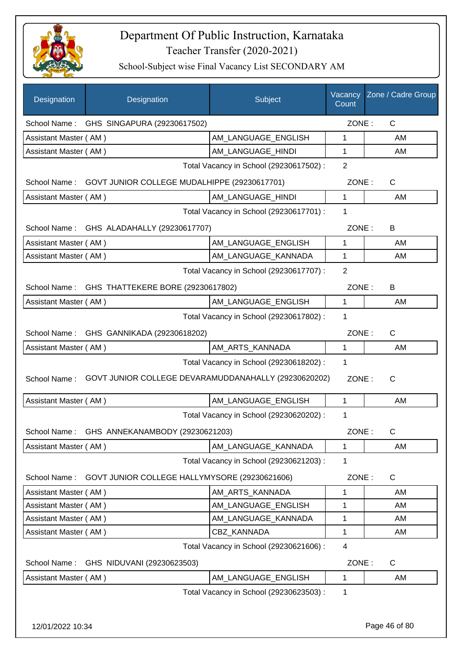

| Designation                                  | Designation                                               | Subject                                 | Vacancy<br>Count | Zone / Cadre Group |
|----------------------------------------------|-----------------------------------------------------------|-----------------------------------------|------------------|--------------------|
|                                              | School Name: GHS SINGAPURA (29230617502)                  |                                         | ZONE:            | C                  |
| Assistant Master (AM)                        |                                                           | AM_LANGUAGE_ENGLISH                     | 1                | AM                 |
| Assistant Master (AM)                        |                                                           | AM_LANGUAGE_HINDI                       | 1                | AM                 |
|                                              |                                                           | Total Vacancy in School (29230617502) : | 2                |                    |
|                                              | School Name: GOVT JUNIOR COLLEGE MUDALHIPPE (29230617701) |                                         | ZONE:            | C                  |
| Assistant Master (AM)                        |                                                           | AM_LANGUAGE_HINDI                       | 1                | AM                 |
|                                              |                                                           | Total Vacancy in School (29230617701) : | 1                |                    |
|                                              | School Name: GHS ALADAHALLY (29230617707)                 |                                         | ZONE:            | В                  |
| Assistant Master (AM)                        |                                                           | AM_LANGUAGE_ENGLISH                     | 1                | AM                 |
| Assistant Master (AM)                        |                                                           | AM_LANGUAGE_KANNADA                     | 1                | AM                 |
|                                              |                                                           | Total Vacancy in School (29230617707) : | 2                |                    |
| School Name:                                 | GHS THATTEKERE BORE (29230617802)                         |                                         | ZONE:            | B                  |
| Assistant Master (AM)                        |                                                           | AM_LANGUAGE_ENGLISH                     | $\mathbf{1}$     | AM                 |
|                                              |                                                           | Total Vacancy in School (29230617802) : | 1                |                    |
| School Name:                                 | GHS GANNIKADA (29230618202)                               |                                         | ZONE:            | C                  |
| Assistant Master (AM)                        |                                                           | AM_ARTS_KANNADA                         | 1                | AM                 |
|                                              |                                                           | Total Vacancy in School (29230618202) : | 1                |                    |
| School Name:                                 | GOVT JUNIOR COLLEGE DEVARAMUDDANAHALLY (29230620202)      |                                         | ZONE:            | C                  |
| Assistant Master (AM)                        |                                                           | AM_LANGUAGE_ENGLISH                     | $\mathbf{1}$     | AM                 |
|                                              |                                                           | Total Vacancy in School (29230620202) : | 1                |                    |
| School Name:                                 | GHS ANNEKANAMBODY (29230621203)                           |                                         | ZONE:            | $\mathsf C$        |
| Assistant Master (AM)                        |                                                           | AM_LANGUAGE_KANNADA                     | 1                | AM                 |
|                                              |                                                           | Total Vacancy in School (29230621203) : | 1                |                    |
| School Name:                                 | GOVT JUNIOR COLLEGE HALLYMYSORE (29230621606)             |                                         | ZONE:            | C                  |
| Assistant Master (AM)                        |                                                           | AM ARTS KANNADA                         | 1                | AM                 |
| Assistant Master (AM)                        |                                                           | AM LANGUAGE ENGLISH                     | 1                | AM                 |
| Assistant Master (AM)                        |                                                           | AM_LANGUAGE_KANNADA                     | 1                | AM                 |
| Assistant Master (AM)                        |                                                           | CBZ_KANNADA                             | 1                | AM                 |
| Total Vacancy in School (29230621606) :<br>4 |                                                           |                                         |                  |                    |
| School Name:                                 | GHS NIDUVANI (29230623503)                                |                                         | ZONE:            | C                  |
| Assistant Master (AM)                        |                                                           | AM_LANGUAGE_ENGLISH                     | $\mathbf{1}$     | AM                 |
|                                              |                                                           | Total Vacancy in School (29230623503) : | 1                |                    |
| 12/01/2022 10:34                             |                                                           |                                         |                  | Page 46 of 80      |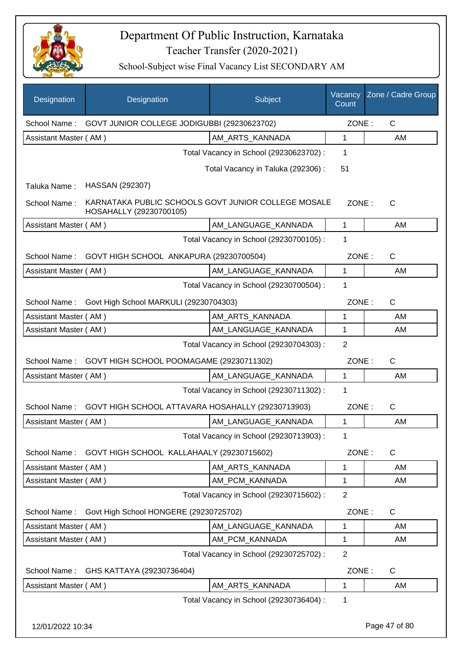

| Designation           | Designation                                                                    | Subject                                 | Vacancy<br>Count | Zone / Cadre Group |
|-----------------------|--------------------------------------------------------------------------------|-----------------------------------------|------------------|--------------------|
| School Name:          | GOVT JUNIOR COLLEGE JODIGUBBI (29230623702)                                    |                                         | ZONE:            | C                  |
| Assistant Master (AM) |                                                                                | AM ARTS KANNADA                         | $\mathbf{1}$     | AM                 |
|                       |                                                                                | Total Vacancy in School (29230623702) : | 1                |                    |
|                       |                                                                                | Total Vacancy in Taluka (292306):       | 51               |                    |
| Taluka Name:          | HASSAN (292307)                                                                |                                         |                  |                    |
| School Name:          | KARNATAKA PUBLIC SCHOOLS GOVT JUNIOR COLLEGE MOSALE<br>HOSAHALLY (29230700105) |                                         | ZONE:            | $\mathsf{C}$       |
| Assistant Master (AM) |                                                                                | AM_LANGUAGE_KANNADA                     | $\mathbf{1}$     | AM                 |
|                       |                                                                                | Total Vacancy in School (29230700105) : | 1                |                    |
|                       | School Name: GOVT HIGH SCHOOL ANKAPURA (29230700504)                           |                                         | ZONE:            | C                  |
| Assistant Master (AM) |                                                                                | AM_LANGUAGE_KANNADA                     | $\mathbf{1}$     | AM                 |
|                       |                                                                                | Total Vacancy in School (29230700504) : | 1                |                    |
| School Name:          | Govt High School MARKULI (29230704303)                                         |                                         | ZONE:            | $\mathsf{C}$       |
| Assistant Master (AM) |                                                                                | AM_ARTS_KANNADA                         | 1                | AM                 |
| Assistant Master (AM) |                                                                                | AM_LANGUAGE_KANNADA                     | $\mathbf{1}$     | AM                 |
|                       |                                                                                | Total Vacancy in School (29230704303) : | $\overline{2}$   |                    |
| School Name:          | GOVT HIGH SCHOOL POOMAGAME (29230711302)                                       |                                         | ZONE:            | $\mathsf{C}$       |
| Assistant Master (AM) |                                                                                | AM_LANGUAGE_KANNADA                     | $\mathbf{1}$     | AM                 |
|                       |                                                                                | Total Vacancy in School (29230711302) : | 1                |                    |
| School Name:          | GOVT HIGH SCHOOL ATTAVARA HOSAHALLY (29230713903)                              |                                         | ZONE:            | $\mathsf{C}$       |
| Assistant Master (AM) |                                                                                | AM_LANGUAGE_KANNADA                     | 1                | AM                 |
|                       |                                                                                | Total Vacancy in School (29230713903) : | 1                |                    |
|                       | School Name: GOVT HIGH SCHOOL KALLAHAALY (29230715602)                         |                                         | ZONE:            | $\mathsf{C}$       |
| Assistant Master (AM) |                                                                                | AM_ARTS_KANNADA                         | 1                | AM                 |
| Assistant Master (AM) |                                                                                | AM PCM KANNADA                          | 1                | AM                 |
|                       |                                                                                | Total Vacancy in School (29230715602) : | $\overline{2}$   |                    |
| School Name:          | Govt High School HONGERE (29230725702)                                         |                                         | ZONE:            | $\mathsf{C}$       |
| Assistant Master (AM) |                                                                                | AM_LANGUAGE_KANNADA                     | 1                | AM                 |
| Assistant Master (AM) |                                                                                | AM_PCM_KANNADA                          | 1                | AM                 |
|                       |                                                                                | Total Vacancy in School (29230725702) : | $\overline{2}$   |                    |
| School Name:          | GHS KATTAYA (29230736404)                                                      |                                         | ZONE:            | C                  |
| Assistant Master (AM) |                                                                                | AM_ARTS_KANNADA                         | 1                | AM                 |
|                       |                                                                                | Total Vacancy in School (29230736404) : | 1                |                    |
| 12/01/2022 10:34      |                                                                                |                                         |                  | Page 47 of 80      |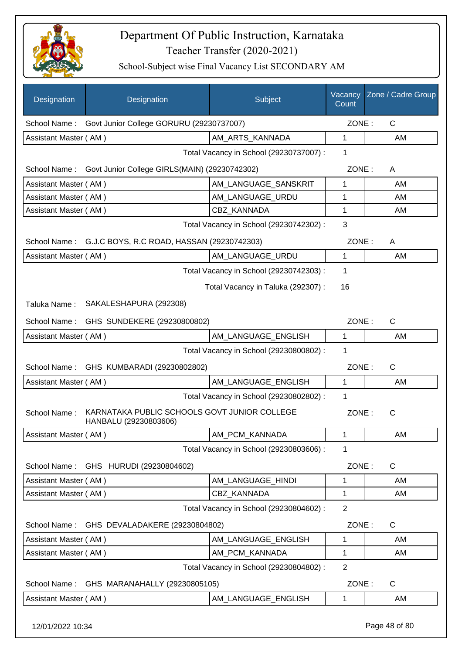

School-Subject wise Final Vacancy List SECONDARY AM

| Designation                                                                           | Designation                                             | Subject                                 | Vacancy<br>Count | Zone / Cadre Group |
|---------------------------------------------------------------------------------------|---------------------------------------------------------|-----------------------------------------|------------------|--------------------|
| School Name:                                                                          | Govt Junior College GORURU (29230737007)                |                                         | ZONE:            | C                  |
| Assistant Master (AM)                                                                 |                                                         | AM_ARTS_KANNADA                         | $\mathbf{1}$     | AM                 |
|                                                                                       |                                                         | Total Vacancy in School (29230737007) : | 1                |                    |
| School Name:                                                                          | Govt Junior College GIRLS(MAIN) (29230742302)           |                                         | ZONE:            | A                  |
| Assistant Master (AM)                                                                 |                                                         | AM LANGUAGE SANSKRIT                    | 1                | AM                 |
| Assistant Master (AM)                                                                 |                                                         | AM LANGUAGE URDU                        | 1                | AM                 |
| Assistant Master (AM)                                                                 |                                                         | <b>CBZ KANNADA</b>                      | 1                | AM                 |
|                                                                                       |                                                         | Total Vacancy in School (29230742302) : | 3                |                    |
|                                                                                       | School Name: G.J.C BOYS, R.C ROAD, HASSAN (29230742303) |                                         | ZONE:            | A                  |
| Assistant Master (AM)                                                                 |                                                         | AM LANGUAGE URDU                        | $\mathbf{1}$     | AM                 |
|                                                                                       |                                                         | Total Vacancy in School (29230742303) : | 1                |                    |
|                                                                                       |                                                         | Total Vacancy in Taluka (292307) :      | 16               |                    |
| Taluka Name:                                                                          | SAKALESHAPURA (292308)                                  |                                         |                  |                    |
| School Name:                                                                          | GHS SUNDEKERE (29230800802)                             |                                         | ZONE:            | $\mathsf{C}$       |
| Assistant Master (AM)                                                                 |                                                         | AM_LANGUAGE_ENGLISH                     | $\mathbf{1}$     | AM                 |
|                                                                                       |                                                         | Total Vacancy in School (29230800802) : | 1                |                    |
|                                                                                       | School Name: GHS KUMBARADI (29230802802)                |                                         | ZONE:            | $\mathsf{C}$       |
| Assistant Master (AM)                                                                 |                                                         | AM_LANGUAGE_ENGLISH                     | $\mathbf{1}$     | AM                 |
|                                                                                       |                                                         | Total Vacancy in School (29230802802) : | 1                |                    |
| KARNATAKA PUBLIC SCHOOLS GOVT JUNIOR COLLEGE<br>School Name:<br>HANBALU (29230803606) |                                                         |                                         | ZONE:            | С                  |
| Assistant Master (AM)                                                                 |                                                         | AM PCM KANNADA                          | 1                | AM                 |
|                                                                                       |                                                         | Total Vacancy in School (29230803606) : | 1                |                    |
| School Name:                                                                          | GHS HURUDI (29230804602)                                |                                         | ZONE:            | C                  |
| Assistant Master (AM)                                                                 |                                                         | AM LANGUAGE HINDI                       | 1                | AM                 |
| Assistant Master (AM)                                                                 |                                                         | CBZ_KANNADA                             | 1                | AM                 |
|                                                                                       |                                                         | Total Vacancy in School (29230804602) : | $\overline{2}$   |                    |
| School Name:                                                                          | GHS DEVALADAKERE (29230804802)                          |                                         | ZONE:            | C                  |
| Assistant Master (AM)                                                                 |                                                         | AM_LANGUAGE_ENGLISH                     | 1                | AM                 |
| Assistant Master (AM)                                                                 |                                                         | AM_PCM_KANNADA                          | 1                | AM                 |
|                                                                                       |                                                         | Total Vacancy in School (29230804802) : | $\overline{2}$   |                    |
| School Name:                                                                          | GHS MARANAHALLY (29230805105)                           |                                         | ZONE:            | C                  |
| Assistant Master (AM)                                                                 |                                                         | AM_LANGUAGE_ENGLISH                     | 1                | AM                 |
|                                                                                       |                                                         |                                         |                  |                    |

12/01/2022 10:34 Page 48 of 80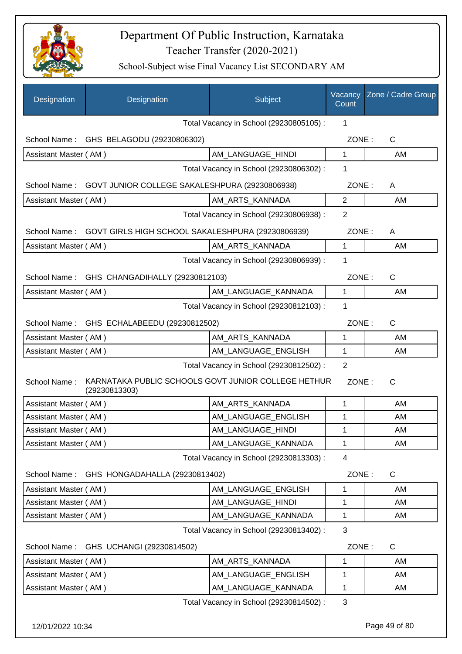

School-Subject wise Final Vacancy List SECONDARY AM

| Designation           | Designation                                                          | Subject                                 | Vacancy<br>Count | Zone / Cadre Group |
|-----------------------|----------------------------------------------------------------------|-----------------------------------------|------------------|--------------------|
|                       |                                                                      | Total Vacancy in School (29230805105) : | 1                |                    |
|                       | School Name: GHS BELAGODU (29230806302)                              |                                         | ZONE:            | $\mathsf C$        |
| Assistant Master (AM) |                                                                      | AM_LANGUAGE_HINDI                       | 1                | AM                 |
|                       |                                                                      | Total Vacancy in School (29230806302) : | 1                |                    |
| School Name:          | GOVT JUNIOR COLLEGE SAKALESHPURA (29230806938)                       |                                         | ZONE:            | A                  |
| Assistant Master (AM) |                                                                      | AM_ARTS_KANNADA                         | $\overline{2}$   | AM                 |
|                       |                                                                      | Total Vacancy in School (29230806938) : | $\overline{2}$   |                    |
| School Name:          | GOVT GIRLS HIGH SCHOOL SAKALESHPURA (29230806939)                    |                                         | ZONE:            | A                  |
| Assistant Master (AM) |                                                                      | AM ARTS KANNADA                         | 1                | AM                 |
|                       |                                                                      | Total Vacancy in School (29230806939) : | 1                |                    |
| School Name:          | GHS CHANGADIHALLY (29230812103)                                      |                                         | ZONE:            | $\mathsf{C}$       |
| Assistant Master (AM) |                                                                      | AM LANGUAGE KANNADA                     | $\mathbf{1}$     | AM                 |
|                       |                                                                      | Total Vacancy in School (29230812103) : | 1                |                    |
|                       | School Name: GHS ECHALABEEDU (29230812502)                           |                                         | ZONE:            | C                  |
| Assistant Master (AM) |                                                                      | AM_ARTS_KANNADA                         | 1                | AM                 |
| Assistant Master (AM) |                                                                      | AM_LANGUAGE_ENGLISH                     | 1                | AM                 |
|                       |                                                                      | Total Vacancy in School (29230812502) : | $\overline{2}$   |                    |
| School Name:          | KARNATAKA PUBLIC SCHOOLS GOVT JUNIOR COLLEGE HETHUR<br>(29230813303) |                                         | ZONE:            | $\mathsf{C}$       |
| Assistant Master (AM) |                                                                      | AM_ARTS_KANNADA                         | 1                | AM                 |
| Assistant Master (AM) |                                                                      | AM LANGUAGE ENGLISH                     | 1                | AM                 |
| Assistant Master (AM) |                                                                      | AM_LANGUAGE_HINDI                       | 1                | AM                 |
| Assistant Master (AM) |                                                                      | AM_LANGUAGE_KANNADA                     | 1                | AM                 |
|                       |                                                                      | Total Vacancy in School (29230813303) : | $\overline{4}$   |                    |
| School Name:          | GHS HONGADAHALLA (29230813402)                                       |                                         | ZONE:            | C                  |
| Assistant Master (AM) |                                                                      | AM LANGUAGE ENGLISH                     | 1                | AM                 |
| Assistant Master (AM) |                                                                      | AM_LANGUAGE_HINDI                       | 1                | AM                 |
| Assistant Master (AM) |                                                                      | AM_LANGUAGE_KANNADA                     | 1                | AM                 |
|                       |                                                                      | Total Vacancy in School (29230813402) : | 3                |                    |
| School Name:          | GHS UCHANGI (29230814502)                                            |                                         | ZONE:            | C                  |
| Assistant Master (AM) |                                                                      | AM_ARTS_KANNADA                         | 1                | AM                 |
| Assistant Master (AM) |                                                                      | AM_LANGUAGE_ENGLISH                     | 1                | AM                 |
| Assistant Master (AM) |                                                                      | AM_LANGUAGE_KANNADA                     | 1                | AM                 |
|                       |                                                                      | Total Vacancy in School (29230814502) : | 3                |                    |

12/01/2022 10:34 Page 49 of 80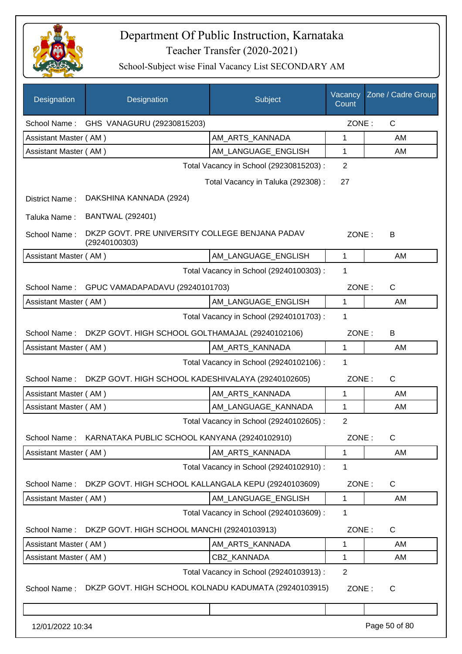

| Designation           | Designation                                                      | Subject                                 | Vacancy<br>Count | Zone / Cadre Group |
|-----------------------|------------------------------------------------------------------|-----------------------------------------|------------------|--------------------|
|                       | School Name: GHS VANAGURU (29230815203)                          |                                         | ZONE:            | $\mathsf{C}$       |
| Assistant Master (AM) |                                                                  | AM ARTS KANNADA                         | 1                | AM                 |
| Assistant Master (AM) |                                                                  | AM_LANGUAGE_ENGLISH                     | 1                | AM                 |
|                       |                                                                  | Total Vacancy in School (29230815203) : | $\overline{2}$   |                    |
|                       |                                                                  | Total Vacancy in Taluka (292308) :      | 27               |                    |
| District Name:        | DAKSHINA KANNADA (2924)                                          |                                         |                  |                    |
| Taluka Name:          | <b>BANTWAL (292401)</b>                                          |                                         |                  |                    |
| School Name:          | DKZP GOVT. PRE UNIVERSITY COLLEGE BENJANA PADAV<br>(29240100303) |                                         | ZONE:            | B                  |
| Assistant Master (AM) |                                                                  | AM_LANGUAGE_ENGLISH                     | $\mathbf 1$      | AM                 |
|                       |                                                                  | Total Vacancy in School (29240100303) : | 1                |                    |
| School Name:          | GPUC VAMADAPADAVU (29240101703)                                  |                                         | ZONE:            | $\mathsf{C}$       |
| Assistant Master (AM) |                                                                  | AM_LANGUAGE_ENGLISH                     | 1                | AM                 |
|                       |                                                                  | Total Vacancy in School (29240101703) : | 1                |                    |
| School Name:          | DKZP GOVT. HIGH SCHOOL GOLTHAMAJAL (29240102106)                 |                                         | ZONE:            | B                  |
| Assistant Master (AM) |                                                                  | AM_ARTS_KANNADA                         | 1                | AM                 |
|                       |                                                                  | Total Vacancy in School (29240102106) : | 1                |                    |
| School Name:          | DKZP GOVT. HIGH SCHOOL KADESHIVALAYA (29240102605)               |                                         | ZONE:            | C                  |
| Assistant Master (AM) |                                                                  | AM_ARTS_KANNADA                         | 1                | AM                 |
| Assistant Master (AM) |                                                                  | AM LANGUAGE KANNADA                     | 1                | AM                 |
|                       |                                                                  | Total Vacancy in School (29240102605) : | 2                |                    |
| School Name:          | KARNATAKA PUBLIC SCHOOL KANYANA (29240102910)                    |                                         | ZONE:            | C                  |
| Assistant Master (AM) |                                                                  | AM_ARTS_KANNADA                         | 1                | AM                 |
|                       |                                                                  | Total Vacancy in School (29240102910) : | 1                |                    |
| School Name:          | DKZP GOVT. HIGH SCHOOL KALLANGALA KEPU (29240103609)             |                                         | ZONE:            | C                  |
| Assistant Master (AM) |                                                                  | AM_LANGUAGE_ENGLISH                     | 1                | AM                 |
|                       |                                                                  | Total Vacancy in School (29240103609) : | 1                |                    |
| School Name:          | DKZP GOVT. HIGH SCHOOL MANCHI (29240103913)                      |                                         | ZONE:            | C                  |
| Assistant Master (AM) |                                                                  | AM_ARTS_KANNADA                         | 1                | AM                 |
| Assistant Master (AM) |                                                                  | CBZ_KANNADA                             | 1                | AM                 |
|                       |                                                                  | Total Vacancy in School (29240103913) : | $\overline{2}$   |                    |
| School Name:          | DKZP GOVT. HIGH SCHOOL KOLNADU KADUMATA (29240103915)            |                                         | ZONE:            | C                  |
|                       |                                                                  |                                         |                  |                    |
| 12/01/2022 10:34      |                                                                  |                                         |                  | Page 50 of 80      |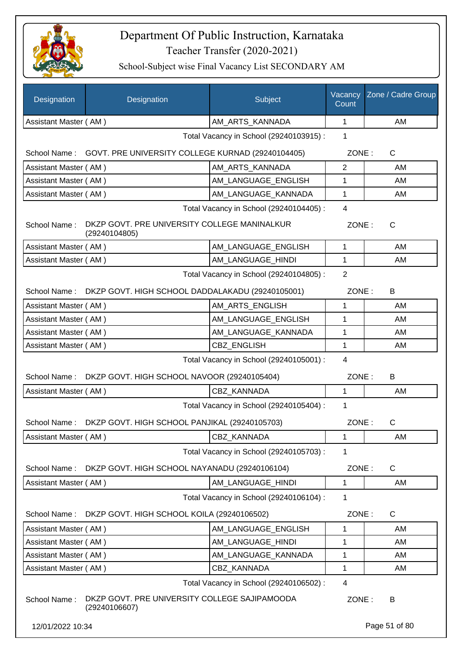

| Designation                             | Designation                                                    | Subject                                 | Vacancy<br>Count | Zone / Cadre Group |
|-----------------------------------------|----------------------------------------------------------------|-----------------------------------------|------------------|--------------------|
| Assistant Master (AM)                   |                                                                | AM_ARTS_KANNADA                         | 1                | AM                 |
|                                         |                                                                | Total Vacancy in School (29240103915) : | 1                |                    |
|                                         | School Name: GOVT. PRE UNIVERSITY COLLEGE KURNAD (29240104405) |                                         | ZONE:            | C                  |
| Assistant Master (AM)                   |                                                                | AM_ARTS_KANNADA                         | $\overline{2}$   | AM                 |
| Assistant Master (AM)                   |                                                                | AM LANGUAGE ENGLISH                     | 1                | AM                 |
| Assistant Master (AM)                   |                                                                | AM_LANGUAGE_KANNADA                     | $\mathbf 1$      | AM                 |
|                                         |                                                                | Total Vacancy in School (29240104405) : | $\overline{4}$   |                    |
| School Name:                            | DKZP GOVT. PRE UNIVERSITY COLLEGE MANINALKUR<br>(29240104805)  |                                         | ZONE:            | C                  |
| Assistant Master (AM)                   |                                                                | AM_LANGUAGE_ENGLISH                     | $\mathbf{1}$     | AM                 |
| Assistant Master (AM)                   |                                                                | AM_LANGUAGE_HINDI                       | $\mathbf{1}$     | AM                 |
|                                         |                                                                | Total Vacancy in School (29240104805) : | $\overline{2}$   |                    |
|                                         | School Name: DKZP GOVT. HIGH SCHOOL DADDALAKADU (29240105001)  |                                         | ZONE:            | B                  |
| Assistant Master (AM)                   |                                                                | AM_ARTS_ENGLISH                         | 1                | AM                 |
| Assistant Master (AM)                   |                                                                | AM_LANGUAGE_ENGLISH                     | 1                | AM                 |
| Assistant Master (AM)                   |                                                                | AM_LANGUAGE_KANNADA                     | 1                | AM                 |
| Assistant Master (AM)                   |                                                                | <b>CBZ ENGLISH</b>                      | $\mathbf{1}$     | AM                 |
| Total Vacancy in School (29240105001) : |                                                                |                                         | $\overline{4}$   |                    |
| School Name:                            | DKZP GOVT. HIGH SCHOOL NAVOOR (29240105404)                    |                                         | ZONE:            | B                  |
| Assistant Master (AM)                   |                                                                | <b>CBZ KANNADA</b>                      | $\mathbf{1}$     | AM                 |
|                                         |                                                                | Total Vacancy in School (29240105404) : | 1                |                    |
| School Name:                            | DKZP GOVT. HIGH SCHOOL PANJIKAL (29240105703)                  |                                         | ZONE:            | C                  |
| Assistant Master (AM)                   |                                                                | CBZ_KANNADA                             | 1                | AM                 |
|                                         |                                                                | Total Vacancy in School (29240105703) : | 1                |                    |
| School Name:                            | DKZP GOVT. HIGH SCHOOL NAYANADU (29240106104)                  |                                         | ZONE:            | C                  |
| Assistant Master (AM)                   |                                                                | AM LANGUAGE_HINDI                       | $\mathbf 1$      | AM                 |
|                                         |                                                                | Total Vacancy in School (29240106104) : | 1                |                    |
| School Name:                            | DKZP GOVT. HIGH SCHOOL KOILA (29240106502)                     |                                         | ZONE:            | C                  |
| Assistant Master (AM)                   |                                                                | AM LANGUAGE ENGLISH                     | 1                | AM                 |
| Assistant Master (AM)                   |                                                                | AM LANGUAGE HINDI                       | 1                | AM                 |
| Assistant Master (AM)                   |                                                                | AM_LANGUAGE_KANNADA                     | 1                | AM                 |
| Assistant Master (AM)                   |                                                                | CBZ_KANNADA                             | 1                | AM                 |
|                                         |                                                                | Total Vacancy in School (29240106502) : | 4                |                    |
| School Name:                            | DKZP GOVT. PRE UNIVERSITY COLLEGE SAJIPAMOODA<br>(29240106607) |                                         | ZONE:            | B                  |
| 12/01/2022 10:34                        |                                                                |                                         |                  | Page 51 of 80      |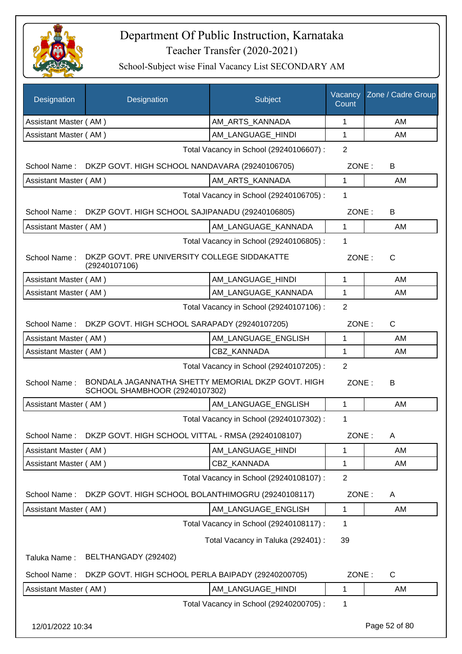

| <b>Designation</b>    | Designation                                                                          | Subject                                 | Vacancy<br>Count | Zone / Cadre Group |
|-----------------------|--------------------------------------------------------------------------------------|-----------------------------------------|------------------|--------------------|
| Assistant Master (AM) |                                                                                      | AM_ARTS_KANNADA                         | 1                | AM                 |
| Assistant Master (AM) |                                                                                      | AM LANGUAGE HINDI                       | 1                | AM                 |
|                       |                                                                                      | Total Vacancy in School (29240106607) : | 2                |                    |
|                       | School Name: DKZP GOVT. HIGH SCHOOL NANDAVARA (29240106705)                          |                                         | ZONE:            | B                  |
| Assistant Master (AM) |                                                                                      | AM_ARTS_KANNADA                         | 1                | AM                 |
|                       |                                                                                      | Total Vacancy in School (29240106705) : | 1                |                    |
|                       | School Name: DKZP GOVT. HIGH SCHOOL SAJIPANADU (29240106805)                         |                                         | ZONE:            | B                  |
| Assistant Master (AM) |                                                                                      | AM_LANGUAGE_KANNADA                     | 1                | AM                 |
|                       |                                                                                      | Total Vacancy in School (29240106805) : | 1                |                    |
| School Name:          | DKZP GOVT. PRE UNIVERSITY COLLEGE SIDDAKATTE<br>(29240107106)                        |                                         | ZONE:            | $\mathsf{C}$       |
| Assistant Master (AM) |                                                                                      | AM LANGUAGE HINDI                       | 1                | AM                 |
| Assistant Master (AM) |                                                                                      | AM_LANGUAGE_KANNADA                     | 1                | AM                 |
|                       |                                                                                      | Total Vacancy in School (29240107106) : | $\overline{2}$   |                    |
|                       | School Name: DKZP GOVT. HIGH SCHOOL SARAPADY (29240107205)                           |                                         | ZONE:            | C                  |
| Assistant Master (AM) |                                                                                      | AM_LANGUAGE_ENGLISH                     | 1                | AM                 |
| Assistant Master (AM) |                                                                                      | CBZ KANNADA                             | 1                | AM                 |
|                       |                                                                                      | Total Vacancy in School (29240107205) : | 2                |                    |
| School Name:          | BONDALA JAGANNATHA SHETTY MEMORIAL DKZP GOVT. HIGH<br>SCHOOL SHAMBHOOR (29240107302) |                                         | ZONE:            | B                  |
| Assistant Master (AM) |                                                                                      | AM LANGUAGE ENGLISH                     | 1                | AM                 |
|                       |                                                                                      | Total Vacancy in School (29240107302) : | 1                |                    |
| School Name:          | DKZP GOVT. HIGH SCHOOL VITTAL - RMSA (29240108107)                                   |                                         | ZONE:            | A                  |
| Assistant Master (AM) |                                                                                      | AM LANGUAGE HINDI                       | 1                | AM                 |
| Assistant Master (AM) |                                                                                      | CBZ_KANNADA                             | 1                | AM                 |
|                       |                                                                                      | Total Vacancy in School (29240108107) : | $\overline{2}$   |                    |
| School Name:          | DKZP GOVT. HIGH SCHOOL BOLANTHIMOGRU (29240108117)                                   |                                         | ZONE:            | A                  |
| Assistant Master (AM) |                                                                                      | AM_LANGUAGE_ENGLISH                     | 1                | AM                 |
|                       |                                                                                      | Total Vacancy in School (29240108117) : | 1                |                    |
|                       |                                                                                      | Total Vacancy in Taluka (292401) :      | 39               |                    |
| Taluka Name:          | BELTHANGADY (292402)                                                                 |                                         |                  |                    |
| School Name:          | DKZP GOVT. HIGH SCHOOL PERLA BAIPADY (29240200705)                                   |                                         | ZONE:            | C                  |
| Assistant Master (AM) |                                                                                      | AM_LANGUAGE_HINDI                       | 1                | AM                 |
|                       |                                                                                      | Total Vacancy in School (29240200705) : | 1                |                    |
| 12/01/2022 10:34      |                                                                                      |                                         |                  | Page 52 of 80      |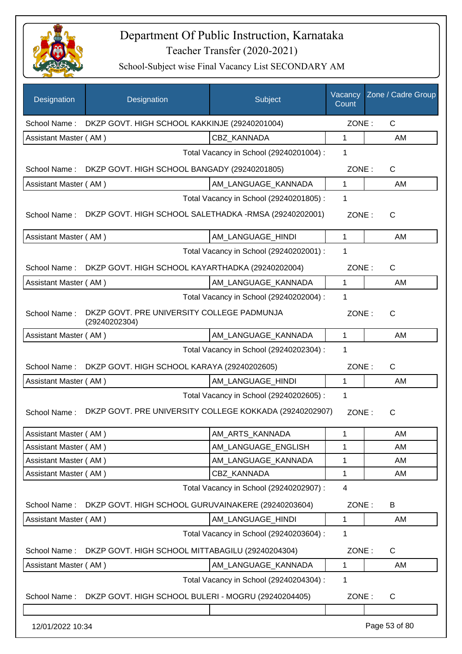

| Designation           | Designation                                                 | Subject                                 | Vacancy<br>Count | Zone / Cadre Group |
|-----------------------|-------------------------------------------------------------|-----------------------------------------|------------------|--------------------|
| School Name:          | DKZP GOVT. HIGH SCHOOL KAKKINJE (29240201004)               |                                         | ZONE:            | $\mathsf{C}$       |
| Assistant Master (AM) |                                                             | CBZ KANNADA                             | 1                | AM                 |
|                       |                                                             | Total Vacancy in School (29240201004) : | 1                |                    |
| School Name:          | DKZP GOVT. HIGH SCHOOL BANGADY (29240201805)                |                                         | ZONE:            | $\mathsf{C}$       |
| Assistant Master (AM) |                                                             | AM_LANGUAGE_KANNADA                     | $\mathbf{1}$     | AM                 |
|                       |                                                             | Total Vacancy in School (29240201805) : | 1                |                    |
| School Name:          | DKZP GOVT. HIGH SCHOOL SALETHADKA -RMSA (29240202001)       |                                         | ZONE:            | C                  |
| Assistant Master (AM) |                                                             | AM_LANGUAGE_HINDI                       | $\mathbf{1}$     | AM                 |
|                       |                                                             | Total Vacancy in School (29240202001) : | 1                |                    |
| School Name:          | DKZP GOVT. HIGH SCHOOL KAYARTHADKA (29240202004)            |                                         | ZONE:            | $\mathsf{C}$       |
| Assistant Master (AM) |                                                             | AM_LANGUAGE_KANNADA                     | 1                | AM                 |
|                       |                                                             | Total Vacancy in School (29240202004) : | 1                |                    |
| School Name:          | DKZP GOVT. PRE UNIVERSITY COLLEGE PADMUNJA<br>(29240202304) |                                         | ZONE:            | $\mathsf{C}$       |
| Assistant Master (AM) |                                                             | AM_LANGUAGE_KANNADA                     | $\mathbf{1}$     | AM                 |
|                       |                                                             | Total Vacancy in School (29240202304) : | 1                |                    |
| School Name:          | DKZP GOVT. HIGH SCHOOL KARAYA (29240202605)                 |                                         | ZONE:            | $\mathsf{C}$       |
| Assistant Master (AM) |                                                             | AM_LANGUAGE_HINDI                       | 1                | AM                 |
|                       |                                                             | Total Vacancy in School (29240202605) : | 1                |                    |
| School Name:          | DKZP GOVT. PRE UNIVERSITY COLLEGE KOKKADA (29240202907)     |                                         | ZONE:            | C                  |
| Assistant Master (AM) |                                                             | AM_ARTS_KANNADA                         | 1                | AM                 |
| Assistant Master (AM) |                                                             | AM_LANGUAGE_ENGLISH                     | 1                | AM                 |
| Assistant Master (AM) |                                                             | AM LANGUAGE KANNADA                     | 1                | AM                 |
| Assistant Master (AM) |                                                             | CBZ_KANNADA                             | 1                | AM                 |
|                       |                                                             | Total Vacancy in School (29240202907) : | 4                |                    |
| School Name:          | DKZP GOVT. HIGH SCHOOL GURUVAINAKERE (29240203604)          |                                         | ZONE:            | B                  |
| Assistant Master (AM) |                                                             | AM_LANGUAGE_HINDI                       | 1                | AM                 |
|                       |                                                             | Total Vacancy in School (29240203604) : | 1                |                    |
| School Name:          | DKZP GOVT. HIGH SCHOOL MITTABAGILU (29240204304)            |                                         | ZONE:            | C                  |
| Assistant Master (AM) |                                                             | AM_LANGUAGE_KANNADA                     | 1                | AM                 |
|                       |                                                             | Total Vacancy in School (29240204304) : | 1                |                    |
| School Name:          | DKZP GOVT. HIGH SCHOOL BULERI - MOGRU (29240204405)         |                                         | ZONE:            | C                  |
| 12/01/2022 10:34      |                                                             |                                         |                  | Page 53 of 80      |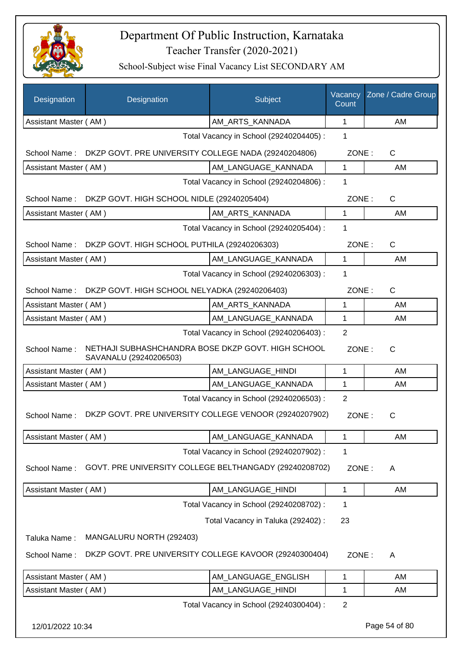

| Designation           | Designation                                                                  | Subject                                 | Vacancy<br>Count | Zone / Cadre Group |
|-----------------------|------------------------------------------------------------------------------|-----------------------------------------|------------------|--------------------|
| Assistant Master (AM) |                                                                              | AM_ARTS_KANNADA                         | 1                | AM                 |
|                       |                                                                              | Total Vacancy in School (29240204405) : | 1                |                    |
| School Name:          | DKZP GOVT. PRE UNIVERSITY COLLEGE NADA (29240204806)                         |                                         | ZONE:            | C                  |
| Assistant Master (AM) |                                                                              | AM LANGUAGE KANNADA                     | $\mathbf{1}$     | AM                 |
|                       |                                                                              | Total Vacancy in School (29240204806) : | 1                |                    |
| School Name:          | DKZP GOVT. HIGH SCHOOL NIDLE (29240205404)                                   |                                         | ZONE:            | $\mathsf{C}$       |
| Assistant Master (AM) |                                                                              | AM_ARTS_KANNADA                         | 1                | AM                 |
|                       |                                                                              | Total Vacancy in School (29240205404) : | 1                |                    |
| School Name:          | DKZP GOVT. HIGH SCHOOL PUTHILA (29240206303)                                 |                                         | ZONE:            | $\mathsf{C}$       |
| Assistant Master (AM) |                                                                              | AM LANGUAGE KANNADA                     | $\mathbf{1}$     | AM                 |
|                       |                                                                              | Total Vacancy in School (29240206303) : | 1                |                    |
|                       | School Name: DKZP GOVT. HIGH SCHOOL NELYADKA (29240206403)                   |                                         | ZONE:            | $\mathsf{C}$       |
| Assistant Master (AM) |                                                                              | AM_ARTS_KANNADA                         | 1                | AM                 |
| Assistant Master (AM) |                                                                              | AM_LANGUAGE_KANNADA                     | 1                | AM                 |
|                       |                                                                              | Total Vacancy in School (29240206403) : | 2                |                    |
| School Name:          | NETHAJI SUBHASHCHANDRA BOSE DKZP GOVT. HIGH SCHOOL<br>SAVANALU (29240206503) |                                         | ZONE:            | $\mathsf{C}$       |
| Assistant Master (AM) |                                                                              | AM_LANGUAGE_HINDI                       | 1                | AM                 |
| Assistant Master (AM) |                                                                              | AM_LANGUAGE_KANNADA                     | 1                | AM                 |
|                       |                                                                              | Total Vacancy in School (29240206503) : | $\overline{2}$   |                    |
| School Name:          | DKZP GOVT. PRE UNIVERSITY COLLEGE VENOOR (29240207902)                       |                                         | ZONE:            | $\mathsf{C}$       |
| Assistant Master (AM) |                                                                              | AM_LANGUAGE_KANNADA                     | 1                | AM                 |
|                       |                                                                              | Total Vacancy in School (29240207902) : | 1                |                    |
| School Name:          | GOVT. PRE UNIVERSITY COLLEGE BELTHANGADY (29240208702)                       |                                         | ZONE:            | A                  |
| Assistant Master (AM) |                                                                              | AM_LANGUAGE_HINDI                       | 1                | AM                 |
|                       |                                                                              | Total Vacancy in School (29240208702) : | 1                |                    |
|                       |                                                                              | Total Vacancy in Taluka (292402) :      | 23               |                    |
| Taluka Name:          | MANGALURU NORTH (292403)                                                     |                                         |                  |                    |
| School Name:          | DKZP GOVT. PRE UNIVERSITY COLLEGE KAVOOR (29240300404)                       |                                         | ZONE:            | A                  |
| Assistant Master (AM) |                                                                              | AM_LANGUAGE_ENGLISH                     | 1                | AM                 |
| Assistant Master (AM) |                                                                              | AM_LANGUAGE_HINDI                       | 1                | AM                 |
|                       |                                                                              | Total Vacancy in School (29240300404) : | $\overline{2}$   |                    |
| 12/01/2022 10:34      |                                                                              |                                         |                  | Page 54 of 80      |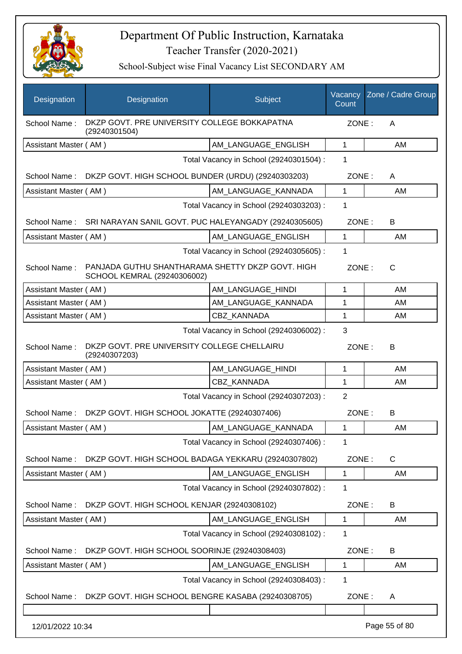

| Designation           | Designation                                                                     | Subject                                 | Vacancy<br>Count | Zone / Cadre Group |  |
|-----------------------|---------------------------------------------------------------------------------|-----------------------------------------|------------------|--------------------|--|
| School Name:          | DKZP GOVT. PRE UNIVERSITY COLLEGE BOKKAPATNA<br>(29240301504)                   |                                         |                  | ZONE:<br>A         |  |
| Assistant Master (AM) |                                                                                 | AM_LANGUAGE_ENGLISH                     | 1                | AM                 |  |
|                       |                                                                                 | Total Vacancy in School (29240301504) : | 1                |                    |  |
| School Name:          | DKZP GOVT. HIGH SCHOOL BUNDER (URDU) (29240303203)                              |                                         | ZONE:            | A                  |  |
| Assistant Master (AM) |                                                                                 | AM_LANGUAGE_KANNADA                     | $\mathbf{1}$     | AM                 |  |
|                       |                                                                                 | Total Vacancy in School (29240303203) : | 1                |                    |  |
| School Name:          | SRI NARAYAN SANIL GOVT. PUC HALEYANGADY (29240305605)                           |                                         | ZONE:            | B                  |  |
| Assistant Master (AM) |                                                                                 | AM LANGUAGE ENGLISH                     | $\mathbf 1$      | AM                 |  |
|                       |                                                                                 | Total Vacancy in School (29240305605) : | 1                |                    |  |
| School Name:          | PANJADA GUTHU SHANTHARAMA SHETTY DKZP GOVT, HIGH<br>SCHOOL KEMRAL (29240306002) |                                         | ZONE:            | $\mathsf{C}$       |  |
| Assistant Master (AM) |                                                                                 | AM_LANGUAGE_HINDI                       | 1                | AM                 |  |
| Assistant Master (AM) |                                                                                 | AM_LANGUAGE_KANNADA                     | 1                | AM                 |  |
| Assistant Master (AM) |                                                                                 | <b>CBZ KANNADA</b>                      | 1                | AM                 |  |
|                       |                                                                                 | Total Vacancy in School (29240306002) : | 3                |                    |  |
| School Name:          | DKZP GOVT. PRE UNIVERSITY COLLEGE CHELLAIRU<br>(29240307203)                    |                                         | ZONE:            | B                  |  |
| Assistant Master (AM) |                                                                                 | AM_LANGUAGE_HINDI                       | 1                | AM                 |  |
| Assistant Master (AM) |                                                                                 | CBZ KANNADA                             | 1                | AM                 |  |
|                       |                                                                                 | Total Vacancy in School (29240307203) : | $\overline{2}$   |                    |  |
| School Name:          | DKZP GOVT. HIGH SCHOOL JOKATTE (29240307406)                                    |                                         | ZONE:            | B                  |  |
| Assistant Master (AM) |                                                                                 | AM_LANGUAGE_KANNADA                     | $\mathbf 1$      | AM                 |  |
|                       |                                                                                 | Total Vacancy in School (29240307406) : | 1                |                    |  |
| School Name:          | DKZP GOVT. HIGH SCHOOL BADAGA YEKKARU (29240307802)                             |                                         | ZONE:            | $\mathsf{C}$       |  |
| Assistant Master (AM) |                                                                                 | AM_LANGUAGE_ENGLISH                     | 1                | AM                 |  |
|                       |                                                                                 | Total Vacancy in School (29240307802) : | 1                |                    |  |
| School Name:          | DKZP GOVT. HIGH SCHOOL KENJAR (29240308102)                                     |                                         | ZONE:            | B                  |  |
| Assistant Master (AM) |                                                                                 | AM_LANGUAGE_ENGLISH                     | 1                | AM                 |  |
|                       |                                                                                 | Total Vacancy in School (29240308102) : | 1                |                    |  |
| School Name:          | DKZP GOVT. HIGH SCHOOL SOORINJE (29240308403)                                   |                                         | ZONE:            | B                  |  |
| Assistant Master (AM) |                                                                                 | AM_LANGUAGE_ENGLISH                     | 1                | AM                 |  |
|                       |                                                                                 | Total Vacancy in School (29240308403) : | 1                |                    |  |
| School Name:          | DKZP GOVT. HIGH SCHOOL BENGRE KASABA (29240308705)                              |                                         | ZONE:            | A                  |  |
|                       |                                                                                 |                                         |                  |                    |  |
| 12/01/2022 10:34      |                                                                                 |                                         |                  | Page 55 of 80      |  |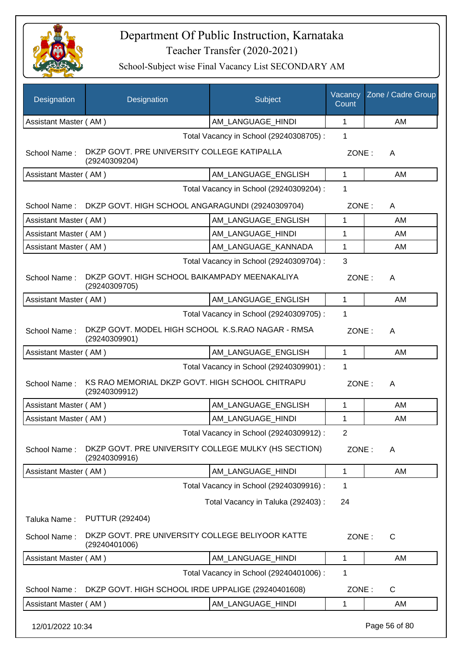

| Designation           | Designation                                                           | Subject                                 | Vacancy<br>Count | Zone / Cadre Group |
|-----------------------|-----------------------------------------------------------------------|-----------------------------------------|------------------|--------------------|
| Assistant Master (AM) |                                                                       | AM LANGUAGE HINDI                       | 1                | AM                 |
|                       |                                                                       | Total Vacancy in School (29240308705) : | 1                |                    |
| School Name:          | DKZP GOVT. PRE UNIVERSITY COLLEGE KATIPALLA<br>(29240309204)          |                                         | ZONE:            | A                  |
| Assistant Master (AM) |                                                                       | AM LANGUAGE ENGLISH                     | $\mathbf{1}$     | AM                 |
|                       |                                                                       | Total Vacancy in School (29240309204) : | 1                |                    |
|                       | School Name: DKZP GOVT. HIGH SCHOOL ANGARAGUNDI (29240309704)         |                                         | ZONE:            | A                  |
| Assistant Master (AM) |                                                                       | AM_LANGUAGE_ENGLISH                     | 1                | AM                 |
| Assistant Master (AM) |                                                                       | AM_LANGUAGE_HINDI                       | 1                | AM                 |
| Assistant Master (AM) |                                                                       | AM_LANGUAGE_KANNADA                     | 1                | AM                 |
|                       |                                                                       | Total Vacancy in School (29240309704) : | 3                |                    |
| School Name:          | DKZP GOVT. HIGH SCHOOL BAIKAMPADY MEENAKALIYA<br>(29240309705)        |                                         | ZONE:            | A                  |
| Assistant Master (AM) |                                                                       | AM LANGUAGE ENGLISH                     | $\mathbf{1}$     | AM                 |
|                       |                                                                       | Total Vacancy in School (29240309705) : | 1                |                    |
| School Name:          | DKZP GOVT. MODEL HIGH SCHOOL K.S.RAO NAGAR - RMSA<br>(29240309901)    |                                         | ZONE:            | A                  |
| Assistant Master (AM) |                                                                       | AM LANGUAGE ENGLISH                     | 1                | AM                 |
|                       |                                                                       | Total Vacancy in School (29240309901) : | 1                |                    |
| School Name:          | KS RAO MEMORIAL DKZP GOVT. HIGH SCHOOL CHITRAPU<br>(29240309912)      |                                         | ZONE:            | A                  |
| Assistant Master (AM) |                                                                       | AM_LANGUAGE_ENGLISH                     | 1                | AM                 |
| Assistant Master (AM) |                                                                       | AM_LANGUAGE_HINDI                       | 1                | AM                 |
|                       |                                                                       | Total Vacancy in School (29240309912) : | $\overline{2}$   |                    |
| School Name:          | DKZP GOVT. PRE UNIVERSITY COLLEGE MULKY (HS SECTION)<br>(29240309916) |                                         | ZONE:            | A                  |
| Assistant Master (AM) |                                                                       | AM_LANGUAGE_HINDI                       | 1                | AM                 |
|                       |                                                                       | Total Vacancy in School (29240309916) : | 1                |                    |
|                       |                                                                       | Total Vacancy in Taluka (292403) :      | 24               |                    |
| Taluka Name:          | <b>PUTTUR (292404)</b>                                                |                                         |                  |                    |
| School Name:          | DKZP GOVT. PRE UNIVERSITY COLLEGE BELIYOOR KATTE<br>(29240401006)     |                                         | ZONE:            | $\mathsf C$        |
| Assistant Master (AM) |                                                                       | AM_LANGUAGE_HINDI                       | 1                | AM                 |
|                       |                                                                       | Total Vacancy in School (29240401006) : | 1                |                    |
| School Name:          | DKZP GOVT. HIGH SCHOOL IRDE UPPALIGE (29240401608)                    |                                         | ZONE:            | $\mathsf{C}$       |
| Assistant Master (AM) |                                                                       | AM_LANGUAGE_HINDI                       | 1                | AM                 |
| 12/01/2022 10:34      |                                                                       |                                         |                  | Page 56 of 80      |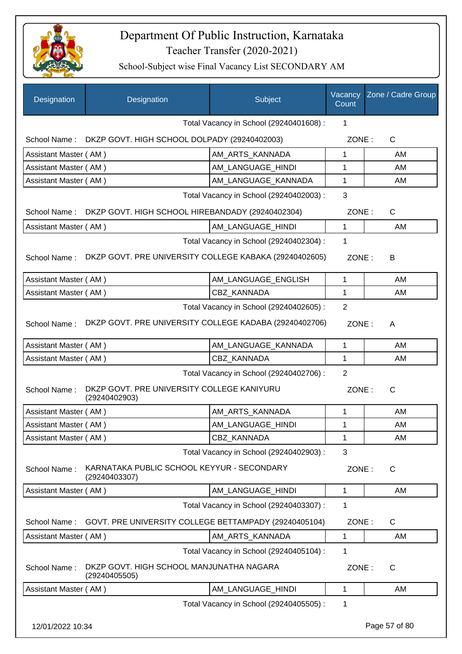

| Designation           | Designation                                                 | Subject                                 | Vacancy<br>Count | Zone / Cadre Group |
|-----------------------|-------------------------------------------------------------|-----------------------------------------|------------------|--------------------|
|                       |                                                             | Total Vacancy in School (29240401608) : | 1                |                    |
|                       | School Name: DKZP GOVT. HIGH SCHOOL DOLPADY (29240402003)   |                                         | ZONE:            | $\mathsf C$        |
| Assistant Master (AM) |                                                             | AM_ARTS_KANNADA                         | 1                | AM                 |
| Assistant Master (AM) |                                                             | AM LANGUAGE HINDI                       | 1                | AM                 |
| Assistant Master (AM) |                                                             | AM_LANGUAGE_KANNADA                     | 1                | AM                 |
|                       |                                                             | Total Vacancy in School (29240402003) : | 3                |                    |
| School Name:          | DKZP GOVT. HIGH SCHOOL HIREBANDADY (29240402304)            |                                         | ZONE:            | $\mathsf C$        |
| Assistant Master (AM) |                                                             | AM_LANGUAGE_HINDI                       | 1                | AM                 |
|                       |                                                             | Total Vacancy in School (29240402304) : | 1                |                    |
| School Name:          | DKZP GOVT. PRE UNIVERSITY COLLEGE KABAKA (29240402605)      |                                         | ZONE:            | В                  |
| Assistant Master (AM) |                                                             | AM_LANGUAGE_ENGLISH                     | $\mathbf{1}$     | AM                 |
| Assistant Master (AM) |                                                             | CBZ_KANNADA                             | 1                | AM                 |
|                       |                                                             | Total Vacancy in School (29240402605) : | $\overline{2}$   |                    |
| School Name:          | DKZP GOVT. PRE UNIVERSITY COLLEGE KADABA (29240402706)      |                                         | ZONE:            | A                  |
| Assistant Master (AM) |                                                             | AM_LANGUAGE_KANNADA                     | 1                | AM                 |
| Assistant Master (AM) |                                                             | CBZ_KANNADA                             | $\mathbf{1}$     | AM                 |
|                       |                                                             | Total Vacancy in School (29240402706) : | $\overline{2}$   |                    |
| School Name:          | DKZP GOVT. PRE UNIVERSITY COLLEGE KANIYURU<br>(29240402903) |                                         | ZONE:            | $\mathsf{C}$       |
| Assistant Master (AM) |                                                             | AM_ARTS_KANNADA                         | 1                | AM                 |
| Assistant Master (AM) |                                                             | AM LANGUAGE HINDI                       | 1                | AM                 |
| Assistant Master (AM) |                                                             | CBZ_KANNADA                             | $\mathbf{1}$     | AM                 |
|                       |                                                             | Total Vacancy in School (29240402903) : | $\mathbf{3}$     |                    |
| School Name:          | KARNATAKA PUBLIC SCHOOL KEYYUR - SECONDARY<br>(29240403307) |                                         | ZONE:            | $\mathsf C$        |
| Assistant Master (AM) |                                                             | AM_LANGUAGE_HINDI                       | 1                | AM                 |
|                       |                                                             | Total Vacancy in School (29240403307) : | 1                |                    |
| School Name:          | GOVT. PRE UNIVERSITY COLLEGE BETTAMPADY (29240405104)       |                                         | ZONE:            | $\mathsf C$        |
| Assistant Master (AM) |                                                             | AM_ARTS_KANNADA                         | $\mathbf{1}$     | AM                 |
|                       |                                                             | Total Vacancy in School (29240405104) : | 1                |                    |
| School Name:          | DKZP GOVT. HIGH SCHOOL MANJUNATHA NAGARA<br>(29240405505)   |                                         | ZONE:            | C                  |
| Assistant Master (AM) |                                                             | AM LANGUAGE HINDI                       | 1                | AM                 |
|                       |                                                             | Total Vacancy in School (29240405505) : | 1                |                    |
| 12/01/2022 10:34      |                                                             |                                         |                  | Page 57 of 80      |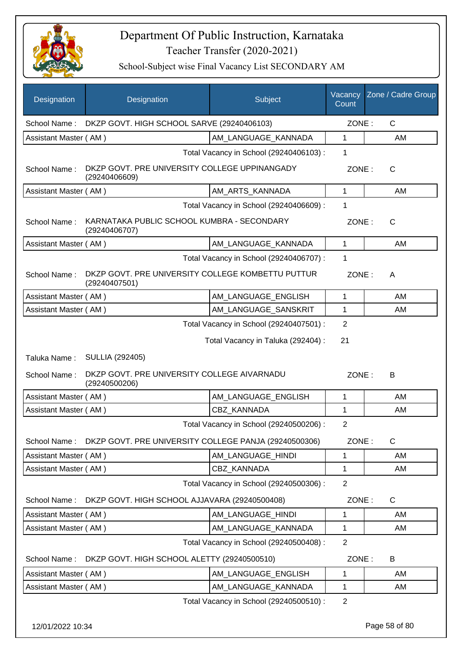

| Designation           | Designation                                                        | Subject                                 | Count          | Vacancy Zone / Cadre Group |
|-----------------------|--------------------------------------------------------------------|-----------------------------------------|----------------|----------------------------|
| School Name:          | DKZP GOVT. HIGH SCHOOL SARVE (29240406103)                         |                                         | ZONE:          | $\mathsf{C}$               |
| Assistant Master (AM) |                                                                    | AM LANGUAGE KANNADA                     | 1              | AM                         |
|                       |                                                                    | Total Vacancy in School (29240406103) : | 1              |                            |
| School Name:          | DKZP GOVT. PRE UNIVERSITY COLLEGE UPPINANGADY<br>(29240406609)     |                                         | ZONE:          | $\mathsf{C}$               |
| Assistant Master (AM) |                                                                    | AM_ARTS_KANNADA                         | 1              | AM                         |
|                       |                                                                    | Total Vacancy in School (29240406609) : | 1              |                            |
| School Name:          | KARNATAKA PUBLIC SCHOOL KUMBRA - SECONDARY<br>(29240406707)        |                                         | ZONE:          | $\mathsf{C}$               |
| Assistant Master (AM) |                                                                    | AM_LANGUAGE_KANNADA                     | $\mathbf{1}$   | AM                         |
|                       |                                                                    | Total Vacancy in School (29240406707) : | 1              |                            |
| School Name:          | DKZP GOVT. PRE UNIVERSITY COLLEGE KOMBETTU PUTTUR<br>(29240407501) |                                         | ZONE:          | A                          |
| Assistant Master (AM) |                                                                    | AM LANGUAGE_ENGLISH                     | 1              | AM                         |
| Assistant Master (AM) |                                                                    | AM_LANGUAGE_SANSKRIT                    | 1              | AM                         |
|                       |                                                                    | Total Vacancy in School (29240407501) : | $\overline{2}$ |                            |
|                       |                                                                    | Total Vacancy in Taluka (292404) :      | 21             |                            |
| Taluka Name:          | <b>SULLIA (292405)</b>                                             |                                         |                |                            |
| School Name:          | DKZP GOVT. PRE UNIVERSITY COLLEGE AIVARNADU<br>(29240500206)       |                                         | ZONE:          | B                          |
| Assistant Master (AM) |                                                                    | AM_LANGUAGE_ENGLISH                     | 1              | AM                         |
| Assistant Master (AM) |                                                                    | CBZ KANNADA                             | 1              | AM                         |
|                       |                                                                    | Total Vacancy in School (29240500206) : | $\overline{2}$ |                            |
| School Name:          | DKZP GOVT. PRE UNIVERSITY COLLEGE PANJA (29240500306)              |                                         | ZONE:          | $\mathsf{C}$               |
| Assistant Master (AM) |                                                                    | AM_LANGUAGE_HINDI                       | 1              | AM                         |
| Assistant Master (AM) |                                                                    | CBZ_KANNADA                             | 1              | AM                         |
|                       |                                                                    | Total Vacancy in School (29240500306) : | $\overline{2}$ |                            |
| School Name:          | DKZP GOVT. HIGH SCHOOL AJJAVARA (29240500408)                      |                                         | ZONE:          | C                          |
| Assistant Master (AM) |                                                                    | AM LANGUAGE HINDI                       | 1              | AM                         |
| Assistant Master (AM) |                                                                    | AM_LANGUAGE_KANNADA                     | 1              | AM                         |
|                       |                                                                    | Total Vacancy in School (29240500408) : | $\overline{2}$ |                            |
| School Name:          | DKZP GOVT. HIGH SCHOOL ALETTY (29240500510)                        |                                         | ZONE:          | B                          |
| Assistant Master (AM) |                                                                    | AM_LANGUAGE_ENGLISH                     | $\mathbf 1$    | AM                         |
| Assistant Master (AM) |                                                                    | AM_LANGUAGE_KANNADA                     | 1              | AM                         |
|                       |                                                                    | Total Vacancy in School (29240500510) : | $\overline{2}$ |                            |
| 12/01/2022 10:34      |                                                                    |                                         |                | Page 58 of 80              |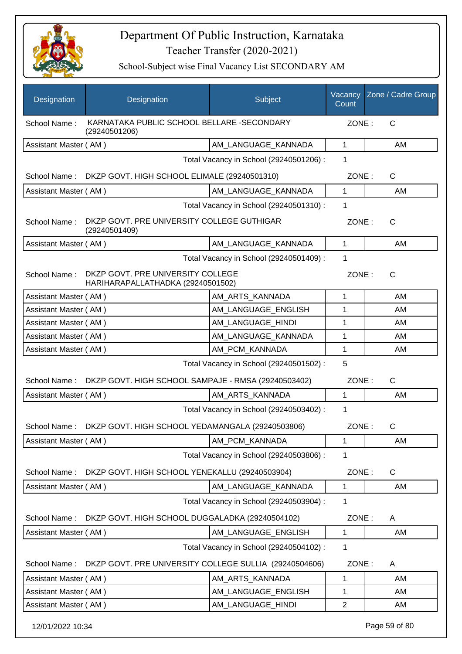

| Designation           | Designation                                                            | Subject                                 | Count          | Vacancy Zone / Cadre Group |
|-----------------------|------------------------------------------------------------------------|-----------------------------------------|----------------|----------------------------|
| School Name:          | KARNATAKA PUBLIC SCHOOL BELLARE -SECONDARY<br>(29240501206)            |                                         | ZONE:          | $\mathsf{C}$               |
| Assistant Master (AM) |                                                                        | AM_LANGUAGE_KANNADA                     | $\mathbf{1}$   | AM                         |
|                       |                                                                        | Total Vacancy in School (29240501206) : | 1              |                            |
| School Name:          | DKZP GOVT. HIGH SCHOOL ELIMALE (29240501310)                           |                                         | ZONE:          | C                          |
| Assistant Master (AM) |                                                                        | AM LANGUAGE KANNADA                     | 1              | AM                         |
|                       |                                                                        | Total Vacancy in School (29240501310) : | 1              |                            |
| School Name:          | DKZP GOVT. PRE UNIVERSITY COLLEGE GUTHIGAR<br>(29240501409)            |                                         | ZONE:          | C                          |
| Assistant Master (AM) |                                                                        | AM_LANGUAGE_KANNADA                     | $\mathbf{1}$   | AM                         |
|                       |                                                                        | Total Vacancy in School (29240501409):  | 1              |                            |
| School Name:          | DKZP GOVT. PRE UNIVERSITY COLLEGE<br>HARIHARAPALLATHADKA (29240501502) |                                         | ZONE:          | C                          |
| Assistant Master (AM) |                                                                        | AM ARTS KANNADA                         | $\mathbf{1}$   | AM                         |
| Assistant Master (AM) |                                                                        | AM_LANGUAGE_ENGLISH                     | 1              | AM                         |
| Assistant Master (AM) |                                                                        | AM_LANGUAGE_HINDI                       | $\mathbf{1}$   | AM                         |
| Assistant Master (AM) |                                                                        | AM LANGUAGE KANNADA                     | $\mathbf{1}$   | AM                         |
| Assistant Master (AM) |                                                                        | AM_PCM_KANNADA                          | 1              | AM                         |
|                       |                                                                        | Total Vacancy in School (29240501502) : | 5              |                            |
| School Name:          | DKZP GOVT. HIGH SCHOOL SAMPAJE - RMSA (29240503402)                    |                                         | ZONE:          | $\mathsf C$                |
| Assistant Master (AM) |                                                                        | AM_ARTS_KANNADA                         | $\mathbf{1}$   | AM                         |
|                       |                                                                        | Total Vacancy in School (29240503402) : | $\mathbf 1$    |                            |
| School Name:          | DKZP GOVT. HIGH SCHOOL YEDAMANGALA (29240503806)                       |                                         | ZONE:          | C                          |
| Assistant Master (AM) |                                                                        | AM PCM KANNADA                          | 1              | AM                         |
|                       |                                                                        | Total Vacancy in School (29240503806) : | 1              |                            |
| School Name:          | DKZP GOVT. HIGH SCHOOL YENEKALLU (29240503904)                         |                                         | ZONE:          | $\mathsf{C}$               |
| Assistant Master (AM) |                                                                        | AM_LANGUAGE_KANNADA                     | 1              | AM                         |
|                       |                                                                        | Total Vacancy in School (29240503904) : | 1              |                            |
| School Name:          | DKZP GOVT. HIGH SCHOOL DUGGALADKA (29240504102)                        |                                         | ZONE:          | Α                          |
| Assistant Master (AM) |                                                                        | AM_LANGUAGE_ENGLISH                     | 1              | AM                         |
|                       |                                                                        | Total Vacancy in School (29240504102) : | 1              |                            |
| School Name:          | DKZP GOVT. PRE UNIVERSITY COLLEGE SULLIA (29240504606)                 |                                         | ZONE:          | A                          |
| Assistant Master (AM) |                                                                        | AM_ARTS_KANNADA                         | $\mathbf 1$    | AM                         |
| Assistant Master (AM) |                                                                        | AM_LANGUAGE_ENGLISH                     | 1              | AM                         |
| Assistant Master (AM) |                                                                        | AM_LANGUAGE_HINDI                       | $\overline{2}$ | AM                         |
| 12/01/2022 10:34      |                                                                        |                                         |                | Page 59 of 80              |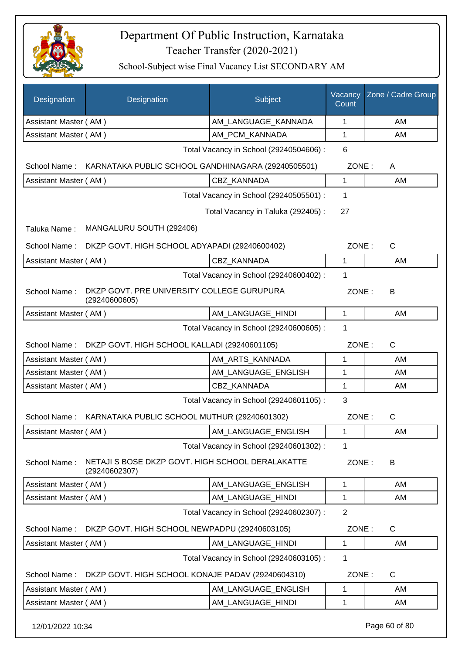

| Designation           | Designation                                                       | Subject                                 | Vacancy<br>Count | Zone / Cadre Group |
|-----------------------|-------------------------------------------------------------------|-----------------------------------------|------------------|--------------------|
| Assistant Master (AM) |                                                                   | AM_LANGUAGE_KANNADA                     | $\mathbf 1$      | AM                 |
| Assistant Master (AM) |                                                                   | AM_PCM_KANNADA                          | 1                | AM                 |
|                       |                                                                   | Total Vacancy in School (29240504606) : | 6                |                    |
| School Name:          | KARNATAKA PUBLIC SCHOOL GANDHINAGARA (29240505501)                |                                         | ZONE:            | A                  |
| Assistant Master (AM) |                                                                   | CBZ_KANNADA                             | $\mathbf{1}$     | AM                 |
|                       |                                                                   | Total Vacancy in School (29240505501) : | 1                |                    |
|                       |                                                                   | Total Vacancy in Taluka (292405):       | 27               |                    |
| Taluka Name:          | MANGALURU SOUTH (292406)                                          |                                         |                  |                    |
| School Name:          | DKZP GOVT. HIGH SCHOOL ADYAPADI (29240600402)                     |                                         | ZONE:            | $\mathsf{C}$       |
| Assistant Master (AM) |                                                                   | CBZ_KANNADA                             | 1                | AM                 |
|                       |                                                                   | Total Vacancy in School (29240600402):  | 1                |                    |
| School Name:          | DKZP GOVT. PRE UNIVERSITY COLLEGE GURUPURA<br>(29240600605)       |                                         | ZONE:            | B                  |
| Assistant Master (AM) |                                                                   | AM_LANGUAGE_HINDI                       | $\mathbf{1}$     | AM                 |
|                       |                                                                   | Total Vacancy in School (29240600605) : | 1                |                    |
| School Name:          | DKZP GOVT. HIGH SCHOOL KALLADI (29240601105)                      |                                         | ZONE:            | C                  |
| Assistant Master (AM) |                                                                   | AM_ARTS_KANNADA                         | 1                | AM                 |
| Assistant Master (AM) |                                                                   | AM_LANGUAGE_ENGLISH                     | 1                | AM                 |
| Assistant Master (AM) |                                                                   | <b>CBZ KANNADA</b>                      | 1                | AM                 |
|                       |                                                                   | Total Vacancy in School (29240601105) : | 3                |                    |
| School Name:          | KARNATAKA PUBLIC SCHOOL MUTHUR (29240601302)                      |                                         | ZONE:            | C                  |
| Assistant Master (AM) |                                                                   | AM_LANGUAGE_ENGLISH                     | 1                | AM                 |
|                       |                                                                   | Total Vacancy in School (29240601302) : | 1                |                    |
| School Name:          | NETAJI S BOSE DKZP GOVT. HIGH SCHOOL DERALAKATTE<br>(29240602307) |                                         | ZONE:            | B                  |
| Assistant Master (AM) |                                                                   | AM_LANGUAGE_ENGLISH                     | 1                | AM                 |
| Assistant Master (AM) |                                                                   | AM LANGUAGE HINDI                       | 1                | AM                 |
|                       |                                                                   | Total Vacancy in School (29240602307) : | $\overline{2}$   |                    |
| School Name:          | DKZP GOVT. HIGH SCHOOL NEWPADPU (29240603105)                     |                                         | ZONE:            | C                  |
| Assistant Master (AM) |                                                                   | AM LANGUAGE HINDI                       | 1                | AM                 |
|                       |                                                                   | Total Vacancy in School (29240603105) : | 1                |                    |
| School Name:          | DKZP GOVT. HIGH SCHOOL KONAJE PADAV (29240604310)                 |                                         | ZONE:            | $\mathsf C$        |
| Assistant Master (AM) |                                                                   | AM_LANGUAGE_ENGLISH                     | $\mathbf{1}$     | AM                 |
| Assistant Master (AM) |                                                                   | AM_LANGUAGE_HINDI                       | 1                | AM                 |
| 12/01/2022 10:34      |                                                                   |                                         |                  | Page 60 of 80      |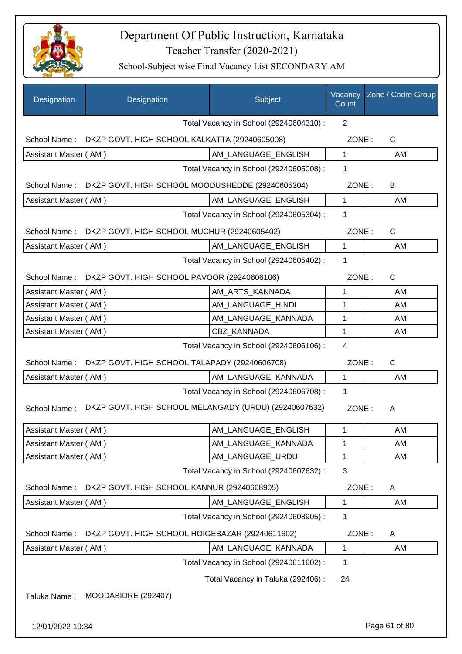

| Designation           | Designation                                           | Subject                                 | Vacancy<br>Count | Zone / Cadre Group |
|-----------------------|-------------------------------------------------------|-----------------------------------------|------------------|--------------------|
|                       |                                                       | Total Vacancy in School (29240604310) : | $\overline{2}$   |                    |
| School Name:          | DKZP GOVT. HIGH SCHOOL KALKATTA (29240605008)         |                                         | ZONE:            | C                  |
| Assistant Master (AM) |                                                       | AM_LANGUAGE_ENGLISH                     | 1                | AM                 |
|                       |                                                       | Total Vacancy in School (29240605008) : | 1                |                    |
| School Name:          | DKZP GOVT. HIGH SCHOOL MOODUSHEDDE (29240605304)      |                                         | ZONE:            | B                  |
| Assistant Master (AM) |                                                       | AM_LANGUAGE_ENGLISH                     | $\mathbf{1}$     | AM                 |
|                       |                                                       | Total Vacancy in School (29240605304) : | 1                |                    |
| School Name:          | DKZP GOVT. HIGH SCHOOL MUCHUR (29240605402)           |                                         | ZONE:            | C                  |
| Assistant Master (AM) |                                                       | AM LANGUAGE ENGLISH                     | $\mathbf{1}$     | AM                 |
|                       |                                                       | Total Vacancy in School (29240605402) : | 1                |                    |
| School Name:          | DKZP GOVT. HIGH SCHOOL PAVOOR (29240606106)           |                                         | ZONE:            | C                  |
| Assistant Master (AM) |                                                       | AM ARTS KANNADA                         | 1                | AM                 |
| Assistant Master (AM) |                                                       | AM LANGUAGE HINDI                       | 1                | AM                 |
| Assistant Master (AM) |                                                       | AM_LANGUAGE_KANNADA                     | 1                | AM                 |
| Assistant Master (AM) |                                                       | CBZ_KANNADA                             | 1                | AM                 |
|                       |                                                       | Total Vacancy in School (29240606106) : | 4                |                    |
| School Name:          | DKZP GOVT. HIGH SCHOOL TALAPADY (29240606708)         |                                         | ZONE:            | $\mathsf{C}$       |
| Assistant Master (AM) |                                                       | AM_LANGUAGE_KANNADA                     | $\mathbf{1}$     | AM                 |
|                       |                                                       | Total Vacancy in School (29240606708) : | 1                |                    |
| School Name:          | DKZP GOVT. HIGH SCHOOL MELANGADY (URDU) (29240607632) |                                         | ZONE:            | A                  |
| Assistant Master (AM) |                                                       | AM_LANGUAGE_ENGLISH                     | $\mathbf{1}$     | AM                 |
| Assistant Master (AM) |                                                       | AM_LANGUAGE_KANNADA                     | 1                | AM                 |
| Assistant Master (AM) |                                                       | AM_LANGUAGE_URDU                        | 1                | AM                 |
|                       |                                                       | Total Vacancy in School (29240607632) : | 3                |                    |
| School Name:          | DKZP GOVT. HIGH SCHOOL KANNUR (29240608905)           |                                         | ZONE:            | A                  |
| Assistant Master (AM) |                                                       | AM_LANGUAGE_ENGLISH                     | 1                | AM                 |
|                       |                                                       | Total Vacancy in School (29240608905) : | 1                |                    |
| School Name:          | DKZP GOVT. HIGH SCHOOL HOIGEBAZAR (29240611602)       |                                         | ZONE:            | Α                  |
| Assistant Master (AM) |                                                       | AM_LANGUAGE_KANNADA                     | 1                | AM                 |
|                       |                                                       | Total Vacancy in School (29240611602) : | 1                |                    |
|                       |                                                       | Total Vacancy in Taluka (292406) :      | 24               |                    |
| Taluka Name:          | MOODABIDRE (292407)                                   |                                         |                  |                    |
| 12/01/2022 10:34      |                                                       |                                         |                  | Page 61 of 80      |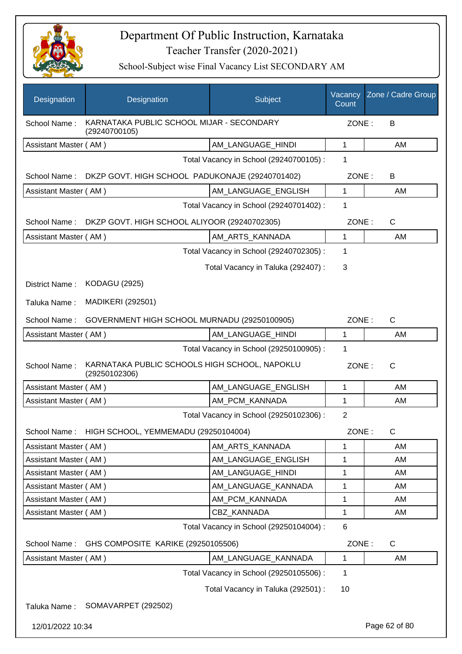

| Designation                             | Designation                                                    | Subject                                 | Vacancy<br>Count | Zone / Cadre Group |
|-----------------------------------------|----------------------------------------------------------------|-----------------------------------------|------------------|--------------------|
| School Name:                            | KARNATAKA PUBLIC SCHOOL MIJAR - SECONDARY<br>(29240700105)     |                                         | ZONE:            | B                  |
| Assistant Master (AM)                   |                                                                | AM_LANGUAGE_HINDI                       | 1                | AM                 |
|                                         |                                                                | Total Vacancy in School (29240700105) : | 1                |                    |
| School Name:                            | DKZP GOVT. HIGH SCHOOL PADUKONAJE (29240701402)                |                                         | ZONE:            | B                  |
| Assistant Master (AM)                   |                                                                | AM LANGUAGE ENGLISH                     | $\mathbf{1}$     | AM                 |
|                                         |                                                                | Total Vacancy in School (29240701402) : | 1                |                    |
| School Name:                            | DKZP GOVT. HIGH SCHOOL ALIYOOR (29240702305)                   |                                         | ZONE:            | $\mathsf{C}$       |
| Assistant Master (AM)                   |                                                                | AM ARTS KANNADA                         | 1                | AM                 |
|                                         |                                                                | Total Vacancy in School (29240702305) : | 1                |                    |
|                                         |                                                                | Total Vacancy in Taluka (292407) :      | 3                |                    |
| District Name:                          | <b>KODAGU (2925)</b>                                           |                                         |                  |                    |
|                                         | <b>MADIKERI (292501)</b>                                       |                                         |                  |                    |
| Taluka Name:                            |                                                                |                                         |                  |                    |
| School Name:                            | GOVERNMENT HIGH SCHOOL MURNADU (29250100905)                   |                                         | ZONE:            | $\mathsf{C}$       |
| Assistant Master (AM)                   |                                                                | AM_LANGUAGE_HINDI                       | 1                | AM                 |
| Total Vacancy in School (29250100905) : |                                                                |                                         | 1                |                    |
| School Name:                            | KARNATAKA PUBLIC SCHOOLS HIGH SCHOOL, NAPOKLU<br>(29250102306) |                                         | ZONE:            | $\mathsf{C}$       |
| Assistant Master (AM)                   |                                                                | AM_LANGUAGE_ENGLISH                     | 1                | AM                 |
| Assistant Master (AM)                   |                                                                | AM_PCM_KANNADA                          | 1                | AM                 |
|                                         |                                                                | Total Vacancy in School (29250102306) : | $\overline{2}$   |                    |
|                                         | School Name: HIGH SCHOOL, YEMMEMADU (29250104004)              |                                         | ZONE:            | C                  |
| Assistant Master (AM)                   |                                                                | AM_ARTS_KANNADA                         | 1                | AM                 |
| Assistant Master (AM)                   |                                                                | AM LANGUAGE ENGLISH                     | 1                | AM                 |
| Assistant Master (AM)                   |                                                                | AM_LANGUAGE_HINDI                       | 1                | AM                 |
| Assistant Master (AM)                   |                                                                | AM_LANGUAGE_KANNADA                     | 1                | AM                 |
| Assistant Master (AM)                   |                                                                | AM PCM KANNADA                          | 1                | AM                 |
| Assistant Master (AM)                   |                                                                | CBZ_KANNADA                             | 1                | AM                 |
|                                         |                                                                | Total Vacancy in School (29250104004) : | 6                |                    |
| School Name:                            | GHS COMPOSITE KARIKE (29250105506)                             |                                         | ZONE:            | C                  |
| Assistant Master (AM)                   |                                                                | AM_LANGUAGE_KANNADA                     | 1                | AM                 |
|                                         |                                                                | Total Vacancy in School (29250105506) : | 1                |                    |
|                                         |                                                                | Total Vacancy in Taluka (292501) :      | 10               |                    |
| Taluka Name:                            | SOMAVARPET (292502)                                            |                                         |                  |                    |
| 12/01/2022 10:34                        |                                                                |                                         |                  | Page 62 of 80      |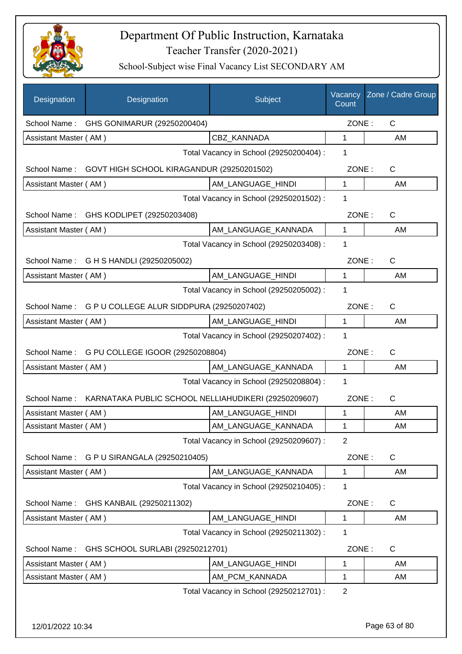

| Designation           | Designation                                            | Subject                                 | Vacancy<br>Count | Zone / Cadre Group |
|-----------------------|--------------------------------------------------------|-----------------------------------------|------------------|--------------------|
| School Name :         | GHS GONIMARUR (29250200404)                            |                                         | ZONE:            | $\mathsf{C}$       |
| Assistant Master (AM) |                                                        | CBZ KANNADA                             | $\mathbf 1$      | AM                 |
|                       |                                                        | Total Vacancy in School (29250200404) : | 1                |                    |
| School Name:          | GOVT HIGH SCHOOL KIRAGANDUR (29250201502)              |                                         | ZONE:            | C                  |
| Assistant Master (AM) |                                                        | AM_LANGUAGE_HINDI                       | $\mathbf 1$      | AM                 |
|                       |                                                        | Total Vacancy in School (29250201502) : | 1                |                    |
|                       | School Name: GHS KODLIPET (29250203408)                |                                         | ZONE:            | C                  |
| Assistant Master (AM) |                                                        | AM_LANGUAGE_KANNADA                     | $\mathbf 1$      | AM                 |
|                       |                                                        | Total Vacancy in School (29250203408) : | 1                |                    |
|                       | School Name: G H S HANDLI (29250205002)                |                                         | ZONE:            | $\mathsf{C}$       |
| Assistant Master (AM) |                                                        | AM_LANGUAGE_HINDI                       | $\mathbf{1}$     | AM                 |
|                       |                                                        | Total Vacancy in School (29250205002) : | 1                |                    |
|                       | School Name: G P U COLLEGE ALUR SIDDPURA (29250207402) |                                         | ZONE:            | $\mathsf{C}$       |
| Assistant Master (AM) |                                                        | AM_LANGUAGE_HINDI                       | 1                | AM                 |
|                       |                                                        | Total Vacancy in School (29250207402) : | 1                |                    |
| School Name:          | G PU COLLEGE IGOOR (29250208804)                       |                                         | ZONE:            | $\mathsf C$        |
| Assistant Master (AM) |                                                        | AM_LANGUAGE_KANNADA                     | $\mathbf{1}$     | AM                 |
|                       |                                                        | Total Vacancy in School (29250208804) : | 1                |                    |
| School Name:          | KARNATAKA PUBLIC SCHOOL NELLIAHUDIKERI (29250209607)   |                                         | ZONE:            | C                  |
| Assistant Master (AM) |                                                        | AM_LANGUAGE_HINDI                       | 1                | AM                 |
| Assistant Master (AM) |                                                        | AM_LANGUAGE_KANNADA                     | 1                | AM                 |
|                       |                                                        | Total Vacancy in School (29250209607) : | 2                |                    |
| School Name:          | G P U SIRANGALA (29250210405)                          |                                         | ZONE:            | C                  |
| Assistant Master (AM) |                                                        | AM_LANGUAGE_KANNADA                     | 1                | AM                 |
|                       |                                                        | Total Vacancy in School (29250210405) : | 1                |                    |
| School Name:          | GHS KANBAIL (29250211302)                              |                                         | ZONE:            | C                  |
| Assistant Master (AM) |                                                        | AM_LANGUAGE_HINDI                       | 1                | AM                 |
|                       |                                                        | Total Vacancy in School (29250211302):  | 1                |                    |
| School Name:          | GHS SCHOOL SURLABI (29250212701)                       |                                         | ZONE:            | C                  |
| Assistant Master (AM) |                                                        | AM_LANGUAGE_HINDI                       | 1                | AM                 |
| Assistant Master (AM) |                                                        | AM_PCM_KANNADA                          | 1                | AM                 |
|                       |                                                        | Total Vacancy in School (29250212701) : | $\overline{2}$   |                    |
|                       |                                                        |                                         |                  |                    |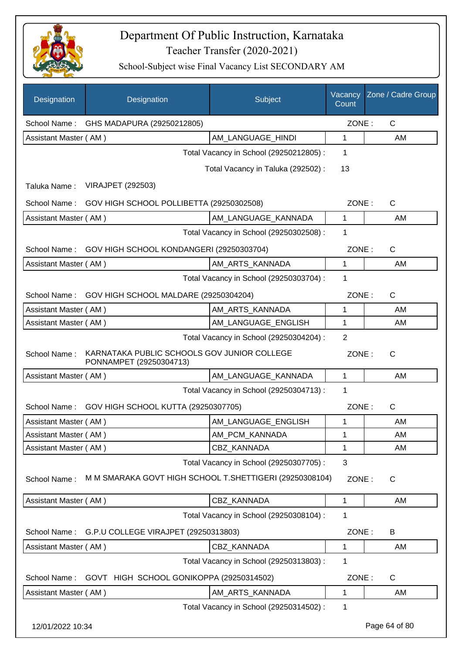

| Designation           | Designation                                                            | Subject                                 | Vacancy<br>Count | Zone / Cadre Group |
|-----------------------|------------------------------------------------------------------------|-----------------------------------------|------------------|--------------------|
|                       | School Name: GHS MADAPURA (29250212805)                                |                                         | ZONE:            | $\mathsf{C}$       |
| Assistant Master (AM) |                                                                        | AM LANGUAGE HINDI                       | 1                | AM                 |
|                       |                                                                        | Total Vacancy in School (29250212805) : | 1                |                    |
|                       |                                                                        | Total Vacancy in Taluka (292502) :      | 13               |                    |
| Taluka Name:          | <b>VIRAJPET (292503)</b>                                               |                                         |                  |                    |
| School Name:          | GOV HIGH SCHOOL POLLIBETTA (29250302508)                               |                                         | ZONE:            | $\mathsf{C}$       |
| Assistant Master (AM) |                                                                        | AM_LANGUAGE_KANNADA                     | 1                | AM                 |
|                       |                                                                        | Total Vacancy in School (29250302508) : | 1                |                    |
| School Name:          | GOV HIGH SCHOOL KONDANGERI (29250303704)                               |                                         | ZONE:            | $\mathsf{C}$       |
| Assistant Master (AM) |                                                                        | AM_ARTS_KANNADA                         | 1                | AM                 |
|                       |                                                                        | Total Vacancy in School (29250303704) : | 1                |                    |
|                       | School Name: GOV HIGH SCHOOL MALDARE (29250304204)                     |                                         | ZONE:            | $\mathsf{C}$       |
| Assistant Master (AM) |                                                                        | AM_ARTS_KANNADA                         | 1                | AM                 |
| Assistant Master (AM) |                                                                        | AM_LANGUAGE_ENGLISH                     | 1                | AM                 |
|                       |                                                                        | Total Vacancy in School (29250304204) : | $\mathbf{2}$     |                    |
| School Name:          | KARNATAKA PUBLIC SCHOOLS GOV JUNIOR COLLEGE<br>PONNAMPET (29250304713) |                                         | ZONE:            | $\mathsf{C}$       |
| Assistant Master (AM) |                                                                        | AM_LANGUAGE_KANNADA                     | 1                | AM                 |
|                       |                                                                        | Total Vacancy in School (29250304713) : | 1                |                    |
| School Name:          | GOV HIGH SCHOOL KUTTA (29250307705)                                    |                                         | ZONE:            | $\mathsf{C}$       |
| Assistant Master (AM) |                                                                        | AM_LANGUAGE_ENGLISH                     | 1                | AM                 |
| Assistant Master (AM) |                                                                        | AM_PCM_KANNADA                          | 1                | AM                 |
| Assistant Master (AM) |                                                                        | CBZ_KANNADA                             | 1                | AM                 |
|                       |                                                                        | Total Vacancy in School (29250307705) : | 3                |                    |
| School Name:          | M M SMARAKA GOVT HIGH SCHOOL T. SHETTIGERI (29250308104)               |                                         | ZONE:            | C                  |
| Assistant Master (AM) |                                                                        | CBZ KANNADA                             | 1                | AM                 |
|                       |                                                                        | Total Vacancy in School (29250308104) : | 1                |                    |
| School Name:          | G.P.U COLLEGE VIRAJPET (29250313803)                                   |                                         | ZONE:            | B                  |
| Assistant Master (AM) |                                                                        | CBZ_KANNADA                             | 1                | AM                 |
|                       |                                                                        | Total Vacancy in School (29250313803) : | 1                |                    |
| School Name:          | GOVT HIGH SCHOOL GONIKOPPA (29250314502)                               |                                         | ZONE:            | C                  |
| Assistant Master (AM) |                                                                        | AM_ARTS_KANNADA                         | 1                | AM                 |
|                       |                                                                        | Total Vacancy in School (29250314502) : | 1                |                    |
| 12/01/2022 10:34      |                                                                        |                                         |                  | Page 64 of 80      |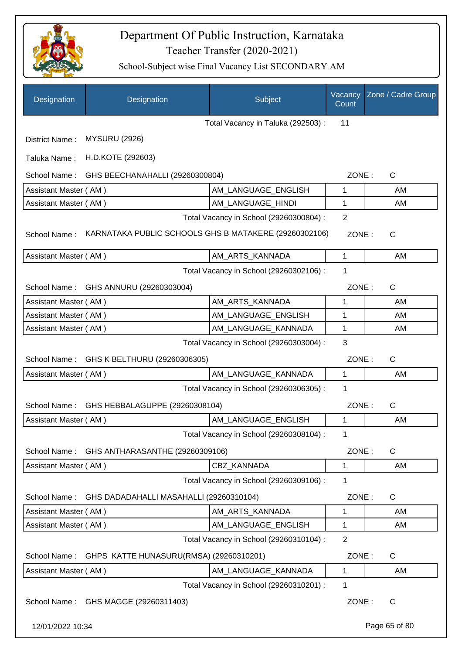

| Designation           | Designation                                           | Subject                                 | Vacancy<br>Count | Zone / Cadre Group |
|-----------------------|-------------------------------------------------------|-----------------------------------------|------------------|--------------------|
|                       |                                                       | Total Vacancy in Taluka (292503) :      | 11               |                    |
| District Name:        | <b>MYSURU (2926)</b>                                  |                                         |                  |                    |
| Taluka Name:          | H.D.KOTE (292603)                                     |                                         |                  |                    |
| School Name:          | GHS BEECHANAHALLI (29260300804)                       |                                         | ZONE:            | C                  |
| Assistant Master (AM) |                                                       | AM LANGUAGE ENGLISH                     | 1                | AM                 |
| Assistant Master (AM) |                                                       | AM_LANGUAGE_HINDI                       | 1                | AM                 |
|                       |                                                       | Total Vacancy in School (29260300804) : | $\overline{2}$   |                    |
| School Name:          | KARNATAKA PUBLIC SCHOOLS GHS B MATAKERE (29260302106) |                                         | ZONE:            | C                  |
| Assistant Master (AM) |                                                       | AM ARTS KANNADA                         | 1                | AM                 |
|                       |                                                       | Total Vacancy in School (29260302106) : | 1                |                    |
|                       | School Name: GHS ANNURU (29260303004)                 |                                         | ZONE:            | C                  |
| Assistant Master (AM) |                                                       | AM_ARTS_KANNADA                         | 1                | AM                 |
| Assistant Master (AM) |                                                       | AM_LANGUAGE_ENGLISH                     | 1                | AM                 |
| Assistant Master (AM) |                                                       | AM_LANGUAGE_KANNADA                     | 1                | AM                 |
|                       |                                                       | Total Vacancy in School (29260303004) : | 3                |                    |
| School Name:          | GHS K BELTHURU (29260306305)                          |                                         | ZONE:            | $\mathsf{C}$       |
| Assistant Master (AM) |                                                       | AM_LANGUAGE_KANNADA                     | 1                | AM                 |
|                       |                                                       | Total Vacancy in School (29260306305) : | 1                |                    |
| School Name:          | GHS HEBBALAGUPPE (29260308104)                        |                                         | ZONE:            | C                  |
| Assistant Master (AM) |                                                       | AM LANGUAGE ENGLISH                     | 1                | AM                 |
|                       |                                                       | Total Vacancy in School (29260308104) : | 1                |                    |
| School Name:          | GHS ANTHARASANTHE (29260309106)                       |                                         | ZONE:            | $\mathsf{C}$       |
| Assistant Master (AM) |                                                       | CBZ_KANNADA                             | 1                | AM                 |
|                       |                                                       | Total Vacancy in School (29260309106) : | 1                |                    |
| School Name:          | GHS DADADAHALLI MASAHALLI (29260310104)               |                                         | ZONE:            | C                  |
| Assistant Master (AM) |                                                       | AM ARTS KANNADA                         | 1                | AM                 |
| Assistant Master (AM) |                                                       | AM_LANGUAGE_ENGLISH                     | 1                | AM                 |
|                       |                                                       | Total Vacancy in School (29260310104) : | $\overline{2}$   |                    |
|                       | School Name: GHPS KATTE HUNASURU(RMSA) (29260310201)  |                                         | ZONE:            | C                  |
| Assistant Master (AM) |                                                       | AM_LANGUAGE_KANNADA                     | 1                | AM                 |
|                       |                                                       | Total Vacancy in School (29260310201) : | 1                |                    |
|                       | School Name: GHS MAGGE (29260311403)                  |                                         | ZONE:            | $\mathsf{C}$       |
| 12/01/2022 10:34      |                                                       |                                         |                  | Page 65 of 80      |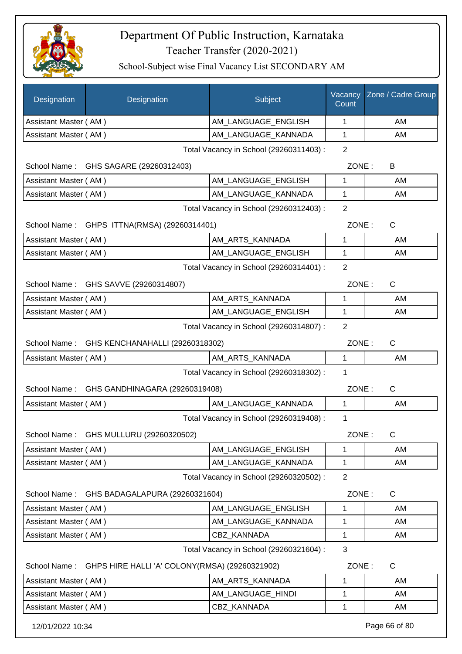

| Designation                             | Designation                                    | Subject                                 | Vacancy<br>Count | Zone / Cadre Group |
|-----------------------------------------|------------------------------------------------|-----------------------------------------|------------------|--------------------|
| Assistant Master (AM)                   |                                                | AM LANGUAGE ENGLISH                     | 1                | AM                 |
| Assistant Master (AM)                   |                                                | AM_LANGUAGE_KANNADA                     | 1                | AM                 |
|                                         | Total Vacancy in School (29260311403) :        |                                         |                  |                    |
| School Name:                            | GHS SAGARE (29260312403)                       |                                         | ZONE:            | B                  |
| Assistant Master (AM)                   |                                                | AM_LANGUAGE_ENGLISH                     | 1                | AM                 |
| Assistant Master (AM)                   |                                                | AM LANGUAGE KANNADA                     | 1                | AM                 |
| Total Vacancy in School (29260312403) : |                                                |                                         | $\overline{2}$   |                    |
|                                         | School Name: GHPS ITTNA(RMSA) (29260314401)    |                                         | ZONE:            | $\mathsf{C}$       |
| Assistant Master (AM)                   |                                                | AM_ARTS_KANNADA                         | 1                | AM                 |
| Assistant Master (AM)                   |                                                | AM LANGUAGE ENGLISH                     | $\mathbf{1}$     | AM                 |
|                                         |                                                | Total Vacancy in School (29260314401) : | 2                |                    |
|                                         | School Name: GHS SAVVE (29260314807)           |                                         | ZONE:            | C                  |
| Assistant Master (AM)                   |                                                | AM ARTS KANNADA                         | 1                | AM                 |
| Assistant Master (AM)                   |                                                | AM_LANGUAGE_ENGLISH                     | $\mathbf{1}$     | AM                 |
|                                         |                                                | Total Vacancy in School (29260314807) : | 2                |                    |
| School Name:                            | GHS KENCHANAHALLI (29260318302)                |                                         | ZONE:            | C                  |
| Assistant Master (AM)                   |                                                | AM_ARTS_KANNADA                         | $\mathbf{1}$     | AM                 |
|                                         |                                                | Total Vacancy in School (29260318302) : | 1                |                    |
| School Name:                            | GHS GANDHINAGARA (29260319408)                 |                                         | ZONE:            | C                  |
| Assistant Master (AM)                   |                                                | AM_LANGUAGE_KANNADA                     | $\mathbf 1$      | AM                 |
|                                         |                                                | Total Vacancy in School (29260319408) : | 1                |                    |
|                                         | School Name: GHS MULLURU (29260320502)         |                                         | ZONE:            | C                  |
| Assistant Master (AM)                   |                                                | AM_LANGUAGE_ENGLISH                     | 1                | AM                 |
| Assistant Master (AM)                   |                                                | AM_LANGUAGE_KANNADA                     | 1                | AM                 |
|                                         |                                                | Total Vacancy in School (29260320502) : | $\overline{2}$   |                    |
| School Name:                            | GHS BADAGALAPURA (29260321604)                 |                                         | ZONE:            | C                  |
| Assistant Master (AM)                   |                                                | AM LANGUAGE ENGLISH                     | $\mathbf{1}$     | AM                 |
| Assistant Master (AM)                   |                                                | AM_LANGUAGE_KANNADA                     | 1                | AM                 |
| Assistant Master (AM)                   |                                                | <b>CBZ KANNADA</b>                      | 1                | AM                 |
|                                         |                                                | Total Vacancy in School (29260321604) : | 3                |                    |
| School Name:                            | GHPS HIRE HALLI 'A' COLONY(RMSA) (29260321902) |                                         | ZONE:            | $\mathsf{C}$       |
| Assistant Master (AM)                   |                                                | AM_ARTS_KANNADA                         | 1                | AM                 |
| Assistant Master (AM)                   |                                                | AM_LANGUAGE_HINDI                       | 1                | AM                 |
| Assistant Master (AM)                   |                                                | CBZ_KANNADA                             | 1                | AM                 |
| 12/01/2022 10:34                        |                                                |                                         |                  | Page 66 of 80      |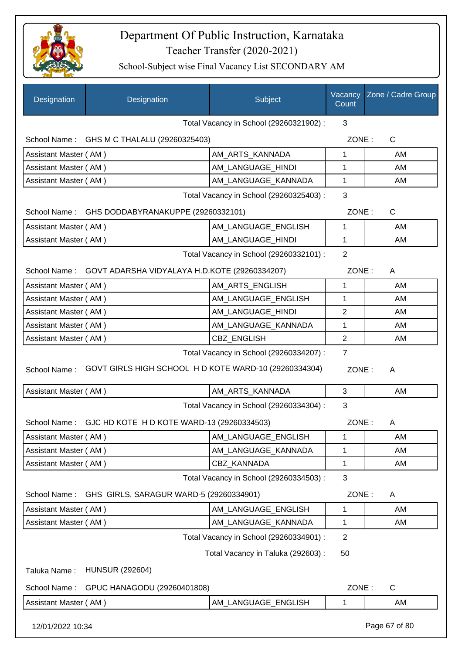

| <b>Designation</b>    | Designation                                          | Subject                                 | Vacancy<br>Count | Zone / Cadre Group |
|-----------------------|------------------------------------------------------|-----------------------------------------|------------------|--------------------|
|                       |                                                      | Total Vacancy in School (29260321902) : | 3                |                    |
|                       | School Name: GHS M C THALALU (29260325403)           |                                         | ZONE:            | $\mathsf C$        |
| Assistant Master (AM) |                                                      | AM_ARTS_KANNADA                         | 1                | AM                 |
| Assistant Master (AM) |                                                      | AM LANGUAGE HINDI                       | 1                | AM                 |
| Assistant Master (AM) |                                                      | AM LANGUAGE KANNADA                     | 1                | AM                 |
|                       |                                                      | Total Vacancy in School (29260325403) : | 3                |                    |
| School Name:          | GHS DODDABYRANAKUPPE (29260332101)                   |                                         | ZONE:            | $\mathsf C$        |
| Assistant Master (AM) |                                                      | AM_LANGUAGE_ENGLISH                     | 1                | AM                 |
| Assistant Master (AM) |                                                      | AM LANGUAGE HINDI                       | 1                | AM                 |
|                       |                                                      | Total Vacancy in School (29260332101) : | $\overline{2}$   |                    |
| School Name:          | GOVT ADARSHA VIDYALAYA H.D.KOTE (29260334207)        |                                         | ZONE:            | A                  |
| Assistant Master (AM) |                                                      | AM ARTS ENGLISH                         | 1                | AM                 |
| Assistant Master (AM) |                                                      | AM_LANGUAGE_ENGLISH                     | 1                | AM                 |
| Assistant Master (AM) |                                                      | AM_LANGUAGE_HINDI                       | $\overline{2}$   | AM                 |
| Assistant Master (AM) |                                                      | AM_LANGUAGE_KANNADA                     | 1                | AM                 |
| Assistant Master (AM) |                                                      | CBZ_ENGLISH                             | $\overline{2}$   | AM                 |
| School Name:          | GOVT GIRLS HIGH SCHOOL HD KOTE WARD-10 (29260334304) | Total Vacancy in School (29260334207) : | ZONE:            | A                  |
| Assistant Master (AM) |                                                      | AM_ARTS_KANNADA                         | 3                | AM                 |
|                       |                                                      | Total Vacancy in School (29260334304) : | 3                |                    |
| School Name:          | GJC HD KOTE H D KOTE WARD-13 (29260334503)           |                                         | ZONE:            | A                  |
| Assistant Master (AM) |                                                      | AM_LANGUAGE_ENGLISH                     | 1                | AM                 |
| Assistant Master (AM) |                                                      | AM_LANGUAGE_KANNADA                     | 1                | AM                 |
| Assistant Master (AM) |                                                      | CBZ_KANNADA                             | 1                | AM                 |
|                       |                                                      | Total Vacancy in School (29260334503) : | $\mathbf{3}$     |                    |
| School Name:          | GHS GIRLS, SARAGUR WARD-5 (29260334901)              |                                         | ZONE:            | A                  |
| Assistant Master (AM) |                                                      | AM_LANGUAGE_ENGLISH                     | 1                | AM                 |
| Assistant Master (AM) |                                                      | AM_LANGUAGE_KANNADA                     | 1                | AM                 |
|                       |                                                      | Total Vacancy in School (29260334901) : | $\overline{2}$   |                    |
|                       |                                                      | Total Vacancy in Taluka (292603) :      | 50               |                    |
| Taluka Name:          | <b>HUNSUR (292604)</b>                               |                                         |                  |                    |
| School Name:          | GPUC HANAGODU (29260401808)                          |                                         | ZONE:            | C                  |
| Assistant Master (AM) |                                                      | AM_LANGUAGE_ENGLISH                     | 1                | AM                 |
| 12/01/2022 10:34      |                                                      |                                         |                  | Page 67 of 80      |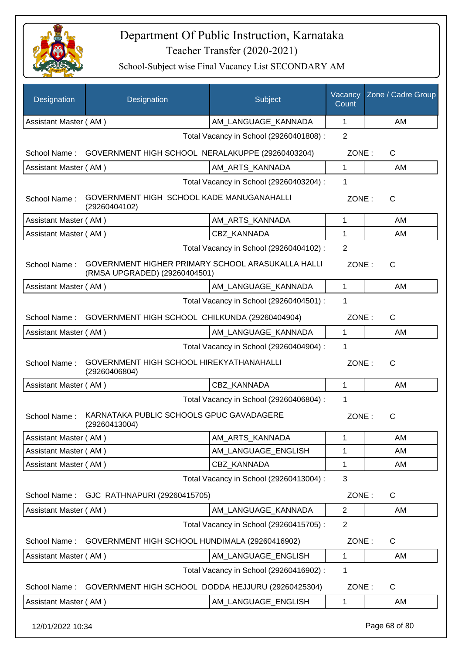

School-Subject wise Final Vacancy List SECONDARY AM

| Designation           | Designation                                                                        | Subject                                 | Vacancy<br>Count | Zone / Cadre Group |
|-----------------------|------------------------------------------------------------------------------------|-----------------------------------------|------------------|--------------------|
| Assistant Master (AM) |                                                                                    | AM_LANGUAGE_KANNADA                     | 1                | AM                 |
|                       |                                                                                    | Total Vacancy in School (29260401808) : | $\overline{2}$   |                    |
| School Name:          | GOVERNMENT HIGH SCHOOL NERALAKUPPE (29260403204)                                   |                                         | ZONE:            | C                  |
| Assistant Master (AM) |                                                                                    | AM ARTS KANNADA                         | 1                | AM                 |
|                       |                                                                                    | Total Vacancy in School (29260403204) : | 1                |                    |
| School Name:          | GOVERNMENT HIGH SCHOOL KADE MANUGANAHALLI<br>(29260404102)                         |                                         | ZONE:            | $\mathsf{C}$       |
| Assistant Master (AM) |                                                                                    | AM_ARTS_KANNADA                         | 1                | AM                 |
| Assistant Master (AM) |                                                                                    | CBZ KANNADA                             | 1                | AM                 |
|                       |                                                                                    | Total Vacancy in School (29260404102) : | $\overline{2}$   |                    |
| School Name:          | GOVERNMENT HIGHER PRIMARY SCHOOL ARASUKALLA HALLI<br>(RMSA UPGRADED) (29260404501) |                                         | ZONE:            | $\mathsf{C}$       |
| Assistant Master (AM) |                                                                                    | AM LANGUAGE KANNADA                     | 1                | AM                 |
|                       |                                                                                    | Total Vacancy in School (29260404501) : | 1                |                    |
| School Name:          | GOVERNMENT HIGH SCHOOL CHILKUNDA (29260404904)                                     |                                         | ZONE:            | $\mathsf{C}$       |
| Assistant Master (AM) |                                                                                    | AM LANGUAGE KANNADA                     | $\mathbf{1}$     | AM                 |
|                       |                                                                                    | Total Vacancy in School (29260404904) : | 1                |                    |
| School Name:          | GOVERNMENT HIGH SCHOOL HIREKYATHANAHALLI<br>(29260406804)                          |                                         | ZONE:            | $\mathsf{C}$       |
| Assistant Master (AM) |                                                                                    | CBZ KANNADA                             | 1                | AM                 |
|                       |                                                                                    | Total Vacancy in School (29260406804) : | 1                |                    |
| School Name:          | KARNATAKA PUBLIC SCHOOLS GPUC GAVADAGERE<br>(29260413004)                          |                                         | ZONE:            | С                  |
| Assistant Master (AM) |                                                                                    | AM_ARTS_KANNADA                         | 1                | AM                 |
| Assistant Master (AM) |                                                                                    | AM LANGUAGE ENGLISH                     | 1                | AM                 |
| Assistant Master (AM) |                                                                                    | <b>CBZ KANNADA</b>                      | 1                | AM                 |
|                       |                                                                                    | Total Vacancy in School (29260413004) : | 3                |                    |
| School Name:          | GJC RATHNAPURI (29260415705)                                                       |                                         | ZONE:            | C                  |
| Assistant Master (AM) |                                                                                    | AM LANGUAGE KANNADA                     | $\overline{2}$   | AM                 |
|                       |                                                                                    | Total Vacancy in School (29260415705) : | $\overline{2}$   |                    |
| School Name:          | GOVERNMENT HIGH SCHOOL HUNDIMALA (29260416902)                                     |                                         | ZONE:            | C                  |
| Assistant Master (AM) |                                                                                    | AM_LANGUAGE_ENGLISH                     | 1                | AM                 |
|                       |                                                                                    | Total Vacancy in School (29260416902) : | 1                |                    |
| School Name:          | GOVERNMENT HIGH SCHOOL DODDA HEJJURU (29260425304)                                 |                                         | ZONE:            | C                  |
| Assistant Master (AM) |                                                                                    | AM_LANGUAGE_ENGLISH                     | 1                | AM                 |

12/01/2022 10:34 Page 68 of 80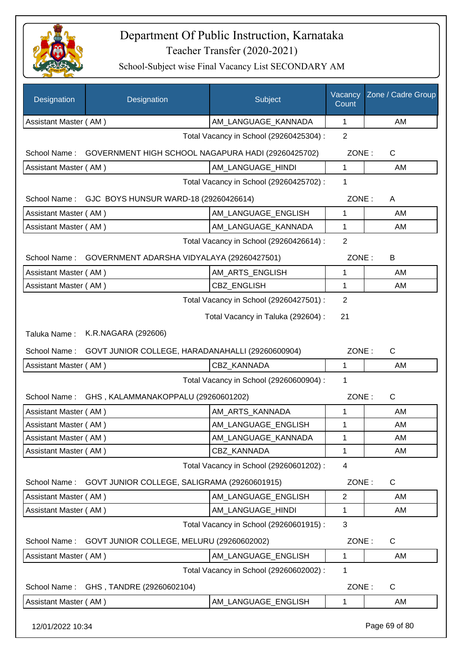

| Designation           | Designation                                        | Subject                                 | Vacancy<br>Count | Zone / Cadre Group |
|-----------------------|----------------------------------------------------|-----------------------------------------|------------------|--------------------|
| Assistant Master (AM) |                                                    | AM LANGUAGE KANNADA                     | 1                | AM                 |
|                       |                                                    | Total Vacancy in School (29260425304) : | $\overline{2}$   |                    |
| School Name:          | GOVERNMENT HIGH SCHOOL NAGAPURA HADI (29260425702) |                                         | ZONE:            | $\mathsf{C}$       |
| Assistant Master (AM) |                                                    | AM LANGUAGE HINDI                       | 1                | AM                 |
|                       |                                                    | Total Vacancy in School (29260425702) : | 1                |                    |
| School Name:          | GJC BOYS HUNSUR WARD-18 (29260426614)              |                                         | ZONE:            | A                  |
| Assistant Master (AM) |                                                    | AM LANGUAGE ENGLISH                     | $\mathbf{1}$     | AM                 |
| Assistant Master (AM) |                                                    | AM_LANGUAGE_KANNADA                     | 1                | AM                 |
|                       |                                                    | Total Vacancy in School (29260426614) : | $\overline{2}$   |                    |
| School Name:          | GOVERNMENT ADARSHA VIDYALAYA (29260427501)         |                                         | ZONE:            | B                  |
| Assistant Master (AM) |                                                    | AM_ARTS_ENGLISH                         | 1                | AM                 |
| Assistant Master (AM) |                                                    | CBZ_ENGLISH                             | 1                | AM                 |
|                       |                                                    | Total Vacancy in School (29260427501) : | 2                |                    |
|                       |                                                    | Total Vacancy in Taluka (292604) :      | 21               |                    |
| Taluka Name:          | K.R.NAGARA (292606)                                |                                         |                  |                    |
| School Name:          | GOVT JUNIOR COLLEGE, HARADANAHALLI (29260600904)   |                                         | ZONE:            | $\mathsf{C}$       |
| Assistant Master (AM) |                                                    | CBZ KANNADA                             | 1                | AM                 |
|                       |                                                    | Total Vacancy in School (29260600904) : | 1                |                    |
| School Name:          | GHS, KALAMMANAKOPPALU (29260601202)                |                                         | ZONE:            | $\mathsf{C}$       |
| Assistant Master (AM) |                                                    | AM ARTS KANNADA                         | 1                | AM                 |
| Assistant Master (AM) |                                                    | AM LANGUAGE ENGLISH                     | $\mathbf 1$      | AM                 |
| Assistant Master (AM) |                                                    | AM_LANGUAGE_KANNADA                     | 1                | AM                 |
| Assistant Master (AM) |                                                    | CBZ KANNADA                             | 1                | AM                 |
|                       |                                                    | Total Vacancy in School (29260601202) : | 4                |                    |
| School Name:          | GOVT JUNIOR COLLEGE, SALIGRAMA (29260601915)       |                                         | ZONE:            | C                  |
| Assistant Master (AM) |                                                    | AM_LANGUAGE_ENGLISH                     | $\overline{2}$   | AM                 |
| Assistant Master (AM) |                                                    | AM_LANGUAGE_HINDI                       | 1                | AM                 |
|                       |                                                    | Total Vacancy in School (29260601915) : | 3                |                    |
| School Name:          | GOVT JUNIOR COLLEGE, MELURU (29260602002)          |                                         | ZONE:            | C                  |
| Assistant Master (AM) |                                                    | AM_LANGUAGE_ENGLISH                     | 1                | AM                 |
|                       |                                                    | Total Vacancy in School (29260602002) : | 1                |                    |
| School Name:          | GHS, TANDRE (29260602104)                          |                                         | ZONE:            | C                  |
| Assistant Master (AM) |                                                    | AM_LANGUAGE_ENGLISH                     | 1                | AM                 |
| 12/01/2022 10:34      |                                                    |                                         |                  | Page 69 of 80      |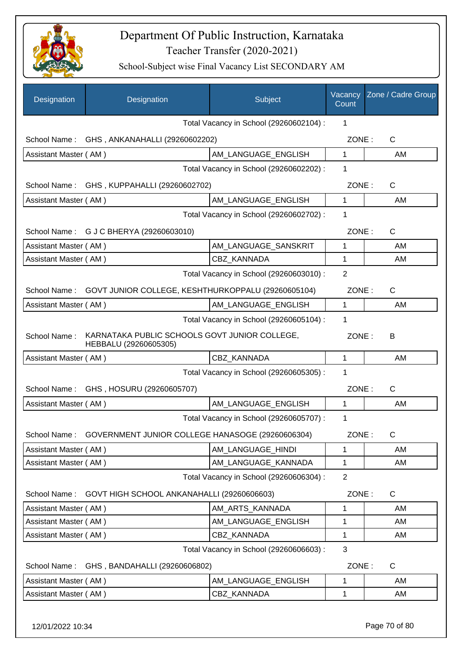

| Designation           | Designation                                                            | Subject                                 | Vacancy<br>Count | Zone / Cadre Group |
|-----------------------|------------------------------------------------------------------------|-----------------------------------------|------------------|--------------------|
|                       |                                                                        | Total Vacancy in School (29260602104) : | 1                |                    |
|                       | School Name: GHS, ANKANAHALLI (29260602202)                            |                                         | ZONE:            | C                  |
| Assistant Master (AM) |                                                                        | AM LANGUAGE ENGLISH                     | 1                | AM                 |
|                       |                                                                        | Total Vacancy in School (29260602202) : | 1                |                    |
|                       | School Name: GHS, KUPPAHALLI (29260602702)                             |                                         | ZONE:            | C                  |
| Assistant Master (AM) |                                                                        | AM_LANGUAGE_ENGLISH                     | $\mathbf{1}$     | AM                 |
|                       |                                                                        | Total Vacancy in School (29260602702) : | 1                |                    |
|                       | School Name: G J C BHERYA (29260603010)                                |                                         | ZONE:            | $\mathsf{C}$       |
| Assistant Master (AM) |                                                                        | AM_LANGUAGE_SANSKRIT                    | 1                | AM                 |
| Assistant Master (AM) |                                                                        | <b>CBZ KANNADA</b>                      | 1                | AM                 |
|                       |                                                                        | Total Vacancy in School (29260603010) : | $\overline{2}$   |                    |
|                       | School Name: GOVT JUNIOR COLLEGE, KESHTHURKOPPALU (29260605104)        |                                         | ZONE:            | C                  |
| Assistant Master (AM) |                                                                        | AM_LANGUAGE_ENGLISH                     | $\mathbf{1}$     | AM                 |
|                       |                                                                        | Total Vacancy in School (29260605104) : | 1                |                    |
| School Name:          | KARNATAKA PUBLIC SCHOOLS GOVT JUNIOR COLLEGE,<br>HEBBALU (29260605305) |                                         | ZONE:            | B                  |
| Assistant Master (AM) |                                                                        | CBZ KANNADA                             | 1                | AM                 |
|                       |                                                                        | Total Vacancy in School (29260605305) : | 1                |                    |
| School Name:          | GHS, HOSURU (29260605707)                                              |                                         | ZONE:            | $\mathsf{C}$       |
| Assistant Master (AM) |                                                                        | AM LANGUAGE ENGLISH                     | $\mathbf{1}$     | AM                 |
|                       |                                                                        | Total Vacancy in School (29260605707) : | 1                |                    |
| School Name:          | GOVERNMENT JUNIOR COLLEGE HANASOGE (29260606304)                       |                                         | ZONE:            | C                  |
| Assistant Master (AM) |                                                                        | AM_LANGUAGE_HINDI                       | 1                | AM                 |
| Assistant Master (AM) |                                                                        | AM_LANGUAGE_KANNADA                     | 1                | AM                 |
|                       |                                                                        | Total Vacancy in School (29260606304) : | $\overline{2}$   |                    |
| School Name:          | GOVT HIGH SCHOOL ANKANAHALLI (29260606603)                             |                                         | ZONE:            | C                  |
| Assistant Master (AM) |                                                                        | AM ARTS KANNADA                         | 1                | AM                 |
| Assistant Master (AM) |                                                                        | AM_LANGUAGE_ENGLISH                     | 1                | AM                 |
| Assistant Master (AM) |                                                                        | CBZ_KANNADA                             | 1                | AM                 |
|                       |                                                                        | Total Vacancy in School (29260606603) : | 3                |                    |
| School Name:          | GHS, BANDAHALLI (29260606802)                                          |                                         | ZONE:            | C                  |
| Assistant Master (AM) |                                                                        | AM_LANGUAGE_ENGLISH                     | 1                | AM                 |
| Assistant Master (AM) |                                                                        | CBZ_KANNADA                             | 1                | AM                 |
| 12/01/2022 10:34      |                                                                        |                                         |                  | Page 70 of 80      |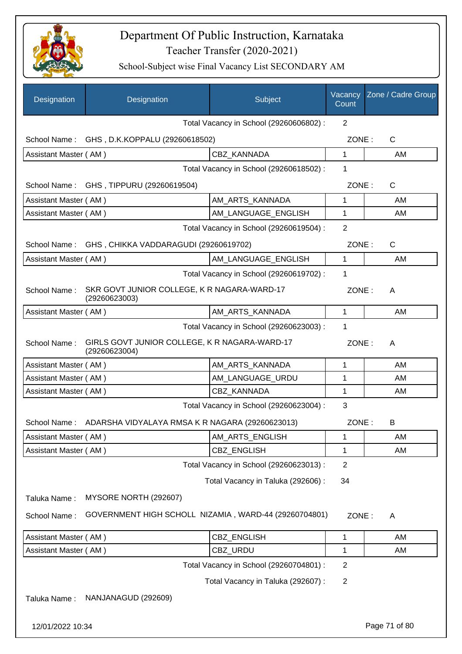

| Designation           | Designation                                                    | Subject                                 | Vacancy<br>Count | Zone / Cadre Group |
|-----------------------|----------------------------------------------------------------|-----------------------------------------|------------------|--------------------|
|                       |                                                                | Total Vacancy in School (29260606802) : | $\overline{2}$   |                    |
|                       | School Name: GHS, D.K.KOPPALU (29260618502)                    |                                         | ZONE:            | $\mathsf{C}$       |
| Assistant Master (AM) |                                                                | CBZ KANNADA                             | 1                | AM                 |
|                       |                                                                | Total Vacancy in School (29260618502) : | 1                |                    |
|                       | School Name: GHS, TIPPURU (29260619504)                        |                                         | ZONE:            | $\mathsf{C}$       |
| Assistant Master (AM) |                                                                | AM_ARTS_KANNADA                         | 1                | AM                 |
| Assistant Master (AM) |                                                                | AM_LANGUAGE_ENGLISH                     | 1                | AM                 |
|                       | Total Vacancy in School (29260619504) :                        |                                         |                  |                    |
| School Name:          | GHS, CHIKKA VADDARAGUDI (29260619702)                          |                                         | ZONE:            | C                  |
| Assistant Master (AM) |                                                                | AM_LANGUAGE_ENGLISH                     | $\mathbf{1}$     | AM                 |
|                       |                                                                | Total Vacancy in School (29260619702) : | 1                |                    |
| School Name:          | SKR GOVT JUNIOR COLLEGE, K R NAGARA-WARD-17<br>(29260623003)   |                                         | ZONE:            | A                  |
| Assistant Master (AM) |                                                                | AM_ARTS_KANNADA                         | 1                | AM                 |
|                       |                                                                | Total Vacancy in School (29260623003) : | 1                |                    |
| School Name:          | GIRLS GOVT JUNIOR COLLEGE, K R NAGARA-WARD-17<br>(29260623004) |                                         | ZONE:            | A                  |
| Assistant Master (AM) |                                                                | AM_ARTS_KANNADA                         | 1                | AM                 |
| Assistant Master (AM) |                                                                | AM_LANGUAGE_URDU                        | 1                | AM                 |
| Assistant Master (AM) |                                                                | <b>CBZ KANNADA</b>                      | 1                | AM                 |
|                       |                                                                | Total Vacancy in School (29260623004) : | 3                |                    |
|                       | School Name: ADARSHA VIDYALAYA RMSA K R NAGARA (29260623013)   |                                         | ZONE:            | B                  |
| Assistant Master (AM) |                                                                | AM_ARTS_ENGLISH                         | 1                | AM                 |
| Assistant Master (AM) |                                                                | CBZ_ENGLISH                             | 1                | AM                 |
|                       |                                                                | Total Vacancy in School (29260623013) : | $\overline{2}$   |                    |
|                       |                                                                | Total Vacancy in Taluka (292606) :      | 34               |                    |
| Taluka Name:          | MYSORE NORTH (292607)                                          |                                         |                  |                    |
| School Name:          | GOVERNMENT HIGH SCHOLL NIZAMIA, WARD-44 (29260704801)          |                                         | ZONE:            | A                  |
| Assistant Master (AM) |                                                                | CBZ_ENGLISH                             | 1                | AM                 |
| Assistant Master (AM) |                                                                | CBZ_URDU                                | 1                | AM                 |
|                       |                                                                | Total Vacancy in School (29260704801) : | $\overline{2}$   |                    |
|                       |                                                                | Total Vacancy in Taluka (292607) :      | $\overline{2}$   |                    |
| Taluka Name:          | NANJANAGUD (292609)                                            |                                         |                  |                    |
| 12/01/2022 10:34      |                                                                |                                         |                  | Page 71 of 80      |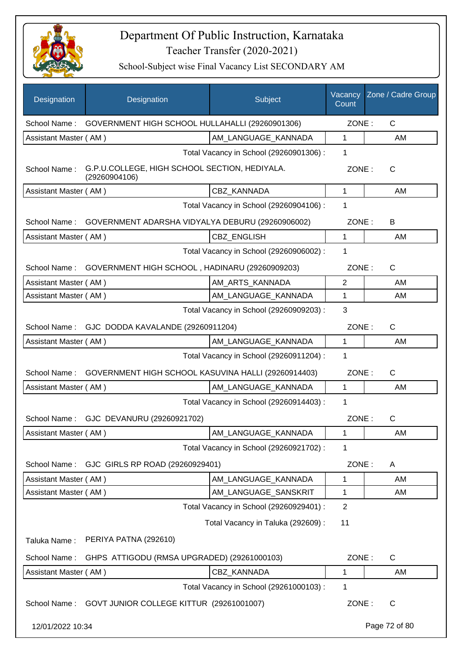

| Designation           | Designation                                                    | Subject                                 | Vacancy<br>Count | Zone / Cadre Group |
|-----------------------|----------------------------------------------------------------|-----------------------------------------|------------------|--------------------|
| School Name:          | GOVERNMENT HIGH SCHOOL HULLAHALLI (29260901306)                |                                         | ZONE:            | $\mathsf{C}$       |
| Assistant Master (AM) |                                                                | AM LANGUAGE KANNADA                     | 1                | AM                 |
|                       |                                                                | Total Vacancy in School (29260901306) : | 1                |                    |
| School Name:          | G.P.U.COLLEGE, HIGH SCHOOL SECTION, HEDIYALA.<br>(29260904106) |                                         | ZONE:            | C                  |
| Assistant Master (AM) |                                                                | CBZ KANNADA                             | 1                | AM                 |
|                       |                                                                | Total Vacancy in School (29260904106) : | 1                |                    |
| School Name:          | GOVERNMENT ADARSHA VIDYALYA DEBURU (29260906002)               |                                         | ZONE:            | B                  |
| Assistant Master (AM) |                                                                | <b>CBZ ENGLISH</b>                      | 1                | AM                 |
|                       |                                                                | Total Vacancy in School (29260906002) : | 1                |                    |
| School Name:          | GOVERNMENT HIGH SCHOOL, HADINARU (29260909203)                 |                                         | ZONE:            | $\mathsf{C}$       |
| Assistant Master (AM) |                                                                | AM_ARTS_KANNADA                         | 2                | AM                 |
| Assistant Master (AM) |                                                                | AM_LANGUAGE_KANNADA                     | 1                | AM                 |
|                       |                                                                | Total Vacancy in School (29260909203) : | 3                |                    |
| School Name:          | GJC DODDA KAVALANDE (29260911204)                              |                                         | ZONE:            | $\mathsf{C}$       |
| Assistant Master (AM) |                                                                | AM_LANGUAGE_KANNADA                     | $\mathbf{1}$     | AM                 |
|                       |                                                                | Total Vacancy in School (29260911204) : | 1                |                    |
| School Name:          | GOVERNMENT HIGH SCHOOL KASUVINA HALLI (29260914403)            |                                         | ZONE:            | $\mathsf{C}$       |
| Assistant Master (AM) |                                                                | AM_LANGUAGE_KANNADA                     | $\mathbf{1}$     | AM                 |
|                       |                                                                | Total Vacancy in School (29260914403) : | 1                |                    |
| School Name:          | GJC DEVANURU (29260921702)                                     |                                         | ZONE:            | C                  |
| Assistant Master (AM) |                                                                | AM LANGUAGE KANNADA                     | 1                | AM                 |
|                       |                                                                | Total Vacancy in School (29260921702) : | 1                |                    |
| School Name:          | GJC GIRLS RP ROAD (29260929401)                                |                                         | ZONE:            | A                  |
| Assistant Master (AM) |                                                                | AM LANGUAGE KANNADA                     | 1                | AM.                |
| Assistant Master (AM) |                                                                | AM_LANGUAGE_SANSKRIT                    | 1                | AM                 |
|                       |                                                                | Total Vacancy in School (29260929401) : | $\overline{2}$   |                    |
|                       |                                                                | Total Vacancy in Taluka (292609) :      | 11               |                    |
| Taluka Name:          | PERIYA PATNA (292610)                                          |                                         |                  |                    |
| School Name:          | GHPS ATTIGODU (RMSA UPGRADED) (29261000103)                    |                                         | ZONE:            | $\mathsf{C}$       |
| Assistant Master (AM) |                                                                | CBZ_KANNADA                             | 1                | AM                 |
|                       |                                                                | Total Vacancy in School (29261000103) : | 1                |                    |
| School Name:          | GOVT JUNIOR COLLEGE KITTUR (29261001007)                       |                                         | ZONE:            | C                  |
| 12/01/2022 10:34      |                                                                |                                         |                  | Page 72 of 80      |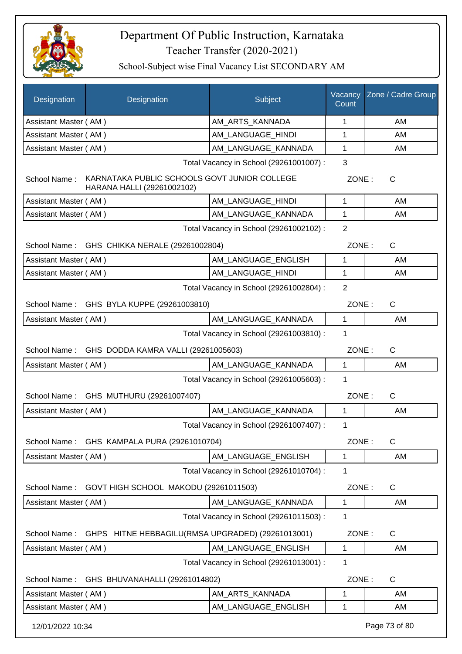

| <b>Designation</b>    | Designation                                                                | Subject                                 | Vacancy<br>Count | Zone / Cadre Group |
|-----------------------|----------------------------------------------------------------------------|-----------------------------------------|------------------|--------------------|
| Assistant Master (AM) |                                                                            | AM_ARTS_KANNADA                         | 1                | AM                 |
| Assistant Master (AM) |                                                                            | AM LANGUAGE HINDI                       | 1                | AM                 |
| Assistant Master (AM) |                                                                            | AM LANGUAGE KANNADA                     | 1                | AM                 |
|                       |                                                                            | Total Vacancy in School (29261001007) : | 3                |                    |
| School Name:          | KARNATAKA PUBLIC SCHOOLS GOVT JUNIOR COLLEGE<br>HARANA HALLI (29261002102) |                                         | ZONE:            | $\mathsf{C}$       |
| Assistant Master (AM) |                                                                            | AM_LANGUAGE_HINDI                       | $\mathbf 1$      | AM                 |
| Assistant Master (AM) |                                                                            | AM LANGUAGE KANNADA                     | 1                | AM                 |
|                       |                                                                            | Total Vacancy in School (29261002102) : | $\overline{2}$   |                    |
|                       | School Name: GHS CHIKKA NERALE (29261002804)                               |                                         | ZONE:            | $\mathsf{C}$       |
| Assistant Master (AM) |                                                                            | AM LANGUAGE ENGLISH                     | $\mathbf{1}$     | AM                 |
| Assistant Master (AM) |                                                                            | AM_LANGUAGE_HINDI                       | 1                | AM                 |
|                       |                                                                            | Total Vacancy in School (29261002804) : | $\overline{2}$   |                    |
|                       | School Name: GHS BYLA KUPPE (29261003810)                                  |                                         | ZONE:            | $\mathsf{C}$       |
| Assistant Master (AM) |                                                                            | AM_LANGUAGE_KANNADA                     | $\mathbf 1$      | AM                 |
|                       |                                                                            | Total Vacancy in School (29261003810) : | 1                |                    |
| School Name:          | GHS DODDA KAMRA VALLI (29261005603)                                        |                                         | ZONE:            | $\mathsf{C}$       |
| Assistant Master (AM) |                                                                            | AM_LANGUAGE_KANNADA                     | $\mathbf{1}$     | AM                 |
|                       |                                                                            | Total Vacancy in School (29261005603) : | 1                |                    |
| School Name:          | GHS MUTHURU (29261007407)                                                  |                                         | ZONE:            | $\mathsf{C}$       |
| Assistant Master (AM) |                                                                            | AM LANGUAGE KANNADA                     | $\mathbf{1}$     | AM                 |
|                       |                                                                            | Total Vacancy in School (29261007407) : | 1                |                    |
| School Name:          | GHS KAMPALA PURA (29261010704)                                             |                                         | ZONE:            | C                  |
| Assistant Master (AM) |                                                                            | AM LANGUAGE ENGLISH                     | 1                | AM                 |
|                       |                                                                            | Total Vacancy in School (29261010704) : | 1                |                    |
| School Name:          | GOVT HIGH SCHOOL MAKODU (29261011503)                                      |                                         | ZONE:            | $\mathsf{C}$       |
| Assistant Master (AM) |                                                                            | AM_LANGUAGE_KANNADA                     | $\mathbf{1}$     | AM                 |
|                       |                                                                            | Total Vacancy in School (29261011503) : | 1                |                    |
| School Name:          | GHPS HITNE HEBBAGILU(RMSA UPGRADED) (29261013001)                          |                                         | ZONE:            | $\mathsf{C}$       |
| Assistant Master (AM) |                                                                            | AM_LANGUAGE_ENGLISH                     | 1                | AM                 |
|                       |                                                                            | Total Vacancy in School (29261013001) : | 1                |                    |
| School Name:          | GHS BHUVANAHALLI (29261014802)                                             |                                         | ZONE:            | C                  |
| Assistant Master (AM) |                                                                            | AM_ARTS_KANNADA                         | 1                | AM                 |
| Assistant Master (AM) |                                                                            | AM_LANGUAGE_ENGLISH                     | 1                | AM                 |
| 12/01/2022 10:34      |                                                                            |                                         |                  | Page 73 of 80      |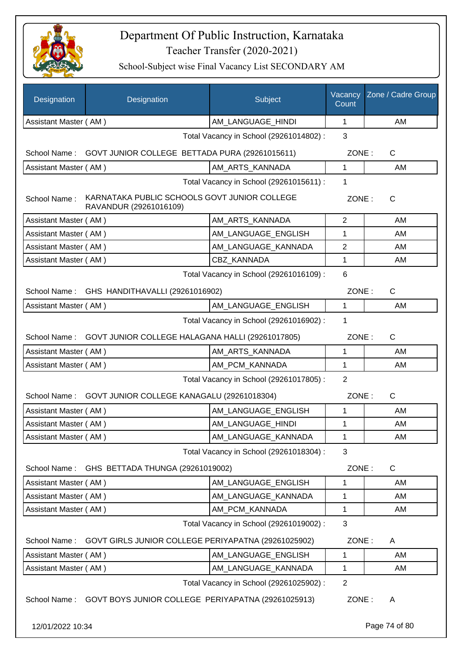

| Designation                                                 | Designation                                                            | Subject                                 | Vacancy<br>Count | Zone / Cadre Group    |
|-------------------------------------------------------------|------------------------------------------------------------------------|-----------------------------------------|------------------|-----------------------|
| Assistant Master (AM)                                       |                                                                        | AM_LANGUAGE_HINDI                       | 1                | AM                    |
|                                                             |                                                                        | Total Vacancy in School (29261014802) : | 3                |                       |
| School Name: GOVT JUNIOR COLLEGE BETTADA PURA (29261015611) |                                                                        |                                         |                  | $\mathsf{C}$<br>ZONE: |
| Assistant Master (AM)                                       |                                                                        | AM_ARTS_KANNADA                         | 1                | AM                    |
|                                                             |                                                                        | Total Vacancy in School (29261015611) : | $\mathbf 1$      |                       |
| School Name:                                                | KARNATAKA PUBLIC SCHOOLS GOVT JUNIOR COLLEGE<br>RAVANDUR (29261016109) |                                         | ZONE:            | C                     |
| Assistant Master (AM)                                       |                                                                        | AM_ARTS_KANNADA                         | 2                | AM                    |
| Assistant Master (AM)                                       |                                                                        | AM_LANGUAGE_ENGLISH                     | 1                | AM                    |
| Assistant Master (AM)                                       |                                                                        | AM_LANGUAGE_KANNADA                     | $\overline{2}$   | AM                    |
| Assistant Master (AM)                                       |                                                                        | CBZ KANNADA                             | 1                | AM                    |
|                                                             |                                                                        | Total Vacancy in School (29261016109) : | 6                |                       |
| School Name :                                               | GHS HANDITHAVALLI (29261016902)                                        |                                         | ZONE:            | $\mathsf{C}$          |
| Assistant Master (AM)                                       |                                                                        | AM LANGUAGE ENGLISH                     | 1                | AM                    |
|                                                             |                                                                        | Total Vacancy in School (29261016902) : | 1                |                       |
|                                                             | School Name: GOVT JUNIOR COLLEGE HALAGANA HALLI (29261017805)          |                                         | ZONE:            | $\mathsf{C}$          |
| Assistant Master (AM)                                       |                                                                        | AM_ARTS_KANNADA                         | 1                | AM                    |
| Assistant Master (AM)                                       |                                                                        | AM_PCM_KANNADA                          | $\mathbf{1}$     | AM                    |
| Total Vacancy in School (29261017805) :                     |                                                                        |                                         |                  |                       |
|                                                             | School Name: GOVT JUNIOR COLLEGE KANAGALU (29261018304)                |                                         | ZONE:            | $\mathsf{C}$          |
| Assistant Master (AM)                                       |                                                                        | AM_LANGUAGE_ENGLISH                     | 1                | AM                    |
| Assistant Master (AM)                                       |                                                                        | AM_LANGUAGE_HINDI                       | 1                | AM                    |
| Assistant Master (AM)                                       |                                                                        | AM_LANGUAGE_KANNADA                     | 1                | AM                    |
|                                                             |                                                                        | Total Vacancy in School (29261018304) : | 3                |                       |
| School Name:                                                | GHS BETTADA THUNGA (29261019002)                                       |                                         | ZONE:            | C                     |
| Assistant Master (AM)                                       |                                                                        | AM_LANGUAGE_ENGLISH                     | 1                | AM                    |
| Assistant Master (AM)                                       |                                                                        | AM LANGUAGE KANNADA                     | 1                | AM                    |
| Assistant Master (AM)                                       |                                                                        | AM PCM KANNADA                          | 1                | AM                    |
|                                                             |                                                                        | Total Vacancy in School (29261019002) : | 3                |                       |
| School Name:                                                | GOVT GIRLS JUNIOR COLLEGE PERIYAPATNA (29261025902)                    |                                         | ZONE:            | A                     |
| Assistant Master (AM)                                       |                                                                        | AM_LANGUAGE_ENGLISH                     | 1                | AM                    |
| Assistant Master (AM)                                       |                                                                        | AM_LANGUAGE_KANNADA                     | $\mathbf{1}$     | AM                    |
|                                                             |                                                                        | Total Vacancy in School (29261025902) : | $\overline{2}$   |                       |
| School Name:                                                | GOVT BOYS JUNIOR COLLEGE PERIYAPATNA (29261025913)                     |                                         | ZONE:            | A                     |
| 12/01/2022 10:34                                            |                                                                        |                                         |                  | Page 74 of 80         |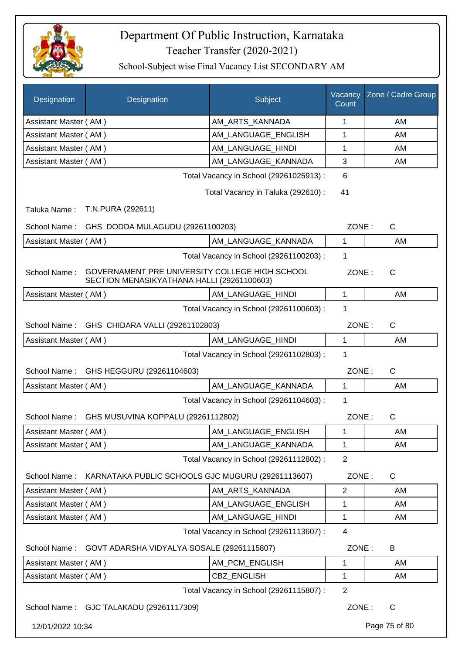

| Designation           | Designation                                                                                  | Subject                                 | Vacancy<br>Count | Zone / Cadre Group |
|-----------------------|----------------------------------------------------------------------------------------------|-----------------------------------------|------------------|--------------------|
| Assistant Master (AM) |                                                                                              | AM ARTS KANNADA                         | 1                | AM                 |
| Assistant Master (AM) |                                                                                              | AM LANGUAGE ENGLISH                     | 1                | AM                 |
| Assistant Master (AM) |                                                                                              | AM LANGUAGE HINDI                       | 1                | AM                 |
| Assistant Master (AM) |                                                                                              | AM_LANGUAGE_KANNADA                     | 3                | AM                 |
|                       |                                                                                              | Total Vacancy in School (29261025913) : | 6                |                    |
|                       |                                                                                              | Total Vacancy in Taluka (292610):       | 41               |                    |
| Taluka Name:          | T.N.PURA (292611)                                                                            |                                         |                  |                    |
| School Name:          | GHS DODDA MULAGUDU (29261100203)                                                             |                                         | ZONE:            | $\mathsf{C}$       |
| Assistant Master (AM) |                                                                                              | AM LANGUAGE_KANNADA                     | 1                | AM                 |
|                       |                                                                                              | Total Vacancy in School (29261100203) : | 1                |                    |
| School Name:          | GOVERNAMENT PRE UNIVERSITY COLLEGE HIGH SCHOOL<br>SECTION MENASIKYATHANA HALLI (29261100603) |                                         | ZONE:            | $\mathsf{C}$       |
| Assistant Master (AM) |                                                                                              | AM_LANGUAGE_HINDI                       | $\mathbf{1}$     | AM                 |
|                       |                                                                                              | Total Vacancy in School (29261100603) : | 1                |                    |
| School Name:          | GHS CHIDARA VALLI (29261102803)                                                              |                                         | ZONE:            | $\mathsf{C}$       |
| Assistant Master (AM) |                                                                                              | AM_LANGUAGE_HINDI                       | $\mathbf{1}$     | AM                 |
|                       |                                                                                              | Total Vacancy in School (29261102803) : | 1                |                    |
| School Name:          | GHS HEGGURU (29261104603)                                                                    |                                         | ZONE:            | $\mathsf{C}$       |
| Assistant Master (AM) |                                                                                              | AM_LANGUAGE_KANNADA                     | $\mathbf{1}$     | AM                 |
|                       |                                                                                              | Total Vacancy in School (29261104603) : | 1                |                    |
| School Name:          | GHS MUSUVINA KOPPALU (29261112802)                                                           |                                         | ZONE:            | $\mathsf{C}$       |
| Assistant Master (AM) |                                                                                              | AM_LANGUAGE_ENGLISH                     | 1                | AM                 |
| Assistant Master (AM) |                                                                                              | AM_LANGUAGE_KANNADA                     | 1                | AM                 |
|                       |                                                                                              | Total Vacancy in School (29261112802) : | $\overline{2}$   |                    |
| School Name:          | KARNATAKA PUBLIC SCHOOLS GJC MUGURU (29261113607)                                            |                                         | ZONE:            | $\mathsf{C}$       |
| Assistant Master (AM) |                                                                                              | AM_ARTS_KANNADA                         | $\overline{2}$   | AM                 |
| Assistant Master (AM) |                                                                                              | AM_LANGUAGE_ENGLISH                     | 1                | AM                 |
| Assistant Master (AM) |                                                                                              | AM_LANGUAGE_HINDI                       | 1                | AM                 |
|                       |                                                                                              | Total Vacancy in School (29261113607) : | $\overline{4}$   |                    |
| School Name:          | GOVT ADARSHA VIDYALYA SOSALE (29261115807)                                                   |                                         | ZONE:            | B                  |
| Assistant Master (AM) |                                                                                              | AM_PCM_ENGLISH                          | $\mathbf 1$      | AM                 |
| Assistant Master (AM) |                                                                                              | CBZ_ENGLISH                             | 1                | AM                 |
|                       |                                                                                              | Total Vacancy in School (29261115807) : | $\overline{2}$   |                    |
|                       | School Name: GJC TALAKADU (29261117309)                                                      |                                         | ZONE:            | $\mathsf{C}$       |
| 12/01/2022 10:34      |                                                                                              |                                         |                  | Page 75 of 80      |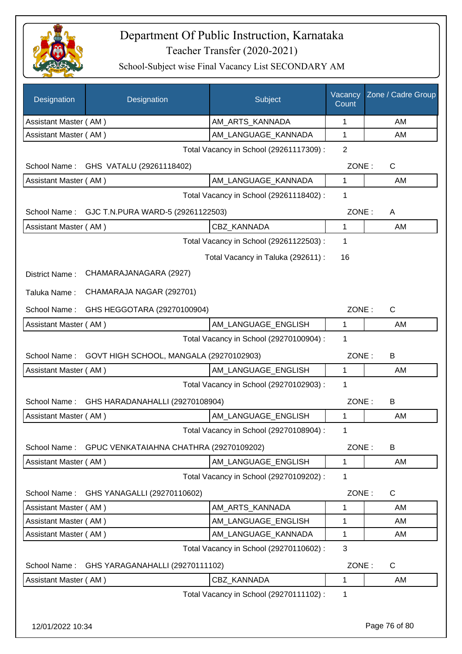

| Designation           | Designation                             | Subject                                 | Vacancy<br>Count | Zone / Cadre Group |
|-----------------------|-----------------------------------------|-----------------------------------------|------------------|--------------------|
| Assistant Master (AM) |                                         | AM_ARTS_KANNADA                         | 1                | AM                 |
| Assistant Master (AM) |                                         | AM_LANGUAGE_KANNADA                     | 1                | AM                 |
|                       |                                         | Total Vacancy in School (29261117309) : | $\overline{2}$   |                    |
| School Name:          | GHS VATALU (29261118402)                |                                         | ZONE:            | C                  |
| Assistant Master (AM) |                                         | AM_LANGUAGE_KANNADA                     | 1                | AM                 |
|                       |                                         | Total Vacancy in School (29261118402) : | 1                |                    |
| School Name:          | GJC T.N.PURA WARD-5 (29261122503)       |                                         | ZONE:            | Α                  |
| Assistant Master (AM) |                                         | CBZ KANNADA                             | 1                | AM                 |
|                       |                                         | Total Vacancy in School (29261122503) : | 1                |                    |
|                       |                                         | Total Vacancy in Taluka (292611) :      | 16               |                    |
| District Name:        | CHAMARAJANAGARA (2927)                  |                                         |                  |                    |
| Taluka Name:          | CHAMARAJA NAGAR (292701)                |                                         |                  |                    |
| School Name:          | GHS HEGGOTARA (29270100904)             |                                         | ZONE:            | $\mathsf{C}$       |
| Assistant Master (AM) |                                         | AM_LANGUAGE_ENGLISH                     | 1                | AM                 |
|                       |                                         | Total Vacancy in School (29270100904) : | 1                |                    |
| School Name:          |                                         |                                         | ZONE:            | В                  |
| Assistant Master (AM) | GOVT HIGH SCHOOL, MANGALA (29270102903) | AM_LANGUAGE_ENGLISH                     | 1                | AM                 |
|                       |                                         | Total Vacancy in School (29270102903) : | 1                |                    |
| School Name:          | GHS HARADANAHALLI (29270108904)         |                                         | ZONE:            | В                  |
| Assistant Master (AM) |                                         | AM LANGUAGE ENGLISH                     | 1                | AM                 |
|                       |                                         | Total Vacancy in School (29270108904) : |                  |                    |
|                       |                                         |                                         | -1               |                    |
| School Name:          | GPUC VENKATAIAHNA CHATHRA (29270109202) |                                         | ZONE:            | B                  |
| Assistant Master (AM) |                                         | AM_LANGUAGE_ENGLISH                     | 1                | AM                 |
|                       |                                         | Total Vacancy in School (29270109202) : | 1                |                    |
| School Name:          | GHS YANAGALLI (29270110602)             |                                         | ZONE:            | C                  |
| Assistant Master (AM) |                                         | AM_ARTS_KANNADA                         | 1                | AM                 |
| Assistant Master (AM) |                                         | AM_LANGUAGE_ENGLISH                     | 1                | AM                 |
| Assistant Master (AM) |                                         | AM_LANGUAGE_KANNADA                     | 1                | AM                 |
|                       |                                         | Total Vacancy in School (29270110602) : | $\mathbf{3}$     |                    |
| School Name:          | GHS YARAGANAHALLI (29270111102)         |                                         | ZONE:            | C                  |
| Assistant Master (AM) |                                         | CBZ KANNADA                             | 1                | AM                 |
|                       |                                         | Total Vacancy in School (29270111102) : | 1                |                    |
|                       |                                         |                                         |                  |                    |
| 12/01/2022 10:34      |                                         |                                         |                  | Page 76 of 80      |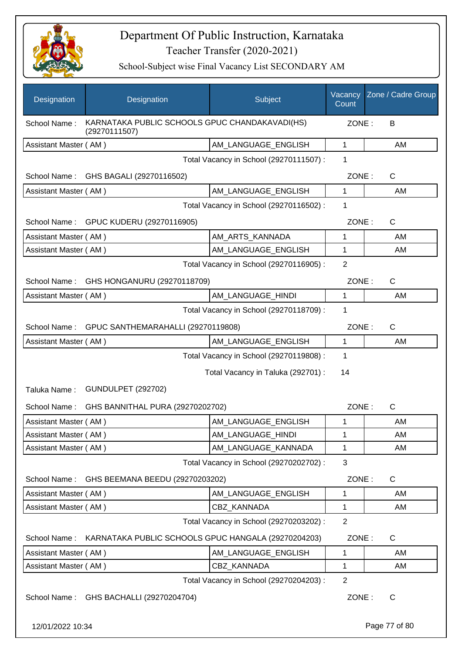

School-Subject wise Final Vacancy List SECONDARY AM

| Designation           | Designation                                                     | Subject                                 | Vacancy<br>Count | Zone / Cadre Group |
|-----------------------|-----------------------------------------------------------------|-----------------------------------------|------------------|--------------------|
| School Name:          | KARNATAKA PUBLIC SCHOOLS GPUC CHANDAKAVADI(HS)<br>(29270111507) |                                         | ZONE:            | B                  |
| Assistant Master (AM) |                                                                 | AM LANGUAGE ENGLISH                     | 1                | AM                 |
|                       |                                                                 | Total Vacancy in School (29270111507) : | 1                |                    |
| School Name:          | GHS BAGALI (29270116502)                                        |                                         | ZONE:            | $\mathsf{C}$       |
| Assistant Master (AM) |                                                                 | AM_LANGUAGE_ENGLISH                     | 1                | AM                 |
|                       |                                                                 | Total Vacancy in School (29270116502) : | 1                |                    |
|                       | School Name: GPUC KUDERU (29270116905)                          |                                         | ZONE:            | $\mathsf{C}$       |
| Assistant Master (AM) |                                                                 | AM_ARTS_KANNADA                         | 1                | AM                 |
| Assistant Master (AM) |                                                                 | AM LANGUAGE ENGLISH                     | 1                | AM                 |
|                       |                                                                 | Total Vacancy in School (29270116905) : | $\overline{2}$   |                    |
| School Name:          | GHS HONGANURU (29270118709)                                     |                                         | ZONE:            | $\mathsf{C}$       |
| Assistant Master (AM) |                                                                 | AM_LANGUAGE_HINDI                       | 1                | AM                 |
|                       |                                                                 | Total Vacancy in School (29270118709) : | 1                |                    |
| School Name:          | GPUC SANTHEMARAHALLI (29270119808)                              |                                         | ZONE:            | $\mathsf{C}$       |
| Assistant Master (AM) |                                                                 | AM LANGUAGE_ENGLISH                     | 1                | AM                 |
|                       |                                                                 | Total Vacancy in School (29270119808) : | 1                |                    |
|                       |                                                                 | Total Vacancy in Taluka (292701) :      | 14               |                    |
| Taluka Name:          | <b>GUNDULPET (292702)</b>                                       |                                         |                  |                    |
| School Name:          | GHS BANNITHAL PURA (29270202702)                                |                                         | ZONE:            | $\mathsf{C}$       |
| Assistant Master (AM) |                                                                 | AM_LANGUAGE_ENGLISH                     | 1                | AM                 |
| Assistant Master (AM) |                                                                 | AM_LANGUAGE_HINDI                       | 1                | AM                 |
| Assistant Master (AM) |                                                                 | AM LANGUAGE KANNADA                     | 1                | AM                 |
|                       |                                                                 | Total Vacancy in School (29270202702) : | 3                |                    |
| School Name:          | GHS BEEMANA BEEDU (29270203202)                                 |                                         | ZONE:            | C                  |
| Assistant Master (AM) |                                                                 | AM_LANGUAGE_ENGLISH                     | $\mathbf 1$      | AM                 |
| Assistant Master (AM) |                                                                 | CBZ_KANNADA                             | 1                | AM                 |
|                       |                                                                 | Total Vacancy in School (29270203202) : | $\overline{2}$   |                    |
| School Name:          | KARNATAKA PUBLIC SCHOOLS GPUC HANGALA (29270204203)             |                                         | ZONE:            | C                  |
| Assistant Master (AM) |                                                                 | AM_LANGUAGE_ENGLISH                     | $\mathbf 1$      | AM                 |
| Assistant Master (AM) |                                                                 | CBZ_KANNADA                             | 1                | AM                 |
|                       |                                                                 | Total Vacancy in School (29270204203) : | $\overline{2}$   |                    |
|                       | School Name: GHS BACHALLI (29270204704)                         |                                         | ZONE:            | C                  |

12/01/2022 10:34 Page 77 of 80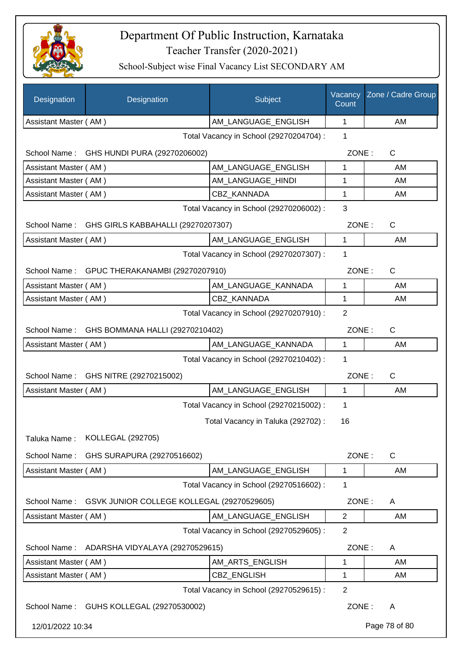

| Designation                             | Designation                                     | Subject                                 | Vacancy<br>Count | Zone / Cadre Group |
|-----------------------------------------|-------------------------------------------------|-----------------------------------------|------------------|--------------------|
| Assistant Master (AM)                   |                                                 | AM_LANGUAGE_ENGLISH                     | $\mathbf{1}$     | AM                 |
|                                         |                                                 | Total Vacancy in School (29270204704) : | 1                |                    |
|                                         | School Name: GHS HUNDI PURA (29270206002)       |                                         | ZONE:            | C                  |
| Assistant Master (AM)                   |                                                 | AM_LANGUAGE_ENGLISH                     | 1                | AM                 |
| Assistant Master (AM)                   |                                                 | AM_LANGUAGE_HINDI                       | 1                | AM                 |
| Assistant Master (AM)                   |                                                 | <b>CBZ KANNADA</b>                      | 1                | AM                 |
|                                         |                                                 | Total Vacancy in School (29270206002) : | 3                |                    |
|                                         | School Name: GHS GIRLS KABBAHALLI (29270207307) |                                         | ZONE:            | $\mathsf{C}$       |
| Assistant Master (AM)                   |                                                 | AM LANGUAGE ENGLISH                     | $\mathbf{1}$     | AM                 |
|                                         |                                                 | Total Vacancy in School (29270207307) : | 1                |                    |
|                                         | School Name: GPUC THERAKANAMBI (29270207910)    |                                         | ZONE:            | $\mathsf{C}$       |
| Assistant Master (AM)                   |                                                 | AM_LANGUAGE_KANNADA                     | 1                | AM                 |
| Assistant Master (AM)                   |                                                 | <b>CBZ KANNADA</b>                      | 1                | AM                 |
|                                         |                                                 | Total Vacancy in School (29270207910) : | $\overline{2}$   |                    |
| School Name:                            | GHS BOMMANA HALLI (29270210402)                 |                                         | ZONE:            | C                  |
| Assistant Master (AM)                   |                                                 | AM_LANGUAGE_KANNADA                     | 1                | AM                 |
|                                         |                                                 | Total Vacancy in School (29270210402) : | 1                |                    |
| School Name:<br>GHS NITRE (29270215002) |                                                 |                                         | ZONE:            | $\mathsf{C}$       |
| Assistant Master (AM)                   |                                                 | AM LANGUAGE_ENGLISH                     | 1                | AМ                 |
|                                         |                                                 | Total Vacancy in School (29270215002) : | 1                |                    |
|                                         |                                                 | Total Vacancy in Taluka (292702) :      | 16               |                    |
| Taluka Name:                            | <b>KOLLEGAL (292705)</b>                        |                                         |                  |                    |
| School Name:                            | GHS SURAPURA (29270516602)                      |                                         | ZONE:            | $\mathsf{C}$       |
| Assistant Master (AM)                   |                                                 | AM_LANGUAGE_ENGLISH                     | 1                | AM                 |
|                                         |                                                 | Total Vacancy in School (29270516602) : | 1                |                    |
| School Name:                            | GSVK JUNIOR COLLEGE KOLLEGAL (29270529605)      |                                         | ZONE:            | A                  |
| Assistant Master (AM)                   |                                                 | AM_LANGUAGE_ENGLISH                     | $\overline{2}$   | AM                 |
|                                         |                                                 | Total Vacancy in School (29270529605) : | $\overline{2}$   |                    |
| School Name:                            | ADARSHA VIDYALAYA (29270529615)                 |                                         | ZONE:            | A                  |
| Assistant Master (AM)                   |                                                 | AM_ARTS_ENGLISH                         | 1                | AM                 |
| Assistant Master (AM)                   |                                                 | <b>CBZ ENGLISH</b>                      | 1                | AM                 |
|                                         |                                                 | Total Vacancy in School (29270529615) : | 2                |                    |
|                                         | School Name: GUHS KOLLEGAL (29270530002)        |                                         | ZONE:            | A                  |
| 12/01/2022 10:34                        |                                                 |                                         |                  | Page 78 of 80      |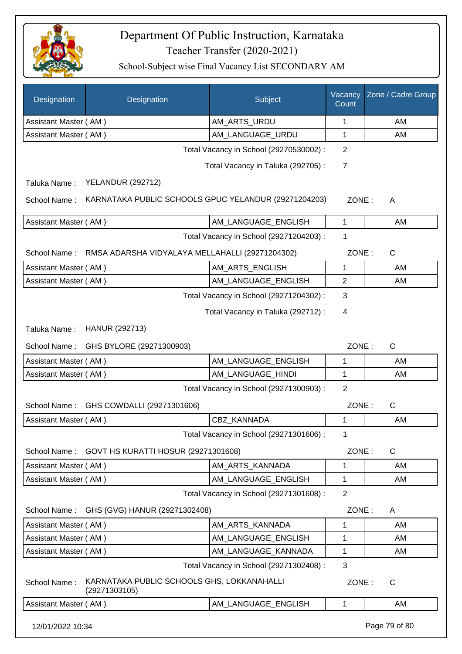

| Designation           | Designation                                                  | Subject                                 | Vacancy<br>Count | Zone / Cadre Group |  |  |  |
|-----------------------|--------------------------------------------------------------|-----------------------------------------|------------------|--------------------|--|--|--|
| Assistant Master (AM) |                                                              | AM_ARTS_URDU                            | 1                | AM                 |  |  |  |
| Assistant Master (AM) |                                                              | AM_LANGUAGE_URDU                        | 1                | AM                 |  |  |  |
|                       |                                                              | Total Vacancy in School (29270530002) : | 2                |                    |  |  |  |
|                       |                                                              | Total Vacancy in Taluka (292705) :      | $\overline{7}$   |                    |  |  |  |
| Taluka Name:          | <b>YELANDUR (292712)</b>                                     |                                         |                  |                    |  |  |  |
| School Name:          | KARNATAKA PUBLIC SCHOOLS GPUC YELANDUR (29271204203)         |                                         | ZONE:            | A                  |  |  |  |
| Assistant Master (AM) |                                                              | AM_LANGUAGE_ENGLISH                     | 1                | AM                 |  |  |  |
|                       |                                                              | Total Vacancy in School (29271204203) : | 1                |                    |  |  |  |
|                       | School Name: RMSA ADARSHA VIDYALAYA MELLAHALLI (29271204302) |                                         | ZONE:            | $\mathsf{C}$       |  |  |  |
| Assistant Master (AM) |                                                              | AM_ARTS_ENGLISH                         | $\mathbf{1}$     | AM                 |  |  |  |
| Assistant Master (AM) |                                                              | AM_LANGUAGE_ENGLISH                     | $\overline{2}$   | AM                 |  |  |  |
|                       |                                                              | Total Vacancy in School (29271204302) : | 3                |                    |  |  |  |
|                       |                                                              | Total Vacancy in Taluka (292712) :      | 4                |                    |  |  |  |
| Taluka Name:          | HANUR (292713)                                               |                                         |                  |                    |  |  |  |
| School Name:          | GHS BYLORE (29271300903)                                     |                                         | ZONE:            | $\mathsf{C}$       |  |  |  |
| Assistant Master (AM) |                                                              | AM_LANGUAGE_ENGLISH                     | 1                | AM                 |  |  |  |
| Assistant Master (AM) |                                                              | AM_LANGUAGE_HINDI                       | 1                | AM                 |  |  |  |
|                       | $\overline{2}$<br>Total Vacancy in School (29271300903) :    |                                         |                  |                    |  |  |  |
| School Name:          | GHS COWDALLI (29271301606)                                   |                                         | ZONE:            | C                  |  |  |  |
| Assistant Master (AM) |                                                              | CBZ_KANNADA                             | 1                | AM                 |  |  |  |
|                       |                                                              | Total Vacancy in School (29271301606) : | 1                |                    |  |  |  |
| School Name:          | GOVT HS KURATTI HOSUR (29271301608)                          |                                         | ZONE:            | $\mathsf C$        |  |  |  |
| Assistant Master (AM) |                                                              | AM_ARTS_KANNADA                         | 1                | AM                 |  |  |  |
| Assistant Master (AM) |                                                              | AM LANGUAGE ENGLISH                     | 1                | AM                 |  |  |  |
|                       |                                                              | Total Vacancy in School (29271301608) : | $\overline{2}$   |                    |  |  |  |
|                       | School Name: GHS (GVG) HANUR (29271302408)                   |                                         | ZONE:            | A                  |  |  |  |
| Assistant Master (AM) |                                                              | AM_ARTS_KANNADA                         | 1                | AM                 |  |  |  |
| Assistant Master (AM) |                                                              | AM_LANGUAGE_ENGLISH                     | 1                | AM                 |  |  |  |
| Assistant Master (AM) |                                                              | AM_LANGUAGE_KANNADA                     | 1                | AM                 |  |  |  |
|                       |                                                              | Total Vacancy in School (29271302408) : | $\mathbf{3}$     |                    |  |  |  |
| School Name:          | KARNATAKA PUBLIC SCHOOLS GHS, LOKKANAHALLI<br>(29271303105)  |                                         | ZONE:            | $\mathsf{C}$       |  |  |  |
| Assistant Master (AM) |                                                              | AM_LANGUAGE_ENGLISH                     | 1                | AM                 |  |  |  |
| 12/01/2022 10:34      |                                                              |                                         |                  | Page 79 of 80      |  |  |  |